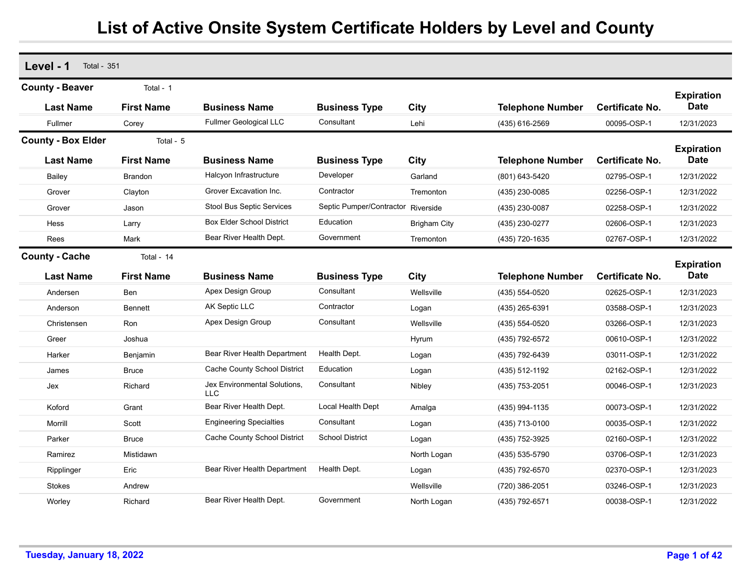| Level - 1<br><b>Total - 351</b>            |                                 |                                            |                                    |                     |                         |                        |                                  |
|--------------------------------------------|---------------------------------|--------------------------------------------|------------------------------------|---------------------|-------------------------|------------------------|----------------------------------|
| <b>County - Beaver</b><br><b>Last Name</b> | Total - 1<br><b>First Name</b>  | <b>Business Name</b>                       | <b>Business Type</b>               | City                | <b>Telephone Number</b> | <b>Certificate No.</b> | <b>Expiration</b><br><b>Date</b> |
| Fullmer                                    | Corey                           | <b>Fullmer Geological LLC</b>              | Consultant                         | Lehi                | (435) 616-2569          | 00095-OSP-1            | 12/31/2023                       |
| <b>County - Box Elder</b>                  | Total - 5                       |                                            |                                    |                     |                         |                        |                                  |
| <b>Last Name</b>                           | <b>First Name</b>               | <b>Business Name</b>                       | <b>Business Type</b>               | City                | <b>Telephone Number</b> | <b>Certificate No.</b> | <b>Expiration</b><br><b>Date</b> |
| Bailey                                     | <b>Brandon</b>                  | Halcyon Infrastructure                     | Developer                          | Garland             | (801) 643-5420          | 02795-OSP-1            | 12/31/2022                       |
| Grover                                     | Clayton                         | Grover Excavation Inc.                     | Contractor                         | Tremonton           | (435) 230-0085          | 02256-OSP-1            | 12/31/2022                       |
| Grover                                     | Jason                           | Stool Bus Septic Services                  | Septic Pumper/Contractor Riverside |                     | (435) 230-0087          | 02258-OSP-1            | 12/31/2022                       |
| Hess                                       | Larry                           | <b>Box Elder School District</b>           | Education                          | <b>Brigham City</b> | (435) 230-0277          | 02606-OSP-1            | 12/31/2023                       |
| Rees                                       | Mark                            | Bear River Health Dept.                    | Government                         | Tremonton           | (435) 720-1635          | 02767-OSP-1            | 12/31/2022                       |
| <b>County - Cache</b><br><b>Last Name</b>  | Total - 14<br><b>First Name</b> | <b>Business Name</b>                       | <b>Business Type</b>               | City                | <b>Telephone Number</b> | <b>Certificate No.</b> | <b>Expiration</b><br><b>Date</b> |
| Andersen                                   | Ben                             | Apex Design Group                          | Consultant                         | Wellsville          | (435) 554-0520          | 02625-OSP-1            | 12/31/2023                       |
| Anderson                                   | <b>Bennett</b>                  | AK Septic LLC                              | Contractor                         | Logan               | (435) 265-6391          | 03588-OSP-1            | 12/31/2023                       |
| Christensen                                | Ron                             | Apex Design Group                          | Consultant                         | Wellsville          | (435) 554-0520          | 03266-OSP-1            | 12/31/2023                       |
| Greer                                      | Joshua                          |                                            |                                    | Hyrum               | (435) 792-6572          | 00610-OSP-1            | 12/31/2022                       |
| Harker                                     | Benjamin                        | Bear River Health Department               | Health Dept.                       | Logan               | (435) 792-6439          | 03011-OSP-1            | 12/31/2022                       |
| James                                      | <b>Bruce</b>                    | Cache County School District               | Education                          | Logan               | (435) 512-1192          | 02162-OSP-1            | 12/31/2022                       |
| Jex                                        | Richard                         | Jex Environmental Solutions,<br><b>LLC</b> | Consultant                         | Nibley              | (435) 753-2051          | 00046-OSP-1            | 12/31/2023                       |
| Koford                                     | Grant                           | Bear River Health Dept.                    | Local Health Dept                  | Amalga              | (435) 994-1135          | 00073-OSP-1            | 12/31/2022                       |
| Morrill                                    | Scott                           | <b>Engineering Specialties</b>             | Consultant                         | Logan               | (435) 713-0100          | 00035-OSP-1            | 12/31/2022                       |
| Parker                                     | <b>Bruce</b>                    | Cache County School District               | <b>School District</b>             | Logan               | (435) 752-3925          | 02160-OSP-1            | 12/31/2022                       |
| Ramirez                                    | Mistidawn                       |                                            |                                    | North Logan         | (435) 535-5790          | 03706-OSP-1            | 12/31/2023                       |
| Ripplinger                                 | Eric                            | Bear River Health Department               | Health Dept.                       | Logan               | (435) 792-6570          | 02370-OSP-1            | 12/31/2023                       |
| <b>Stokes</b>                              | Andrew                          |                                            |                                    | Wellsville          | (720) 386-2051          | 03246-OSP-1            | 12/31/2023                       |
| Worley                                     | Richard                         | Bear River Health Dept.                    | Government                         | North Logan         | (435) 792-6571          | 00038-OSP-1            | 12/31/2022                       |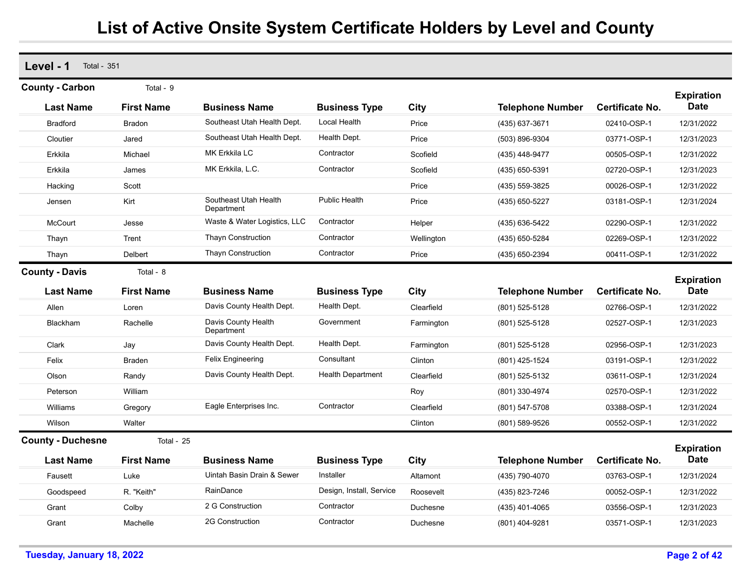| Level - 1<br><b>Total - 351</b>           |                                |                                     |                                      |            |                         |                        |                                  |
|-------------------------------------------|--------------------------------|-------------------------------------|--------------------------------------|------------|-------------------------|------------------------|----------------------------------|
| <b>County - Carbon</b>                    | Total - 9                      |                                     |                                      |            |                         |                        |                                  |
| <b>Last Name</b>                          | <b>First Name</b>              | <b>Business Name</b>                | <b>Business Type</b>                 | City       | <b>Telephone Number</b> | <b>Certificate No.</b> | <b>Expiration</b><br><b>Date</b> |
| <b>Bradford</b>                           | Bradon                         | Southeast Utah Health Dept.         | Local Health                         | Price      | (435) 637-3671          | 02410-OSP-1            | 12/31/2022                       |
| Cloutier                                  | Jared                          | Southeast Utah Health Dept.         | Health Dept.                         | Price      | (503) 896-9304          | 03771-OSP-1            | 12/31/2023                       |
| Erkkila                                   | Michael                        | MK Erkkila LC                       | Contractor                           | Scofield   | (435) 448-9477          | 00505-OSP-1            | 12/31/2022                       |
| Erkkila                                   | James                          | MK Erkkila, L.C.                    | Contractor                           | Scofield   | (435) 650-5391          | 02720-OSP-1            | 12/31/2023                       |
| Hacking                                   | Scott                          |                                     |                                      | Price      | (435) 559-3825          | 00026-OSP-1            | 12/31/2022                       |
| Jensen                                    | Kirt                           | Southeast Utah Health<br>Department | Public Health                        | Price      | (435) 650-5227          | 03181-OSP-1            | 12/31/2024                       |
| <b>McCourt</b>                            | Jesse                          | Waste & Water Logistics, LLC        | Contractor                           | Helper     | (435) 636-5422          | 02290-OSP-1            | 12/31/2022                       |
| Thayn                                     | Trent                          | <b>Thayn Construction</b>           | Contractor                           | Wellington | (435) 650-5284          | 02269-OSP-1            | 12/31/2022                       |
| Thayn                                     | Delbert                        | <b>Thayn Construction</b>           | Contractor                           | Price      | (435) 650-2394          | 00411-OSP-1            | 12/31/2022                       |
| <b>County - Davis</b><br><b>Last Name</b> | Total - 8<br><b>First Name</b> | <b>Business Name</b>                |                                      |            |                         | <b>Certificate No.</b> | <b>Expiration</b><br><b>Date</b> |
|                                           |                                | Davis County Health Dept.           | <b>Business Type</b><br>Health Dept. | City       | <b>Telephone Number</b> |                        |                                  |
| Allen                                     | Loren                          | Davis County Health                 | Government                           | Clearfield | (801) 525-5128          | 02766-OSP-1            | 12/31/2022                       |
| <b>Blackham</b>                           | Rachelle                       | Department                          |                                      | Farmington | (801) 525-5128          | 02527-OSP-1            | 12/31/2023                       |
| Clark                                     | Jay                            | Davis County Health Dept.           | Health Dept.                         | Farmington | (801) 525-5128          | 02956-OSP-1            | 12/31/2023                       |
| Felix                                     | <b>Braden</b>                  | <b>Felix Engineering</b>            | Consultant                           | Clinton    | (801) 425-1524          | 03191-OSP-1            | 12/31/2022                       |
| Olson                                     | Randy                          | Davis County Health Dept.           | <b>Health Department</b>             | Clearfield | (801) 525-5132          | 03611-OSP-1            | 12/31/2024                       |
| Peterson                                  | William                        |                                     |                                      | Roy        | (801) 330-4974          | 02570-OSP-1            | 12/31/2022                       |
| Williams                                  | Gregory                        | Eagle Enterprises Inc.              | Contractor                           | Clearfield | (801) 547-5708          | 03388-OSP-1            | 12/31/2024                       |
| Wilson                                    | Walter                         |                                     |                                      | Clinton    | (801) 589-9526          | 00552-OSP-1            | 12/31/2022                       |
| <b>County - Duchesne</b>                  | Total - 25                     |                                     |                                      |            |                         |                        |                                  |
| <b>Last Name</b>                          | <b>First Name</b>              | <b>Business Name</b>                | <b>Business Type</b>                 | City       | <b>Telephone Number</b> | <b>Certificate No.</b> | <b>Expiration</b><br><b>Date</b> |
| Fausett                                   | Luke                           | Uintah Basin Drain & Sewer          | Installer                            | Altamont   | (435) 790-4070          | 03763-OSP-1            | 12/31/2024                       |
| Goodspeed                                 | R. "Keith"                     | RainDance                           | Design, Install, Service             | Roosevelt  | (435) 823-7246          | 00052-OSP-1            | 12/31/2022                       |
| Grant                                     | Colby                          | 2 G Construction                    | Contractor                           | Duchesne   | (435) 401-4065          | 03556-OSP-1            | 12/31/2023                       |
| Grant                                     | Machelle                       | 2G Construction                     | Contractor                           | Duchesne   | (801) 404-9281          | 03571-OSP-1            | 12/31/2023                       |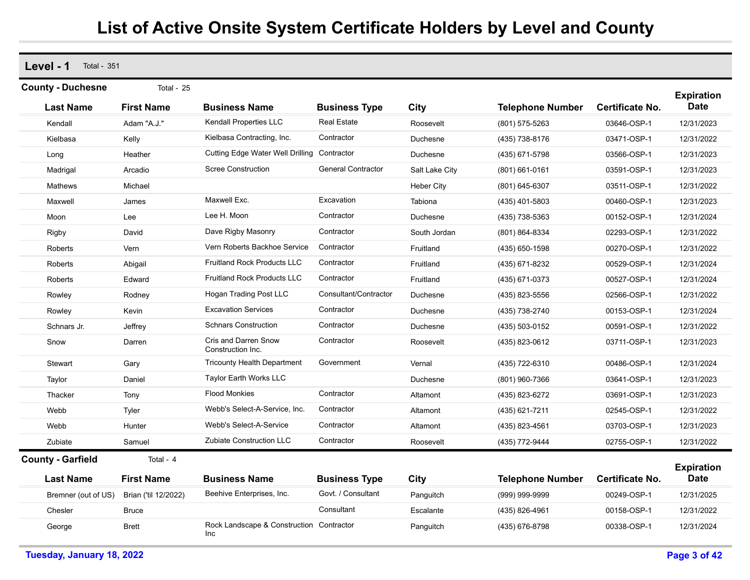**Level - 1** Total - 351

| <b>County - Duchesne</b> | Total - 25           |                                                  |                           |                   |                         |                        | <b>Expiration</b>                |
|--------------------------|----------------------|--------------------------------------------------|---------------------------|-------------------|-------------------------|------------------------|----------------------------------|
| <b>Last Name</b>         | <b>First Name</b>    | <b>Business Name</b>                             | <b>Business Type</b>      | City              | <b>Telephone Number</b> | <b>Certificate No.</b> | <b>Date</b>                      |
| Kendall                  | Adam "A.J."          | Kendall Properties LLC                           | <b>Real Estate</b>        | Roosevelt         | (801) 575-5263          | 03646-OSP-1            | 12/31/2023                       |
| Kielbasa                 | Kelly                | Kielbasa Contracting, Inc.                       | Contractor                | Duchesne          | (435) 738-8176          | 03471-OSP-1            | 12/31/2022                       |
| Long                     | Heather              | <b>Cutting Edge Water Well Drilling</b>          | Contractor                | Duchesne          | (435) 671-5798          | 03566-OSP-1            | 12/31/2023                       |
| Madrigal                 | Arcadio              | <b>Scree Construction</b>                        | <b>General Contractor</b> | Salt Lake City    | $(801)$ 661-0161        | 03591-OSP-1            | 12/31/2023                       |
| Mathews                  | Michael              |                                                  |                           | <b>Heber City</b> | (801) 645-6307          | 03511-OSP-1            | 12/31/2022                       |
| Maxwell                  | James                | Maxwell Exc.                                     | Excavation                | Tabiona           | (435) 401-5803          | 00460-OSP-1            | 12/31/2023                       |
| Moon                     | Lee                  | Lee H. Moon                                      | Contractor                | Duchesne          | (435) 738-5363          | 00152-OSP-1            | 12/31/2024                       |
| Rigby                    | David                | Dave Rigby Masonry                               | Contractor                | South Jordan      | (801) 864-8334          | 02293-OSP-1            | 12/31/2022                       |
| Roberts                  | Vern                 | Vern Roberts Backhoe Service                     | Contractor                | Fruitland         | (435) 650-1598          | 00270-OSP-1            | 12/31/2022                       |
| Roberts                  | Abigail              | <b>Fruitland Rock Products LLC</b>               | Contractor                | Fruitland         | (435) 671-8232          | 00529-OSP-1            | 12/31/2024                       |
| Roberts                  | Edward               | <b>Fruitland Rock Products LLC</b>               | Contractor                | Fruitland         | (435) 671-0373          | 00527-OSP-1            | 12/31/2024                       |
| Rowley                   | Rodney               | <b>Hogan Trading Post LLC</b>                    | Consultant/Contractor     | Duchesne          | (435) 823-5556          | 02566-OSP-1            | 12/31/2022                       |
| Rowley                   | Kevin                | <b>Excavation Services</b>                       | Contractor                | Duchesne          | (435) 738-2740          | 00153-OSP-1            | 12/31/2024                       |
| Schnars Jr.              | Jeffrey              | <b>Schnars Construction</b>                      | Contractor                | Duchesne          | (435) 503-0152          | 00591-OSP-1            | 12/31/2022                       |
| Snow                     | Darren               | <b>Cris and Darren Snow</b><br>Construction Inc. | Contractor                | Roosevelt         | (435) 823-0612          | 03711-OSP-1            | 12/31/2023                       |
| Stewart                  | Gary                 | <b>Tricounty Health Department</b>               | Government                | Vernal            | (435) 722-6310          | 00486-OSP-1            | 12/31/2024                       |
| Taylor                   | Daniel               | <b>Taylor Earth Works LLC</b>                    |                           | Duchesne          | (801) 960-7366          | 03641-OSP-1            | 12/31/2023                       |
| Thacker                  | Tony                 | <b>Flood Monkies</b>                             | Contractor                | Altamont          | (435) 823-6272          | 03691-OSP-1            | 12/31/2023                       |
| Webb                     | Tyler                | Webb's Select-A-Service, Inc.                    | Contractor                | Altamont          | (435) 621-7211          | 02545-OSP-1            | 12/31/2022                       |
| Webb                     | Hunter               | Webb's Select-A-Service                          | Contractor                | Altamont          | (435) 823-4561          | 03703-OSP-1            | 12/31/2023                       |
| Zubiate                  | Samuel               | Zubiate Construction LLC                         | Contractor                | Roosevelt         | (435) 772-9444          | 02755-OSP-1            | 12/31/2022                       |
| <b>County - Garfield</b> | Total - 4            |                                                  |                           |                   |                         |                        |                                  |
| <b>Last Name</b>         | <b>First Name</b>    | <b>Business Name</b>                             | <b>Business Type</b>      | City              | <b>Telephone Number</b> | <b>Certificate No.</b> | <b>Expiration</b><br><b>Date</b> |
| Bremner (out of US)      | Brian ('til 12/2022) | Beehive Enterprises, Inc.                        | Govt. / Consultant        | Panguitch         | (999) 999-9999          | 00249-OSP-1            | 12/31/2025                       |
| Chesler                  | Bruce                |                                                  | Consultant                | Escalante         | (435) 826-4961          | 00158-OSP-1            | 12/31/2022                       |
| George                   | <b>Brett</b>         | Rock Landscape & Construction Contractor<br>Inc. |                           | Panguitch         | (435) 676-8798          | 00338-OSP-1            | 12/31/2024                       |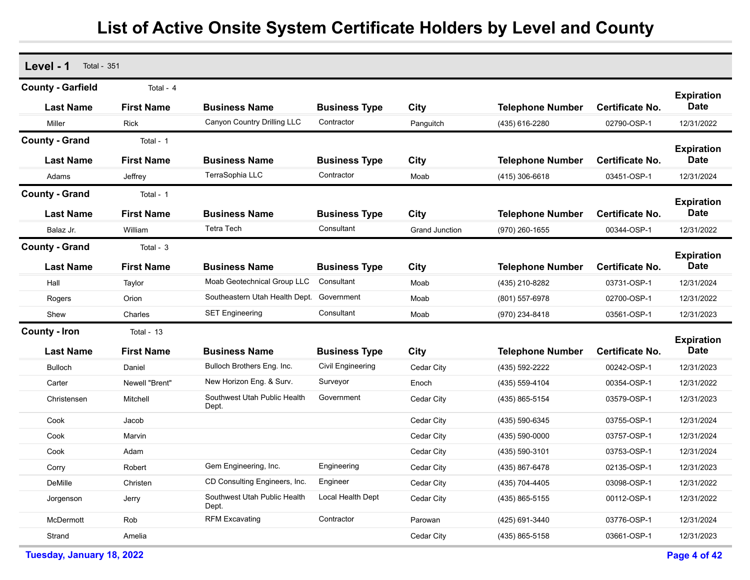| Level - 1<br><b>Total - 351</b> |                   |                                       |                      |                       |                         |                        |                                  |
|---------------------------------|-------------------|---------------------------------------|----------------------|-----------------------|-------------------------|------------------------|----------------------------------|
| <b>County - Garfield</b>        | Total - 4         |                                       |                      |                       |                         |                        | <b>Expiration</b>                |
| <b>Last Name</b>                | <b>First Name</b> | <b>Business Name</b>                  | <b>Business Type</b> | City                  | <b>Telephone Number</b> | Certificate No.        | <b>Date</b>                      |
| Miller                          | <b>Rick</b>       | Canyon Country Drilling LLC           | Contractor           | Panguitch             | (435) 616-2280          | 02790-OSP-1            | 12/31/2022                       |
| <b>County - Grand</b>           | Total - 1         |                                       |                      |                       |                         |                        |                                  |
| <b>Last Name</b>                | <b>First Name</b> | <b>Business Name</b>                  | <b>Business Type</b> | City                  | <b>Telephone Number</b> | Certificate No.        | <b>Expiration</b><br><b>Date</b> |
| Adams                           | Jeffrey           | TerraSophia LLC                       | Contractor           | Moab                  | $(415)$ 306-6618        | 03451-OSP-1            | 12/31/2024                       |
| <b>County - Grand</b>           | Total - 1         |                                       |                      |                       |                         |                        |                                  |
| <b>Last Name</b>                | <b>First Name</b> | <b>Business Name</b>                  | <b>Business Type</b> | City                  | <b>Telephone Number</b> | <b>Certificate No.</b> | <b>Expiration</b><br><b>Date</b> |
| Balaz Jr.                       | William           | <b>Tetra Tech</b>                     | Consultant           | <b>Grand Junction</b> | (970) 260-1655          | 00344-OSP-1            | 12/31/2022                       |
| <b>County - Grand</b>           | Total - 3         |                                       |                      |                       |                         |                        |                                  |
| <b>Last Name</b>                | <b>First Name</b> | <b>Business Name</b>                  | <b>Business Type</b> | City                  | <b>Telephone Number</b> | <b>Certificate No.</b> | <b>Expiration</b><br><b>Date</b> |
| Hall                            | Taylor            | Moab Geotechnical Group LLC           | Consultant           | Moab                  | (435) 210-8282          | 03731-OSP-1            | 12/31/2024                       |
| Rogers                          | Orion             | Southeastern Utah Health Dept.        | Government           | Moab                  | (801) 557-6978          | 02700-OSP-1            | 12/31/2022                       |
| Shew                            | Charles           | <b>SET Engineering</b>                | Consultant           | Moab                  | (970) 234-8418          | 03561-OSP-1            | 12/31/2023                       |
| <b>County - Iron</b>            | Total - 13        |                                       |                      |                       |                         |                        | <b>Expiration</b>                |
| <b>Last Name</b>                | <b>First Name</b> | <b>Business Name</b>                  | <b>Business Type</b> | City                  | <b>Telephone Number</b> | <b>Certificate No.</b> | <b>Date</b>                      |
| <b>Bulloch</b>                  | Daniel            | Bulloch Brothers Eng. Inc.            | Civil Engineering    | Cedar City            | (435) 592-2222          | 00242-OSP-1            | 12/31/2023                       |
| Carter                          | Newell "Brent"    | New Horizon Eng. & Surv.              | Surveyor             | Enoch                 | (435) 559-4104          | 00354-OSP-1            | 12/31/2022                       |
| Christensen                     | Mitchell          | Southwest Utah Public Health<br>Dept. | Government           | Cedar City            | (435) 865-5154          | 03579-OSP-1            | 12/31/2023                       |
| Cook                            | Jacob             |                                       |                      | Cedar City            | (435) 590-6345          | 03755-OSP-1            | 12/31/2024                       |
| Cook                            | Marvin            |                                       |                      | Cedar City            | $(435) 590 - 0000$      | 03757-OSP-1            | 12/31/2024                       |
| Cook                            | Adam              |                                       |                      | Cedar City            | (435) 590-3101          | 03753-OSP-1            | 12/31/2024                       |
| Corry                           | Robert            | Gem Engineering, Inc.                 | Engineering          | Cedar City            | (435) 867-6478          | 02135-OSP-1            | 12/31/2023                       |
| DeMille                         | Christen          | CD Consulting Engineers, Inc.         | Engineer             | Cedar City            | (435) 704-4405          | 03098-OSP-1            | 12/31/2022                       |
| Jorgenson                       | Jerry             | Southwest Utah Public Health<br>Dept. | Local Health Dept    | Cedar City            | (435) 865-5155          | 00112-OSP-1            | 12/31/2022                       |
| McDermott                       | Rob               | <b>RFM Excavating</b>                 | Contractor           | Parowan               | (425) 691-3440          | 03776-OSP-1            | 12/31/2024                       |
| Strand                          | Amelia            |                                       |                      | Cedar City            | (435) 865-5158          | 03661-OSP-1            | 12/31/2023                       |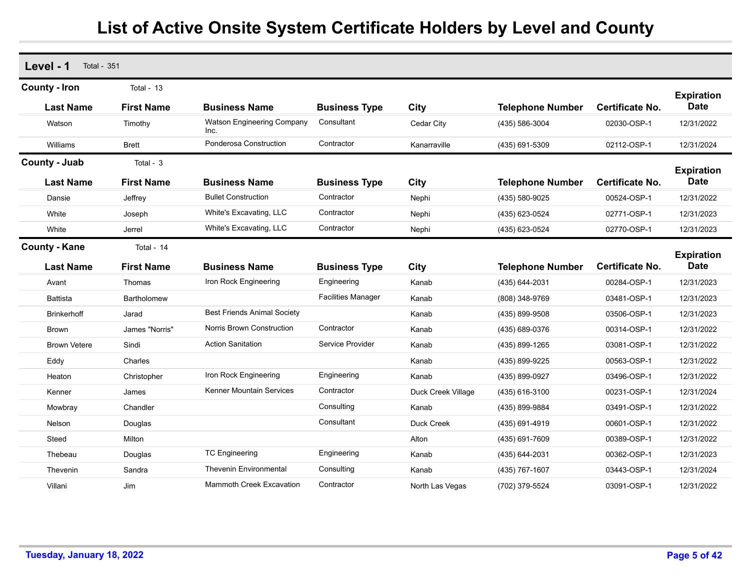| Level - 1<br><b>Total - 351</b>          |                                   |                                    |                           |                    |                         |                        |                                  |
|------------------------------------------|-----------------------------------|------------------------------------|---------------------------|--------------------|-------------------------|------------------------|----------------------------------|
| <b>County - Iron</b><br><b>Last Name</b> | Total - $13$<br><b>First Name</b> | <b>Business Name</b>               | <b>Business Type</b>      | City               | <b>Telephone Number</b> | <b>Certificate No.</b> | <b>Expiration</b><br><b>Date</b> |
| Watson                                   | Timothy                           | Watson Engineering Company<br>Inc. | Consultant                | Cedar City         | (435) 586-3004          | 02030-OSP-1            | 12/31/2022                       |
| Williams                                 | <b>Brett</b>                      | Ponderosa Construction             | Contractor                | Kanarraville       | (435) 691-5309          | 02112-OSP-1            | 12/31/2024                       |
| County - Juab                            | Total - 3                         |                                    |                           |                    |                         |                        |                                  |
| <b>Last Name</b>                         | <b>First Name</b>                 | <b>Business Name</b>               | <b>Business Type</b>      | City               | <b>Telephone Number</b> | <b>Certificate No.</b> | <b>Expiration</b><br><b>Date</b> |
| Dansie                                   | Jeffrey                           | <b>Bullet Construction</b>         | Contractor                | Nephi              | (435) 580-9025          | 00524-OSP-1            | 12/31/2022                       |
| White                                    | Joseph                            | White's Excavating, LLC            | Contractor                | Nephi              | (435) 623-0524          | 02771-OSP-1            | 12/31/2023                       |
| White                                    | Jerrel                            | White's Excavating, LLC            | Contractor                | Nephi              | (435) 623-0524          | 02770-OSP-1            | 12/31/2023                       |
| <b>County - Kane</b><br><b>Last Name</b> | Total - 14<br><b>First Name</b>   | <b>Business Name</b>               | <b>Business Type</b>      | City               | <b>Telephone Number</b> | <b>Certificate No.</b> | <b>Expiration</b><br><b>Date</b> |
| Avant                                    | Thomas                            | Iron Rock Engineering              | Engineering               | Kanab              | (435) 644-2031          | 00284-OSP-1            | 12/31/2023                       |
| <b>Battista</b>                          | <b>Bartholomew</b>                |                                    | <b>Facilities Manager</b> | Kanab              | (808) 348-9769          | 03481-OSP-1            | 12/31/2023                       |
| <b>Brinkerhoff</b>                       | Jarad                             | <b>Best Friends Animal Society</b> |                           | Kanab              | (435) 899-9508          | 03506-OSP-1            | 12/31/2023                       |
| <b>Brown</b>                             | James "Norris"                    | Norris Brown Construction          | Contractor                | Kanab              | (435) 689-0376          | 00314-OSP-1            | 12/31/2022                       |
| <b>Brown Vetere</b>                      | Sindi                             | <b>Action Sanitation</b>           | Service Provider          | Kanab              | (435) 899-1265          | 03081-OSP-1            | 12/31/2022                       |
| Eddy                                     | Charles                           |                                    |                           | Kanab              | (435) 899-9225          | 00563-OSP-1            | 12/31/2022                       |
| Heaton                                   | Christopher                       | Iron Rock Engineering              | Engineering               | Kanab              | (435) 899-0927          | 03496-OSP-1            | 12/31/2022                       |
| Kenner                                   | James                             | <b>Kenner Mountain Services</b>    | Contractor                | Duck Creek Village | (435) 616-3100          | 00231-OSP-1            | 12/31/2024                       |
| Mowbray                                  | Chandler                          |                                    | Consulting                | Kanab              | (435) 899-9884          | 03491-OSP-1            | 12/31/2022                       |
| Nelson                                   | Douglas                           |                                    | Consultant                | Duck Creek         | (435) 691-4919          | 00601-OSP-1            | 12/31/2022                       |
| Steed                                    | Milton                            |                                    |                           | Alton              | (435) 691-7609          | 00389-OSP-1            | 12/31/2022                       |
| Thebeau                                  | Douglas                           | <b>TC Engineering</b>              | Engineering               | Kanab              | (435) 644-2031          | 00362-OSP-1            | 12/31/2023                       |
| Thevenin                                 | Sandra                            | <b>Thevenin Environmental</b>      | Consulting                | Kanab              | (435) 767-1607          | 03443-OSP-1            | 12/31/2024                       |
| Villani                                  | Jim                               | <b>Mammoth Creek Excavation</b>    | Contractor                | North Las Vegas    | (702) 379-5524          | 03091-OSP-1            | 12/31/2022                       |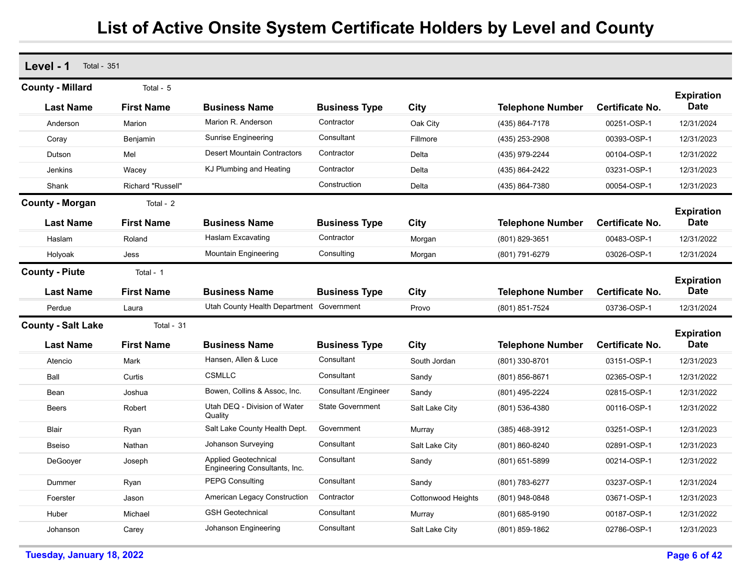| Level - 1<br><b>Total - 351</b> |                   |                                                              |                         |                    |                         |                        |                                  |
|---------------------------------|-------------------|--------------------------------------------------------------|-------------------------|--------------------|-------------------------|------------------------|----------------------------------|
| <b>County - Millard</b>         | Total - 5         |                                                              |                         |                    |                         |                        |                                  |
| <b>Last Name</b>                | <b>First Name</b> | <b>Business Name</b>                                         | <b>Business Type</b>    | City               | <b>Telephone Number</b> | <b>Certificate No.</b> | <b>Expiration</b><br><b>Date</b> |
| Anderson                        | Marion            | Marion R. Anderson                                           | Contractor              | Oak City           | (435) 864-7178          | 00251-OSP-1            | 12/31/2024                       |
| Coray                           | Benjamin          | Sunrise Engineering                                          | Consultant              | Fillmore           | (435) 253-2908          | 00393-OSP-1            | 12/31/2023                       |
| Dutson                          | Mel               | <b>Desert Mountain Contractors</b>                           | Contractor              | Delta              | (435) 979-2244          | 00104-OSP-1            | 12/31/2022                       |
| Jenkins                         | Wacey             | KJ Plumbing and Heating                                      | Contractor              | Delta              | (435) 864-2422          | 03231-OSP-1            | 12/31/2023                       |
| Shank                           | Richard "Russell" |                                                              | Construction            | Delta              | (435) 864-7380          | 00054-OSP-1            | 12/31/2023                       |
| <b>County - Morgan</b>          | Total - 2         |                                                              |                         |                    |                         |                        |                                  |
| <b>Last Name</b>                | <b>First Name</b> | <b>Business Name</b>                                         | <b>Business Type</b>    | City               | <b>Telephone Number</b> | Certificate No.        | <b>Expiration</b><br><b>Date</b> |
| Haslam                          | Roland            | Haslam Excavating                                            | Contractor              | Morgan             | (801) 829-3651          | 00483-OSP-1            | 12/31/2022                       |
| Holyoak                         | Jess              | Mountain Engineering                                         | Consulting              | Morgan             | (801) 791-6279          | 03026-OSP-1            | 12/31/2024                       |
| <b>County - Piute</b>           | Total - 1         |                                                              |                         |                    |                         |                        |                                  |
| <b>Last Name</b>                | <b>First Name</b> | <b>Business Name</b>                                         | <b>Business Type</b>    | City               | <b>Telephone Number</b> | <b>Certificate No.</b> | <b>Expiration</b><br><b>Date</b> |
| Perdue                          | Laura             | Utah County Health Department Government                     |                         | Provo              | (801) 851-7524          | 03736-OSP-1            | 12/31/2024                       |
| <b>County - Salt Lake</b>       | Total - 31        |                                                              |                         |                    |                         |                        |                                  |
| <b>Last Name</b>                | <b>First Name</b> | <b>Business Name</b>                                         | <b>Business Type</b>    | City               | <b>Telephone Number</b> | Certificate No.        | <b>Expiration</b><br><b>Date</b> |
| Atencio                         | Mark              | Hansen, Allen & Luce                                         | Consultant              | South Jordan       | (801) 330-8701          | 03151-OSP-1            | 12/31/2023                       |
| Ball                            | Curtis            | <b>CSMLLC</b>                                                | Consultant              | Sandy              | (801) 856-8671          | 02365-OSP-1            | 12/31/2022                       |
| Bean                            | Joshua            | Bowen, Collins & Assoc, Inc.                                 | Consultant / Engineer   | Sandy              | (801) 495-2224          | 02815-OSP-1            | 12/31/2022                       |
| <b>Beers</b>                    | Robert            | Utah DEQ - Division of Water<br>Quality                      | <b>State Government</b> | Salt Lake City     | (801) 536-4380          | 00116-OSP-1            | 12/31/2022                       |
| Blair                           | Ryan              | Salt Lake County Health Dept.                                | Government              | Murray             | $(385)$ 468-3912        | 03251-OSP-1            | 12/31/2023                       |
| <b>Bseiso</b>                   | Nathan            | Johanson Surveying                                           | Consultant              | Salt Lake City     | (801) 860-8240          | 02891-OSP-1            | 12/31/2023                       |
| DeGooyer                        | Joseph            | <b>Applied Geotechnical</b><br>Engineering Consultants, Inc. | Consultant              | Sandy              | (801) 651-5899          | 00214-OSP-1            | 12/31/2022                       |
| Dummer                          | Ryan              | <b>PEPG Consulting</b>                                       | Consultant              | Sandy              | (801) 783-6277          | 03237-OSP-1            | 12/31/2024                       |
| Foerster                        | Jason             | American Legacy Construction                                 | Contractor              | Cottonwood Heights | (801) 948-0848          | 03671-OSP-1            | 12/31/2023                       |
| Huber                           | Michael           | <b>GSH Geotechnical</b>                                      | Consultant              | Murray             | (801) 685-9190          | 00187-OSP-1            | 12/31/2022                       |
| Johanson                        | Carey             | Johanson Engineering                                         | Consultant              | Salt Lake City     | (801) 859-1862          | 02786-OSP-1            | 12/31/2023                       |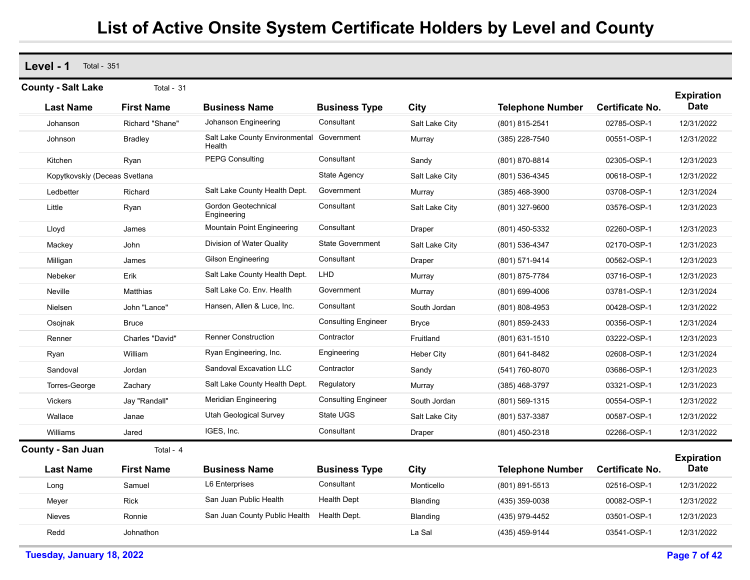**Level - 1** Total - 351

| <b>County - Salt Lake</b>     | Total - 31        |                                          |                            |                   |                         |                        |                                  |
|-------------------------------|-------------------|------------------------------------------|----------------------------|-------------------|-------------------------|------------------------|----------------------------------|
|                               |                   |                                          |                            |                   |                         |                        | <b>Expiration</b>                |
| <b>Last Name</b>              | <b>First Name</b> | <b>Business Name</b>                     | <b>Business Type</b>       | City              | <b>Telephone Number</b> | <b>Certificate No.</b> | <b>Date</b>                      |
| Johanson                      | Richard "Shane"   | Johanson Engineering                     | Consultant                 | Salt Lake City    | (801) 815-2541          | 02785-OSP-1            | 12/31/2022                       |
| Johnson                       | <b>Bradley</b>    | Salt Lake County Environmental<br>Health | Government                 | Murray            | (385) 228-7540          | 00551-OSP-1            | 12/31/2022                       |
| Kitchen                       | Ryan              | <b>PEPG Consulting</b>                   | Consultant                 | Sandy             | (801) 870-8814          | 02305-OSP-1            | 12/31/2023                       |
| Kopytkovskiy (Deceas Svetlana |                   |                                          | State Agency               | Salt Lake City    | (801) 536-4345          | 00618-OSP-1            | 12/31/2022                       |
| Ledbetter                     | Richard           | Salt Lake County Health Dept.            | Government                 | Murray            | $(385)$ 468-3900        | 03708-OSP-1            | 12/31/2024                       |
| Little                        | Ryan              | Gordon Geotechnical<br>Engineering       | Consultant                 | Salt Lake City    | (801) 327-9600          | 03576-OSP-1            | 12/31/2023                       |
| Lloyd                         | James             | Mountain Point Engineering               | Consultant                 | Draper            | (801) 450-5332          | 02260-OSP-1            | 12/31/2023                       |
| Mackey                        | John              | Division of Water Quality                | State Government           | Salt Lake City    | (801) 536-4347          | 02170-OSP-1            | 12/31/2023                       |
| Milligan                      | James             | Gilson Engineering                       | Consultant                 | Draper            | (801) 571-9414          | 00562-OSP-1            | 12/31/2023                       |
| Nebeker                       | Erik              | Salt Lake County Health Dept.            | LHD                        | Murray            | (801) 875-7784          | 03716-OSP-1            | 12/31/2023                       |
| Neville                       | Matthias          | Salt Lake Co. Env. Health                | Government                 | Murray            | (801) 699-4006          | 03781-OSP-1            | 12/31/2024                       |
| Nielsen                       | John "Lance"      | Hansen, Allen & Luce, Inc.               | Consultant                 | South Jordan      | (801) 808-4953          | 00428-OSP-1            | 12/31/2022                       |
| Osojnak                       | <b>Bruce</b>      |                                          | <b>Consulting Engineer</b> | <b>Bryce</b>      | (801) 859-2433          | 00356-OSP-1            | 12/31/2024                       |
| Renner                        | Charles "David"   | <b>Renner Construction</b>               | Contractor                 | Fruitland         | (801) 631-1510          | 03222-OSP-1            | 12/31/2023                       |
| Ryan                          | William           | Ryan Engineering, Inc.                   | Engineering                | <b>Heber City</b> | (801) 641-8482          | 02608-OSP-1            | 12/31/2024                       |
| Sandoval                      | Jordan            | <b>Sandoval Excavation LLC</b>           | Contractor                 | Sandy             | (541) 760-8070          | 03686-OSP-1            | 12/31/2023                       |
| Torres-George                 | Zachary           | Salt Lake County Health Dept.            | Regulatory                 | Murray            | (385) 468-3797          | 03321-OSP-1            | 12/31/2023                       |
| <b>Vickers</b>                | Jay "Randall"     | Meridian Engineering                     | <b>Consulting Engineer</b> | South Jordan      | (801) 569-1315          | 00554-OSP-1            | 12/31/2022                       |
| Wallace                       | Janae             | Utah Geological Survey                   | State UGS                  | Salt Lake City    | (801) 537-3387          | 00587-OSP-1            | 12/31/2022                       |
| Williams                      | Jared             | IGES, Inc.                               | Consultant                 | Draper            | (801) 450-2318          | 02266-OSP-1            | 12/31/2022                       |
| <b>County - San Juan</b>      | Total - 4         |                                          |                            |                   |                         |                        |                                  |
| <b>Last Name</b>              | <b>First Name</b> | <b>Business Name</b>                     | <b>Business Type</b>       | City              | <b>Telephone Number</b> | <b>Certificate No.</b> | <b>Expiration</b><br><b>Date</b> |
|                               | Samuel            | <b>L6 Enterprises</b>                    | Consultant                 | Monticello        | (801) 891-5513          | 02516-OSP-1            | 12/31/2022                       |
| Long                          |                   | San Juan Public Health                   | <b>Health Dept</b>         |                   |                         |                        |                                  |
| Meyer                         | <b>Rick</b>       |                                          |                            | Blanding          | (435) 359-0038          | 00082-OSP-1            | 12/31/2022                       |
| Nieves                        | Ronnie            | San Juan County Public Health            | Health Dept.               | Blanding          | (435) 979-4452          | 03501-OSP-1            | 12/31/2023                       |
| Redd                          | Johnathon         |                                          |                            | La Sal            | (435) 459-9144          | 03541-OSP-1            | 12/31/2022                       |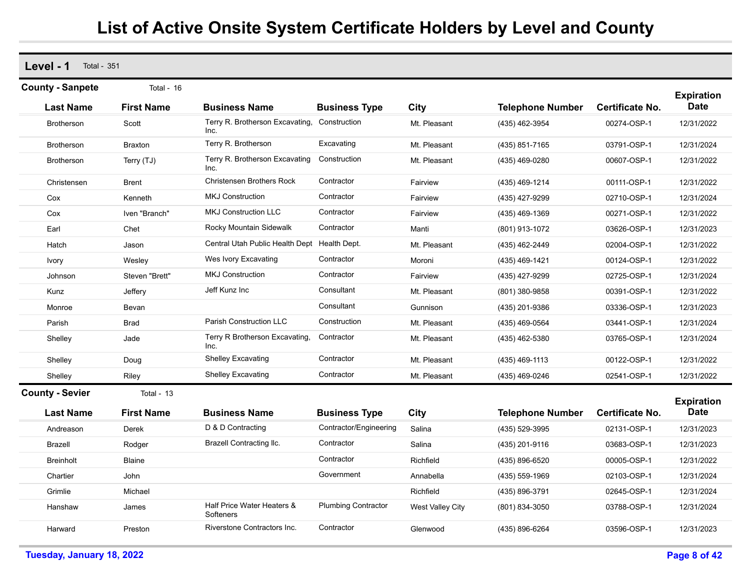**Level - 1** Total - 351 **Last Name First Name Business Name Business Type City Telephone Number County - Sanpete** Total - 16 **Expiration Certificate No. Date** Brotherson Scott Terry R. Brotherson Excavating, Inc. Construction Mt. Pleasant (435) 462-3954 00274-OSP-1 12/31/2022 Brotherson Braxton Terry R. Brotherson Excavating Mt. Pleasant (435) 851-7165 03791-OSP-1 12/31/2024 Brotherson Terry (TJ) Terry R. Brotherson Excavating Inc.Construction Mt. Pleasant (435) 469-0280 00607-OSP-1 12/31/2022 Christensen Brent Christensen Brothers Rock Contractor Fairview (435) 469-1214 00111-OSP-1 12/31/2022 Cox Kenneth MKJ Construction Contractor Fairview (435) 427-9299 02710-OSP-1 12/31/2024 Cox Iven "Branch" MKJ Construction LLC Contractor Fairview (435) 469-1369 00271-OSP-1 12/31/2022 Earl Chet Rocky Mountain Sidewalk Contractor Manti (801) 913-1072 03626-OSP-1 12/31/2023 Hatch Jason Central Utah Public Health Dept Health Dept. Mt. Pleasant (435) 462-2449 02004-OSP-1 12/31/2022 Ivory Wesley Wes Ivory Excavating Contractor Moroni (435) 469-1421 00124-OSP-1 12/31/2022 Johnson Steven "Brett" MKJ Construction Contractor Fairview (435) 427-9299 02725-OSP-1 12/31/2024 Kunz Jeffery Jeff Kunz Inc Consultant Mt. Pleasant (801) 380-9858 00391-OSP-1 12/31/2022 Monroe Bevan Consultant Gunnison (435) 201-9386 03336-OSP-1 12/31/2023 Parish Brad Parish Construction LLC Construction Mt. Pleasant (435) 469-0564 03441-OSP-1 12/31/2024 Shelley **Jade** Jade Terry R Brotherson Excavating, Inc. **Contractor** Mt. Pleasant (435) 462-5380 03765-OSP-1 12/31/2024 Shelley Doug Shelley Excavating Contractor Mt. Pleasant (435) 469-1113 00122-OSP-1 12/31/2022 Shelley Riley Shelley Excavating Contractor Mt. Pleasant (435) 469-0246 02541-OSP-1 12/31/2022 **Last Name First Name Business Name Business Type City Telephone Number County - Sevier** Total - 13 **Expiration Certificate No. Date** Andreason Derek D & D Contracting Contractor/Engineering Salina (435) 529-3995 02131-OSP-1 12/31/2023 Brazell Rodger Brazell Contracting llc. Contractor Salina (435) 201-9116 03683-OSP-1 12/31/2023 Breinholt Blaine Contractor Richfield (435) 896-6520 00005-OSP-1 12/31/2022 Chartier John Government Annabella (435) 559-1969 02103-OSP-1 12/31/2024 Grimlie Michael Richfield (435) 896-3791 02645-OSP-1 12/31/2024 Hanshaw James Half Price Water Heaters & **Softeners** Plumbing Contractor West Valley City (801) 834-3050 03788-OSP-1 12/31/2024 Harward Preston Riverstone Contractors Inc. Contractor Glenwood (435) 896-6264 03596-OSP-1 12/31/2023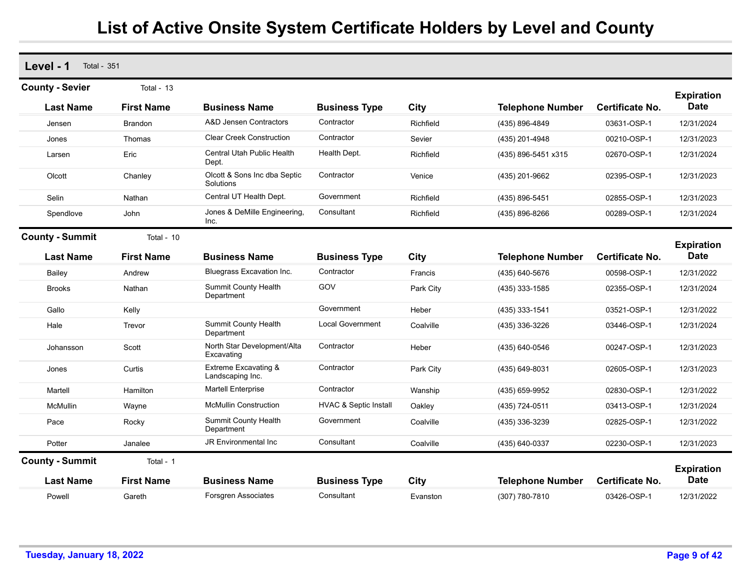| Level - 1<br><b>Total - 351</b> |                   |                                                     |                                  |             |                         |                        |                                  |
|---------------------------------|-------------------|-----------------------------------------------------|----------------------------------|-------------|-------------------------|------------------------|----------------------------------|
| <b>County - Sevier</b>          | Total - $13$      |                                                     |                                  |             |                         |                        | <b>Expiration</b>                |
| <b>Last Name</b>                | <b>First Name</b> | <b>Business Name</b>                                | <b>Business Type</b>             | City        | <b>Telephone Number</b> | <b>Certificate No.</b> | <b>Date</b>                      |
| Jensen                          | <b>Brandon</b>    | A&D Jensen Contractors                              | Contractor                       | Richfield   | (435) 896-4849          | 03631-OSP-1            | 12/31/2024                       |
| Jones                           | Thomas            | <b>Clear Creek Construction</b>                     | Contractor                       | Sevier      | (435) 201-4948          | 00210-OSP-1            | 12/31/2023                       |
| Larsen                          | Eric              | <b>Central Utah Public Health</b><br>Dept.          | Health Dept.                     | Richfield   | (435) 896-5451 x315     | 02670-OSP-1            | 12/31/2024                       |
| Olcott                          | Chanley           | Olcott & Sons Inc dba Septic<br>Solutions           | Contractor                       | Venice      | (435) 201-9662          | 02395-OSP-1            | 12/31/2023                       |
| Selin                           | Nathan            | Central UT Health Dept.                             | Government                       | Richfield   | (435) 896-5451          | 02855-OSP-1            | 12/31/2023                       |
| Spendlove                       | John              | Jones & DeMille Engineering,<br>Inc.                | Consultant                       | Richfield   | (435) 896-8266          | 00289-OSP-1            | 12/31/2024                       |
| <b>County - Summit</b>          | Total - $10$      |                                                     |                                  |             |                         |                        |                                  |
| <b>Last Name</b>                | <b>First Name</b> | <b>Business Name</b>                                | <b>Business Type</b>             | <b>City</b> | <b>Telephone Number</b> | <b>Certificate No.</b> | <b>Expiration</b><br><b>Date</b> |
| Bailey                          | Andrew            | Bluegrass Excavation Inc.                           | Contractor                       | Francis     | (435) 640-5676          | 00598-OSP-1            | 12/31/2022                       |
| <b>Brooks</b>                   | Nathan            | Summit County Health<br>Department                  | GOV                              | Park City   | (435) 333-1585          | 02355-OSP-1            | 12/31/2024                       |
| Gallo                           | Kelly             |                                                     | Government                       | Heber       | (435) 333-1541          | 03521-OSP-1            | 12/31/2022                       |
| Hale                            | Trevor            | Summit County Health<br>Department                  | <b>Local Government</b>          | Coalville   | (435) 336-3226          | 03446-OSP-1            | 12/31/2024                       |
| Johansson                       | Scott             | North Star Development/Alta<br>Excavating           | Contractor                       | Heber       | (435) 640-0546          | 00247-OSP-1            | 12/31/2023                       |
| Jones                           | Curtis            | <b>Extreme Excavating &amp;</b><br>Landscaping Inc. | Contractor                       | Park City   | (435) 649-8031          | 02605-OSP-1            | 12/31/2023                       |
| Martell                         | Hamilton          | <b>Martell Enterprise</b>                           | Contractor                       | Wanship     | (435) 659-9952          | 02830-OSP-1            | 12/31/2022                       |
| <b>McMullin</b>                 | Wayne             | McMullin Construction                               | <b>HVAC &amp; Septic Install</b> | Oakley      | (435) 724-0511          | 03413-OSP-1            | 12/31/2024                       |
| Pace                            | Rocky             | Summit County Health<br>Department                  | Government                       | Coalville   | (435) 336-3239          | 02825-OSP-1            | 12/31/2022                       |
| Potter                          | Janalee           | JR Environmental Inc.                               | Consultant                       | Coalville   | (435) 640-0337          | 02230-OSP-1            | 12/31/2023                       |
| <b>County - Summit</b>          | Total - 1         |                                                     |                                  |             |                         |                        | <b>Expiration</b>                |
| <b>Last Name</b>                | <b>First Name</b> | <b>Business Name</b>                                | <b>Business Type</b>             | City        | <b>Telephone Number</b> | <b>Certificate No.</b> | <b>Date</b>                      |
| Powell                          | Gareth            | <b>Forsgren Associates</b>                          | Consultant                       | Evanston    | (307) 780-7810          | 03426-OSP-1            | 12/31/2022                       |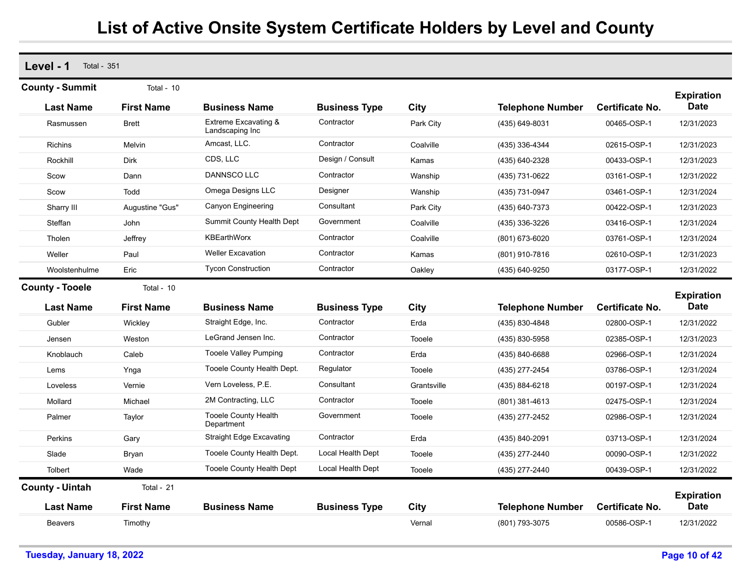| Level - 1<br><b>Total - 351</b> |                   |                                           |                      |             |                         |                        |                           |
|---------------------------------|-------------------|-------------------------------------------|----------------------|-------------|-------------------------|------------------------|---------------------------|
| <b>County - Summit</b>          | Total - 10        |                                           |                      |             |                         |                        | <b>Expiration</b>         |
| <b>Last Name</b>                | <b>First Name</b> | <b>Business Name</b>                      | <b>Business Type</b> | City        | <b>Telephone Number</b> | Certificate No.        | Date                      |
| Rasmussen                       | <b>Brett</b>      | Extreme Excavating &<br>Landscaping Inc   | Contractor           | Park City   | (435) 649-8031          | 00465-OSP-1            | 12/31/2023                |
| <b>Richins</b>                  | Melvin            | Amcast, LLC.                              | Contractor           | Coalville   | (435) 336-4344          | 02615-OSP-1            | 12/31/2023                |
| Rockhill                        | <b>Dirk</b>       | CDS, LLC                                  | Design / Consult     | Kamas       | (435) 640-2328          | 00433-OSP-1            | 12/31/2023                |
| Scow                            | Dann              | DANNSCO LLC                               | Contractor           | Wanship     | (435) 731-0622          | 03161-OSP-1            | 12/31/2022                |
| Scow                            | Todd              | Omega Designs LLC                         | Designer             | Wanship     | (435) 731-0947          | 03461-OSP-1            | 12/31/2024                |
| Sharry III                      | Augustine "Gus"   | <b>Canyon Engineering</b>                 | Consultant           | Park City   | (435) 640-7373          | 00422-OSP-1            | 12/31/2023                |
| Steffan                         | John              | Summit County Health Dept                 | Government           | Coalville   | (435) 336-3226          | 03416-OSP-1            | 12/31/2024                |
| Tholen                          | Jeffrey           | KBEarthWorx                               | Contractor           | Coalville   | (801) 673-6020          | 03761-OSP-1            | 12/31/2024                |
| Weller                          | Paul              | <b>Weller Excavation</b>                  | Contractor           | Kamas       | (801) 910-7816          | 02610-OSP-1            | 12/31/2023                |
| Woolstenhulme                   | Eric              | <b>Tycon Construction</b>                 | Contractor           | Oakley      | (435) 640-9250          | 03177-OSP-1            | 12/31/2022                |
| <b>County - Tooele</b>          | Total - 10        |                                           |                      |             |                         |                        | <b>Expiration</b>         |
| <b>Last Name</b>                | <b>First Name</b> | <b>Business Name</b>                      | <b>Business Type</b> | Citv        | <b>Telephone Number</b> | <b>Certificate No.</b> | Date                      |
| Gubler                          | Wickley           | Straight Edge, Inc.                       | Contractor           | Erda        | (435) 830-4848          | 02800-OSP-1            | 12/31/2022                |
| Jensen                          | Weston            | LeGrand Jensen Inc.                       | Contractor           | Tooele      | (435) 830-5958          | 02385-OSP-1            | 12/31/2023                |
| Knoblauch                       | Caleb             | <b>Tooele Valley Pumping</b>              | Contractor           | Erda        | (435) 840-6688          | 02966-OSP-1            | 12/31/2024                |
| Lems                            | Ynga              | Tooele County Health Dept.                | Regulator            | Tooele      | (435) 277-2454          | 03786-OSP-1            | 12/31/2024                |
| Loveless                        | Vernie            | Vern Loveless, P.E.                       | Consultant           | Grantsville | (435) 884-6218          | 00197-OSP-1            | 12/31/2024                |
| Mollard                         | Michael           | 2M Contracting, LLC                       | Contractor           | Tooele      | (801) 381-4613          | 02475-OSP-1            | 12/31/2024                |
| Palmer                          | Taylor            | <b>Tooele County Health</b><br>Department | Government           | Tooele      | (435) 277-2452          | 02986-OSP-1            | 12/31/2024                |
| Perkins                         | Gary              | <b>Straight Edge Excavating</b>           | Contractor           | Erda        | (435) 840-2091          | 03713-OSP-1            | 12/31/2024                |
| Slade                           | Bryan             | Tooele County Health Dept.                | Local Health Dept    | Tooele      | (435) 277-2440          | 00090-OSP-1            | 12/31/2022                |
| Tolbert                         | Wade              | Tooele County Health Dept                 | Local Health Dept    | Tooele      | (435) 277-2440          | 00439-OSP-1            | 12/31/2022                |
| <b>County - Uintah</b>          | Total - 21        |                                           |                      |             |                         |                        |                           |
| <b>Last Name</b>                | <b>First Name</b> | <b>Business Name</b>                      | <b>Business Type</b> | City        | <b>Telephone Number</b> | <b>Certificate No.</b> | <b>Expiration</b><br>Date |
| <b>Beavers</b>                  | Timothy           |                                           |                      | Vernal      | (801) 793-3075          | 00586-OSP-1            | 12/31/2022                |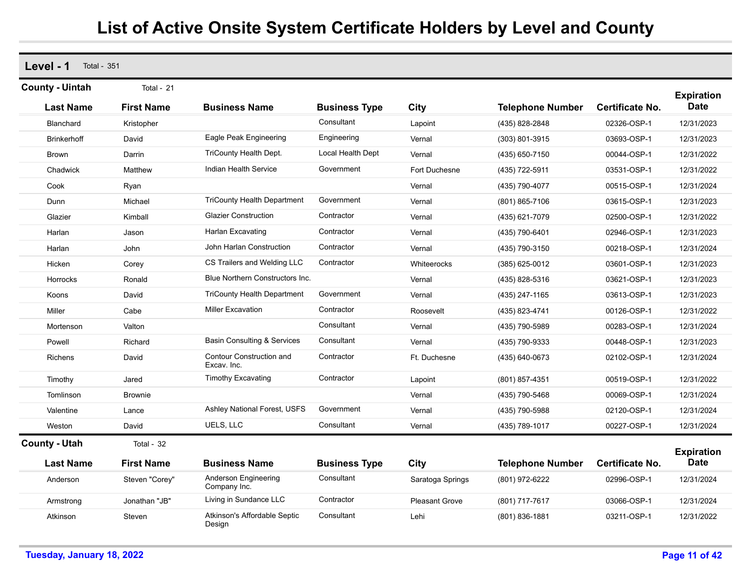**Level - 1** Total - 351 **Last Name First Name Business Name Business Type City Telephone Number County - Uintah** Total - 21 **Expiration Certificate No. Date** Blanchard Kristopher Consultant Lapoint (435) 828-2848 02326-OSP-1 12/31/2023 Brinkerhoff David Eagle Peak Engineering Engineering Vernal (303) 801-3915 03693-OSP-1 12/31/2023 Brown Darrin TriCounty Health Dept. Local Health Dept Vernal (435) 650-7150 00044-OSP-1 12/31/2022 Chadwick Matthew Indian Health Service Government Fort Duchesne (435) 722-5911 03531-OSP-1 12/31/2022 Cook Ryan Vernal (435) 790-4077 00515-OSP-1 12/31/2024 Dunn Michael TriCounty Health Department Government Vernal (801) 865-7106 03615-OSP-1 12/31/2023 Glazier Kimball Glazier Construction Contractor Vernal (435) 621-7079 02500-OSP-1 12/31/2022 Harlan Jason Harlan Excavating Contractor Vernal (435) 790-6401 02946-OSP-1 12/31/2023 Harlan John John Harlan Construction Contractor Vernal (435) 790-3150 00218-OSP-1 12/31/2024 Hicken Corey CS Trailers and Welding LLC Contractor Whiteerocks (385) 625-0012 03601-OSP-1 12/31/2023 Horrocks Ronald Blue Northern Constructors Inc. Vernal (435) 828-5316 03621-OSP-1 12/31/2023 Koons David TriCounty Health Department Government Vernal (435) 247-1165 03613-OSP-1 12/31/2023 Miller Cabe Miller Excavation Contractor Roosevelt (435) 823-4741 00126-OSP-1 12/31/2022 Mortenson Valton Consultant Vernal (435) 790-5989 00283-OSP-1 12/31/2024 Powell **Richard Basin Consulting & Services** Consultant Vernal (435) 790-9333 00448-OSP-1 12/31/2023 Richens David Contour Construction and Excav. Inc.**Contractor**  Ft. Duchesne (435) 640-0673 02102-OSP-1 12/31/2024 Timothy Jared Timothy Excavating Contractor Lapoint (801) 857-4351 00519-OSP-1 12/31/2022 Tomlinson Brownie Vernal (435) 790-5468 00069-OSP-1 12/31/2024 Valentine Lance Ashley National Forest, USFS Government Vernal (435) 790-5988 02120-OSP-1 12/31/2024 Weston David UELS, LLC Consultant Vernal (435) 789-1017 00227-OSP-1 12/31/2024 **Last Name First Name Business Name Business Type City Telephone Number County - Utah** Total - 32 **Expiration Certificate No. Date** Anderson Steven "Corey" Anderson Engineering Company Inc. **Consultant**  Saratoga Springs (801) 972-6222 02996-OSP-1 12/31/2024 Armstrong Jonathan "JB" Living in Sundance LLC Contractor Pleasant Grove (801) 717-7617 03066-OSP-1 12/31/2024 Atkinson Steven Atkinson's Affordable Septic Design **Consultant** Lehi (801) 836-1881 03211-OSP-1 12/31/2022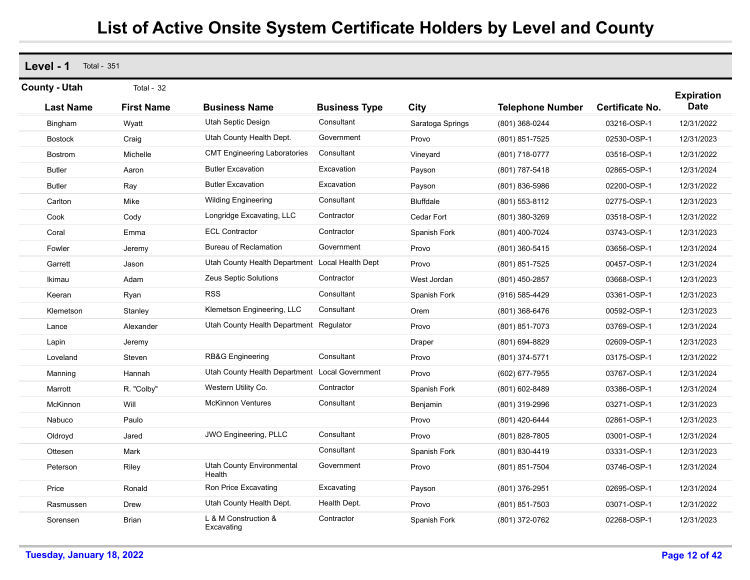| Level - 1<br><b>Total - 351</b> |                   |                                                 |                      |                  |                         |                        |                                  |
|---------------------------------|-------------------|-------------------------------------------------|----------------------|------------------|-------------------------|------------------------|----------------------------------|
| <b>County - Utah</b>            | Total - 32        |                                                 |                      |                  |                         |                        |                                  |
| <b>Last Name</b>                | <b>First Name</b> | <b>Business Name</b>                            | <b>Business Type</b> | City             | <b>Telephone Number</b> | <b>Certificate No.</b> | <b>Expiration</b><br><b>Date</b> |
| Bingham                         | Wyatt             | Utah Septic Design                              | Consultant           | Saratoga Springs | (801) 368-0244          | 03216-OSP-1            | 12/31/2022                       |
| <b>Bostock</b>                  | Craig             | Utah County Health Dept.                        | Government           | Provo            | (801) 851-7525          | 02530-OSP-1            | 12/31/2023                       |
| <b>Bostrom</b>                  | Michelle          | <b>CMT Engineering Laboratories</b>             | Consultant           | Vineyard         | (801) 718-0777          | 03516-OSP-1            | 12/31/2022                       |
| <b>Butler</b>                   | Aaron             | <b>Butler Excavation</b>                        | Excavation           | Payson           | (801) 787-5418          | 02865-OSP-1            | 12/31/2024                       |
| <b>Butler</b>                   | Ray               | <b>Butler Excavation</b>                        | Excavation           | Payson           | (801) 836-5986          | 02200-OSP-1            | 12/31/2022                       |
| Carlton                         | Mike              | <b>Wilding Engineering</b>                      | Consultant           | <b>Bluffdale</b> | (801) 553-8112          | 02775-OSP-1            | 12/31/2023                       |
| Cook                            | Cody              | Longridge Excavating, LLC                       | Contractor           | Cedar Fort       | (801) 380-3269          | 03518-OSP-1            | 12/31/2022                       |
| Coral                           | Emma              | <b>ECL Contractor</b>                           | Contractor           | Spanish Fork     | (801) 400-7024          | 03743-OSP-1            | 12/31/2023                       |
| Fowler                          | Jeremy            | <b>Bureau of Reclamation</b>                    | Government           | Provo            | (801) 360-5415          | 03656-OSP-1            | 12/31/2024                       |
| Garrett                         | Jason             | Utah County Health Department Local Health Dept |                      | Provo            | (801) 851-7525          | 00457-OSP-1            | 12/31/2024                       |
| Ikimau                          | Adam              | Zeus Septic Solutions                           | Contractor           | West Jordan      | (801) 450-2857          | 03668-OSP-1            | 12/31/2023                       |
| Keeran                          | Ryan              | <b>RSS</b>                                      | Consultant           | Spanish Fork     | (916) 585-4429          | 03361-OSP-1            | 12/31/2023                       |
| Klemetson                       | Stanley           | Klemetson Engineering, LLC                      | Consultant           | Orem             | (801) 368-6476          | 00592-OSP-1            | 12/31/2023                       |
| Lance                           | Alexander         | Utah County Health Department                   | Regulator            | Provo            | (801) 851-7073          | 03769-OSP-1            | 12/31/2024                       |
| Lapin                           | Jeremy            |                                                 |                      | Draper           | (801) 694-8829          | 02609-OSP-1            | 12/31/2023                       |
| Loveland                        | Steven            | <b>RB&amp;G Engineering</b>                     | Consultant           | Provo            | (801) 374-5771          | 03175-OSP-1            | 12/31/2022                       |
| Manning                         | Hannah            | Utah County Health Department Local Government  |                      | Provo            | (602) 677-7955          | 03767-OSP-1            | 12/31/2024                       |
| Marrott                         | R. "Colby"        | Western Utility Co.                             | Contractor           | Spanish Fork     | (801) 602-8489          | 03386-OSP-1            | 12/31/2024                       |
| McKinnon                        | Will              | <b>McKinnon Ventures</b>                        | Consultant           | Benjamin         | (801) 319-2996          | 03271-OSP-1            | 12/31/2023                       |
| Nabuco                          | Paulo             |                                                 |                      | Provo            | (801) 420-6444          | 02861-OSP-1            | 12/31/2023                       |
| Oldroyd                         | Jared             | <b>JWO Engineering, PLLC</b>                    | Consultant           | Provo            | (801) 828-7805          | 03001-OSP-1            | 12/31/2024                       |
| Ottesen                         | Mark              |                                                 | Consultant           | Spanish Fork     | (801) 830-4419          | 03331-OSP-1            | 12/31/2023                       |
| Peterson                        | Riley             | <b>Utah County Environmental</b><br>Health      | Government           | Provo            | (801) 851-7504          | 03746-OSP-1            | 12/31/2024                       |
| Price                           | Ronald            | Ron Price Excavating                            | Excavating           | Payson           | (801) 376-2951          | 02695-OSP-1            | 12/31/2024                       |
| Rasmussen                       | <b>Drew</b>       | Utah County Health Dept.                        | Health Dept.         | Provo            | (801) 851-7503          | 03071-OSP-1            | 12/31/2022                       |
| Sorensen                        | <b>Brian</b>      | L & M Construction &<br>Excavating              | Contractor           | Spanish Fork     | (801) 372-0762          | 02268-OSP-1            | 12/31/2023                       |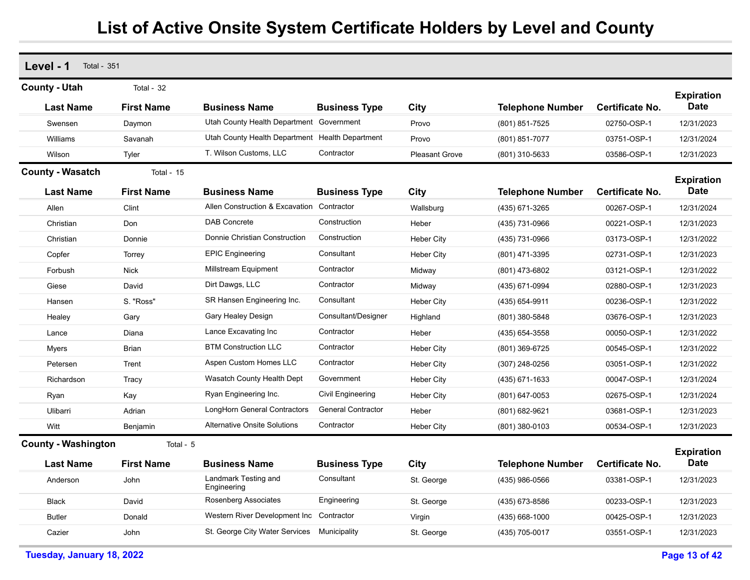| Level - 1<br><b>Total - 351</b> |                   |                                                 |                           |                       |                         |                        |                                  |
|---------------------------------|-------------------|-------------------------------------------------|---------------------------|-----------------------|-------------------------|------------------------|----------------------------------|
| <b>County - Utah</b>            | Total - 32        |                                                 |                           |                       |                         |                        |                                  |
| <b>Last Name</b>                | <b>First Name</b> | <b>Business Name</b>                            | <b>Business Type</b>      | City                  | <b>Telephone Number</b> | Certificate No.        | <b>Expiration</b><br>Date        |
| Swensen                         | Daymon            | Utah County Health Department Government        |                           | Provo                 | (801) 851-7525          | 02750-OSP-1            | 12/31/2023                       |
| Williams                        | Savanah           | Utah County Health Department Health Department |                           | Provo                 | (801) 851-7077          | 03751-OSP-1            | 12/31/2024                       |
| Wilson                          | Tyler             | T. Wilson Customs, LLC                          | Contractor                | <b>Pleasant Grove</b> | (801) 310-5633          | 03586-OSP-1            | 12/31/2023                       |
| <b>County - Wasatch</b>         | Total - 15        |                                                 |                           |                       |                         |                        | <b>Expiration</b>                |
| <b>Last Name</b>                | <b>First Name</b> | <b>Business Name</b>                            | <b>Business Type</b>      | City                  | <b>Telephone Number</b> | <b>Certificate No.</b> | <b>Date</b>                      |
| Allen                           | Clint             | Allen Construction & Excavation Contractor      |                           | Wallsburg             | (435) 671-3265          | 00267-OSP-1            | 12/31/2024                       |
| Christian                       | Don               | <b>DAB Concrete</b>                             | Construction              | Heber                 | (435) 731-0966          | 00221-OSP-1            | 12/31/2023                       |
| Christian                       | Donnie            | Donnie Christian Construction                   | Construction              | <b>Heber City</b>     | (435) 731-0966          | 03173-OSP-1            | 12/31/2022                       |
| Copfer                          | Torrey            | <b>EPIC Engineering</b>                         | Consultant                | Heber City            | (801) 471-3395          | 02731-OSP-1            | 12/31/2023                       |
| Forbush                         | <b>Nick</b>       | Millstream Equipment                            | Contractor                | Midway                | (801) 473-6802          | 03121-OSP-1            | 12/31/2022                       |
| Giese                           | David             | Dirt Dawgs, LLC                                 | Contractor                | Midway                | (435) 671-0994          | 02880-OSP-1            | 12/31/2023                       |
| Hansen                          | S. "Ross"         | SR Hansen Engineering Inc.                      | Consultant                | <b>Heber City</b>     | (435) 654-9911          | 00236-OSP-1            | 12/31/2022                       |
| Healey                          | Gary              | Gary Healey Design                              | Consultant/Designer       | Highland              | (801) 380-5848          | 03676-OSP-1            | 12/31/2023                       |
| Lance                           | Diana             | Lance Excavating Inc                            | Contractor                | Heber                 | (435) 654-3558          | 00050-OSP-1            | 12/31/2022                       |
| Myers                           | <b>Brian</b>      | <b>BTM Construction LLC</b>                     | Contractor                | <b>Heber City</b>     | (801) 369-6725          | 00545-OSP-1            | 12/31/2022                       |
| Petersen                        | Trent             | Aspen Custom Homes LLC                          | Contractor                | Heber City            | $(307)$ 248-0256        | 03051-OSP-1            | 12/31/2022                       |
| Richardson                      | Tracy             | Wasatch County Health Dept                      | Government                | <b>Heber City</b>     | (435) 671-1633          | 00047-OSP-1            | 12/31/2024                       |
| Ryan                            | Kay               | Ryan Engineering Inc.                           | Civil Engineering         | <b>Heber City</b>     | (801) 647-0053          | 02675-OSP-1            | 12/31/2024                       |
| Ulibarri                        | Adrian            | LongHorn General Contractors                    | <b>General Contractor</b> | Heber                 | $(801)$ 682-9621        | 03681-OSP-1            | 12/31/2023                       |
| Witt                            | Benjamin          | <b>Alternative Onsite Solutions</b>             | Contractor                | <b>Heber City</b>     | (801) 380-0103          | 00534-OSP-1            | 12/31/2023                       |
| <b>County - Washington</b>      | Total - 5         |                                                 |                           |                       |                         |                        |                                  |
| <b>Last Name</b>                | <b>First Name</b> | <b>Business Name</b>                            | <b>Business Type</b>      | City                  | <b>Telephone Number</b> | Certificate No.        | <b>Expiration</b><br><b>Date</b> |
| Anderson                        | John              | Landmark Testing and<br>Engineering             | Consultant                | St. George            | (435) 986-0566          | 03381-OSP-1            | 12/31/2023                       |
| <b>Black</b>                    | David             | Rosenberg Associates                            | Engineering               | St. George            | (435) 673-8586          | 00233-OSP-1            | 12/31/2023                       |
| <b>Butler</b>                   | Donald            | Western River Development Inc Contractor        |                           | Virgin                | (435) 668-1000          | 00425-OSP-1            | 12/31/2023                       |
| Cazier                          | John              | St. George City Water Services                  | Municipality              | St. George            | (435) 705-0017          | 03551-OSP-1            | 12/31/2023                       |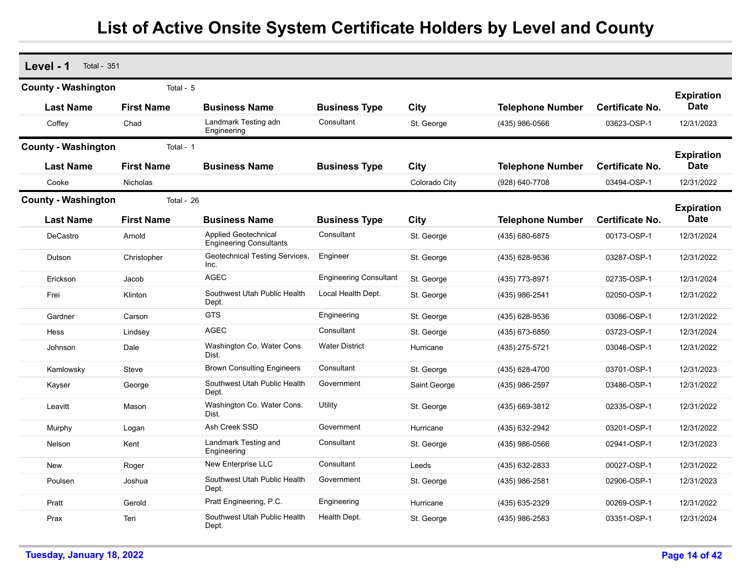| Level - 1<br><b>Total - 351</b> |                   |                                                               |                               |               |                         |                        |                                  |
|---------------------------------|-------------------|---------------------------------------------------------------|-------------------------------|---------------|-------------------------|------------------------|----------------------------------|
| <b>County - Washington</b>      | Total - 5         |                                                               |                               |               |                         |                        |                                  |
| <b>Last Name</b>                | <b>First Name</b> | <b>Business Name</b>                                          | <b>Business Type</b>          | City          | <b>Telephone Number</b> | <b>Certificate No.</b> | <b>Expiration</b><br><b>Date</b> |
| Coffey                          | Chad              | Landmark Testing adn<br>Engineering                           | Consultant                    | St. George    | (435) 986-0566          | 03623-OSP-1            | 12/31/2023                       |
| <b>County - Washington</b>      | Total - 1         |                                                               |                               |               |                         |                        |                                  |
| <b>Last Name</b>                | <b>First Name</b> | <b>Business Name</b>                                          | <b>Business Type</b>          | City          | <b>Telephone Number</b> | <b>Certificate No.</b> | <b>Expiration</b><br><b>Date</b> |
| Cooke                           | <b>Nicholas</b>   |                                                               |                               | Colorado City | (928) 640-7708          | 03494-OSP-1            | 12/31/2022                       |
| <b>County - Washington</b>      | Total - 26        |                                                               |                               |               |                         |                        |                                  |
| <b>Last Name</b>                | <b>First Name</b> | <b>Business Name</b>                                          | <b>Business Type</b>          | City          | <b>Telephone Number</b> | <b>Certificate No.</b> | <b>Expiration</b><br><b>Date</b> |
| DeCastro                        | Arnold            | <b>Applied Geotechnical</b><br><b>Engineering Consultants</b> | Consultant                    | St. George    | (435) 680-6875          | 00173-OSP-1            | 12/31/2024                       |
| Dutson                          | Christopher       | Geotechnical Testing Services,<br>Inc.                        | Engineer                      | St. George    | (435) 628-9536          | 03287-OSP-1            | 12/31/2022                       |
| Erickson                        | Jacob             | <b>AGEC</b>                                                   | <b>Engineering Consultant</b> | St. George    | (435) 773-8971          | 02735-OSP-1            | 12/31/2024                       |
| Frei                            | Klinton           | Southwest Utah Public Health<br>Dept.                         | Local Health Dept.            | St. George    | (435) 986-2541          | 02050-OSP-1            | 12/31/2022                       |
| Gardner                         | Carson            | <b>GTS</b>                                                    | Engineering                   | St. George    | (435) 628-9536          | 03086-OSP-1            | 12/31/2022                       |
| Hess                            | Lindsey           | <b>AGEC</b>                                                   | Consultant                    | St. George    | (435) 673-6850          | 03723-OSP-1            | 12/31/2024                       |
| Johnson                         | Dale              | Washington Co. Water Cons.<br>Dist.                           | <b>Water District</b>         | Hurricane     | (435) 275-5721          | 03046-OSP-1            | 12/31/2022                       |
| Kamlowsky                       | Steve             | <b>Brown Consulting Engineers</b>                             | Consultant                    | St. George    | (435) 628-4700          | 03701-OSP-1            | 12/31/2023                       |
| Kayser                          | George            | Southwest Utah Public Health<br>Dept.                         | Government                    | Saint George  | (435) 986-2597          | 03486-OSP-1            | 12/31/2022                       |
| Leavitt                         | Mason             | Washington Co. Water Cons.<br>Dist.                           | Utility                       | St. George    | (435) 669-3812          | 02335-OSP-1            | 12/31/2022                       |
| Murphy                          | Logan             | Ash Creek SSD                                                 | Government                    | Hurricane     | (435) 632-2942          | 03201-OSP-1            | 12/31/2022                       |
| Nelson                          | Kent              | Landmark Testing and<br>Engineering                           | Consultant                    | St. George    | (435) 986-0566          | 02941-OSP-1            | 12/31/2023                       |
| <b>New</b>                      | Roger             | <b>New Enterprise LLC</b>                                     | Consultant                    | Leeds         | (435) 632-2833          | 00027-OSP-1            | 12/31/2022                       |
| Poulsen                         | Joshua            | Southwest Utah Public Health<br>Dept.                         | Government                    | St. George    | (435) 986-2581          | 02906-OSP-1            | 12/31/2023                       |
| Pratt                           | Gerold            | Pratt Engineering, P.C.                                       | Engineering                   | Hurricane     | (435) 635-2329          | 00269-OSP-1            | 12/31/2022                       |
| Prax                            | Teri              | Southwest Utah Public Health<br>Dept.                         | Health Dept.                  | St. George    | (435) 986-2583          | 03351-OSP-1            | 12/31/2024                       |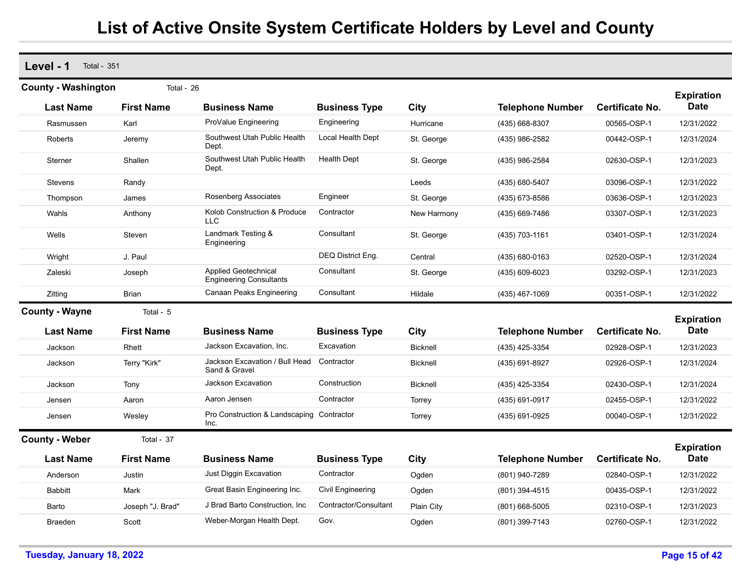**Level - 1** Total - 351

| <b>County - Washington</b> | Total - 26        |                                                               |                       |                 |                         |                        | <b>Expiration</b>                |
|----------------------------|-------------------|---------------------------------------------------------------|-----------------------|-----------------|-------------------------|------------------------|----------------------------------|
| <b>Last Name</b>           | <b>First Name</b> | <b>Business Name</b>                                          | <b>Business Type</b>  | City            | <b>Telephone Number</b> | Certificate No.        | <b>Date</b>                      |
| Rasmussen                  | Karl              | ProValue Engineering                                          | Engineering           | Hurricane       | (435) 668-8307          | 00565-OSP-1            | 12/31/2022                       |
| Roberts                    | Jeremy            | Southwest Utah Public Health<br>Dept.                         | Local Health Dept     | St. George      | (435) 986-2582          | 00442-OSP-1            | 12/31/2024                       |
| Sterner                    | Shallen           | Southwest Utah Public Health<br>Dept.                         | <b>Health Dept</b>    | St. George      | (435) 986-2584          | 02630-OSP-1            | 12/31/2023                       |
| Stevens                    | Randy             |                                                               |                       | Leeds           | (435) 680-5407          | 03096-OSP-1            | 12/31/2022                       |
| Thompson                   | James             | Rosenberg Associates                                          | Engineer              | St. George      | (435) 673-8586          | 03636-OSP-1            | 12/31/2023                       |
| Wahls                      | Anthony           | Kolob Construction & Produce<br><b>LLC</b>                    | Contractor            | New Harmony     | (435) 669-7486          | 03307-OSP-1            | 12/31/2023                       |
| Wells                      | Steven            | Landmark Testing &<br>Engineering                             | Consultant            | St. George      | (435) 703-1161          | 03401-OSP-1            | 12/31/2024                       |
| Wright                     | J. Paul           |                                                               | DEQ District Eng.     | Central         | (435) 680-0163          | 02520-OSP-1            | 12/31/2024                       |
| Zaleski                    | Joseph            | <b>Applied Geotechnical</b><br><b>Engineering Consultants</b> | Consultant            | St. George      | (435) 609-6023          | 03292-OSP-1            | 12/31/2023                       |
| Zitting                    | <b>Brian</b>      | Canaan Peaks Engineering                                      | Consultant            | Hildale         | (435) 467-1069          | 00351-OSP-1            | 12/31/2022                       |
| <b>County - Wayne</b>      | Total - 5         |                                                               |                       |                 |                         |                        |                                  |
| <b>Last Name</b>           | <b>First Name</b> | <b>Business Name</b>                                          | <b>Business Type</b>  | City            | <b>Telephone Number</b> | <b>Certificate No.</b> | <b>Expiration</b><br><b>Date</b> |
| Jackson                    | Rhett             | Jackson Excavation, Inc.                                      | Excavation            | <b>Bicknell</b> | (435) 425-3354          | 02928-OSP-1            | 12/31/2023                       |
| Jackson                    | Terry "Kirk"      | Jackson Excavation / Bull Head<br>Sand & Gravel               | Contractor            | <b>Bicknell</b> | (435) 691-8927          | 02926-OSP-1            | 12/31/2024                       |
| Jackson                    | Tony              | <b>Jackson Excavation</b>                                     | Construction          | <b>Bicknell</b> | (435) 425-3354          | 02430-OSP-1            | 12/31/2024                       |
| Jensen                     | Aaron             | Aaron Jensen                                                  | Contractor            | Torrey          | (435) 691-0917          | 02455-OSP-1            | 12/31/2022                       |
| Jensen                     | Wesley            | Pro Construction & Landscaping<br>Inc.                        | Contractor            | Torrey          | (435) 691-0925          | 00040-OSP-1            | 12/31/2022                       |
| <b>County - Weber</b>      | Total - 37        |                                                               |                       |                 |                         |                        |                                  |
| <b>Last Name</b>           | <b>First Name</b> | <b>Business Name</b>                                          | <b>Business Type</b>  | City            | <b>Telephone Number</b> | <b>Certificate No.</b> | <b>Expiration</b><br><b>Date</b> |
| Anderson                   | Justin            | Just Diggin Excavation                                        | Contractor            | Ogden           | (801) 940-7289          | 02840-OSP-1            | 12/31/2022                       |
|                            | Mark              | Great Basin Engineering Inc.                                  | Civil Engineering     | Ogden           | (801) 394-4515          | 00435-OSP-1            | 12/31/2022                       |
| <b>Babbitt</b>             |                   |                                                               |                       |                 |                         |                        |                                  |
| Barto                      | Joseph "J. Brad"  | J Brad Barto Construction, Inc                                | Contractor/Consultant | Plain City      | (801) 668-5005          | 02310-OSP-1            | 12/31/2023                       |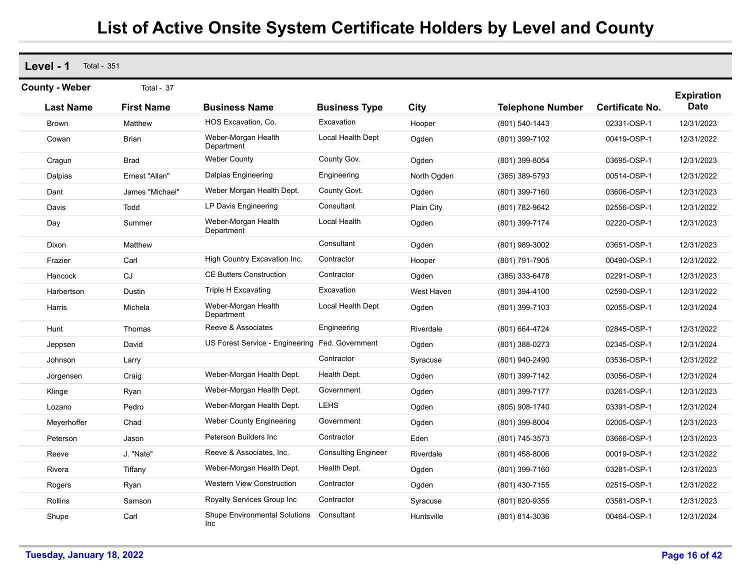**Level - 1** Total - 351 **Last Name First Name Business Name Business Type City Telephone Number County - Weber** Total - 37 **Expiration Certificate No. Date** Brown Matthew HOS Excavation, Co. Excavation Hooper (801) 540-1443 02331-OSP-1 12/31/2023 Cowan Brian Weber-Morgan Health Department Local Health Dept Ogden (801) 399-7102 00419-OSP-1 12/31/2022 Cragun Brad Weber County County Gov. Ogden (801) 399-8054 03695-OSP-1 12/31/2023 Dalpias Ernest "Allan" Dalpias Engineering Engineering North Ogden (385) 389-5793 00514-OSP-1 12/31/2022 Dant James "Michael" Weber Morgan Health Dept. County Govt. Ogden (801) 399-7160 03606-OSP-1 12/31/2023 Davis Todd LP Davis Engineering Consultant Plain City (801) 782-9642 02556-OSP-1 12/31/2022 Day **Summer** Weber-Morgan Health Department Local Health Ogden (801) 399-7174 02220-OSP-1 12/31/2023 Dixon Matthew Consultant Ogden (801) 989-3002 03651-OSP-1 12/31/2023 Frazier Carl Carl High Country Excavation Inc. Contractor Hooper (801) 791-7905 00490-OSP-1 12/31/2022 Hancock CJ CE Butters Construction Contractor Ogden (385) 333-6478 02291-OSP-1 12/31/2023 Harbertson Dustin Triple H Excavating Excavation West Haven (801) 394-4100 02590-OSP-1 12/31/2022 Harris Michela Weber-Morgan Health Department Local Health Dept Ogden (801) 399-7103 02055-OSP-1 12/31/2024 Hunt Thomas Reeve & Associates Engineering Riverdale (801) 664-4724 02845-OSP-1 12/31/2022 Jeppsen David US Forest Service - Engineering Fed. Government Ogden (801) 388-0273 02345-OSP-1 12/31/2024 Johnson Larry Contractor Syracuse (801) 940-2490 03536-OSP-1 12/31/2022 Jorgensen Craig Weber-Morgan Health Dept. Health Dept. Ogden (801) 399-7142 03056-OSP-1 12/31/2024 Klinge Ryan Weber-Morgan Health Dept. Government Ogden (801) 399-7177 03261-OSP-1 12/31/2023 Lozano Pedro Weber-Morgan Health Dept. LEHS Ogden (805) 908-1740 03391-OSP-1 12/31/2024 Meyerhoffer Chad Weber County Engineering Government Ogden (801) 399-8004 02005-OSP-1 12/31/2023 Peterson Jason Peterson Builders Inc Contractor Eden (801) 745-3573 03666-OSP-1 12/31/2023 Reeve J. "Nate" Reeve & Associates, Inc. Consulting Engineer Riverdale (801) 458-8006 00019-OSP-1 12/31/2022 Rivera Tiffany Weber-Morgan Health Dept. Health Dept. Ogden (801) 399-7160 03281-OSP-1 12/31/2023 Rogers Ryan Western View Construction Contractor Ogden (801) 430-7155 02515-OSP-1 12/31/2022 Rollins Samson Samson Boyalty Services Group Inc Contractor Syracuse (801) 820-9355 03581-OSP-1 12/31/2023 Shupe Carl Carl Shupe Environmental Solutions Inc**Consultant** Huntsville (801) 814-3036 00464-OSP-1 12/31/2024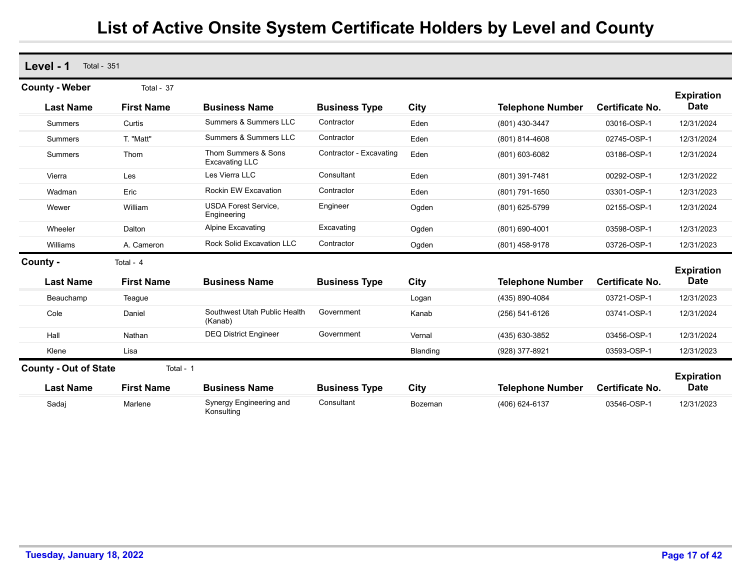| Level - 1<br><b>Total - 351</b> |                   |                                              |                         |          |                         |                        |                                  |
|---------------------------------|-------------------|----------------------------------------------|-------------------------|----------|-------------------------|------------------------|----------------------------------|
| <b>County - Weber</b>           | Total - 37        |                                              |                         |          |                         |                        | <b>Expiration</b>                |
| <b>Last Name</b>                | <b>First Name</b> | <b>Business Name</b>                         | <b>Business Type</b>    | City     | <b>Telephone Number</b> | <b>Certificate No.</b> | <b>Date</b>                      |
| <b>Summers</b>                  | Curtis            | Summers & Summers LLC                        | Contractor              | Eden     | (801) 430-3447          | 03016-OSP-1            | 12/31/2024                       |
| <b>Summers</b>                  | T. "Matt"         | Summers & Summers LLC                        | Contractor              | Eden     | (801) 814-4608          | 02745-OSP-1            | 12/31/2024                       |
| Summers                         | Thom              | Thom Summers & Sons<br><b>Excavating LLC</b> | Contractor - Excavating | Eden     | (801) 603-6082          | 03186-OSP-1            | 12/31/2024                       |
| Vierra                          | Les               | Les Vierra LLC                               | Consultant              | Eden     | (801) 391-7481          | 00292-OSP-1            | 12/31/2022                       |
| Wadman                          | Eric              | Rockin EW Excavation                         | Contractor              | Eden     | (801) 791-1650          | 03301-OSP-1            | 12/31/2023                       |
| Wewer                           | William           | <b>USDA Forest Service,</b><br>Engineering   | Engineer                | Ogden    | (801) 625-5799          | 02155-OSP-1            | 12/31/2024                       |
| Wheeler                         | Dalton            | <b>Alpine Excavating</b>                     | Excavating              | Ogden    | (801) 690-4001          | 03598-OSP-1            | 12/31/2023                       |
| Williams                        | A. Cameron        | <b>Rock Solid Excavation LLC</b>             | Contractor              | Ogden    | (801) 458-9178          | 03726-OSP-1            | 12/31/2023                       |
| County -                        | Total - 4         |                                              |                         |          |                         |                        |                                  |
| <b>Last Name</b>                | <b>First Name</b> | <b>Business Name</b>                         | <b>Business Type</b>    | City     | <b>Telephone Number</b> | <b>Certificate No.</b> | <b>Expiration</b><br><b>Date</b> |
| Beauchamp                       | Teague            |                                              |                         | Logan    | (435) 890-4084          | 03721-OSP-1            | 12/31/2023                       |
| Cole                            | Daniel            | Southwest Utah Public Health<br>(Kanab)      | Government              | Kanab    | $(256) 541-6126$        | 03741-OSP-1            | 12/31/2024                       |
| Hall                            | Nathan            | <b>DEQ District Engineer</b>                 | Government              | Vernal   | (435) 630-3852          | 03456-OSP-1            | 12/31/2024                       |
| Klene                           | Lisa              |                                              |                         | Blanding | (928) 377-8921          | 03593-OSP-1            | 12/31/2023                       |
| <b>County - Out of State</b>    | Total - 1         |                                              |                         |          |                         |                        |                                  |
| <b>Last Name</b>                | <b>First Name</b> | <b>Business Name</b>                         | <b>Business Type</b>    | City     | <b>Telephone Number</b> | <b>Certificate No.</b> | <b>Expiration</b><br><b>Date</b> |
| Sadaj                           | Marlene           | Synergy Engineering and<br>Konsulting        | Consultant              | Bozeman  | (406) 624-6137          | 03546-OSP-1            | 12/31/2023                       |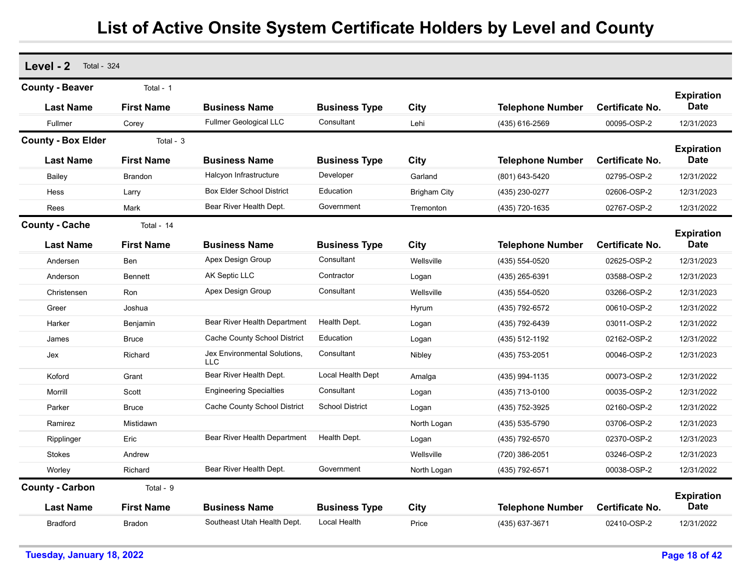| Level - 2<br><b>Total - 324</b>            |                                |                                            |                        |                     |                         |                        |                                  |
|--------------------------------------------|--------------------------------|--------------------------------------------|------------------------|---------------------|-------------------------|------------------------|----------------------------------|
|                                            |                                |                                            |                        |                     |                         |                        |                                  |
| <b>County - Beaver</b><br><b>Last Name</b> | Total - 1<br><b>First Name</b> | <b>Business Name</b>                       | <b>Business Type</b>   | City                | <b>Telephone Number</b> | <b>Certificate No.</b> | <b>Expiration</b><br><b>Date</b> |
| Fullmer                                    | Corey                          | <b>Fullmer Geological LLC</b>              | Consultant             | Lehi                | (435) 616-2569          | 00095-OSP-2            | 12/31/2023                       |
| <b>County - Box Elder</b>                  | Total - 3                      |                                            |                        |                     |                         |                        |                                  |
| <b>Last Name</b>                           | <b>First Name</b>              | <b>Business Name</b>                       | <b>Business Type</b>   | City                | <b>Telephone Number</b> | <b>Certificate No.</b> | <b>Expiration</b><br><b>Date</b> |
| Bailey                                     | <b>Brandon</b>                 | Halcyon Infrastructure                     | Developer              | Garland             | (801) 643-5420          | 02795-OSP-2            | 12/31/2022                       |
| Hess                                       | Larry                          | <b>Box Elder School District</b>           | Education              | <b>Brigham City</b> | (435) 230-0277          | 02606-OSP-2            | 12/31/2023                       |
| Rees                                       | Mark                           | Bear River Health Dept.                    | Government             | Tremonton           | (435) 720-1635          | 02767-OSP-2            | 12/31/2022                       |
| <b>County - Cache</b>                      | Total - 14                     |                                            |                        |                     |                         |                        |                                  |
| <b>Last Name</b>                           | <b>First Name</b>              | <b>Business Name</b>                       | <b>Business Type</b>   | City                | <b>Telephone Number</b> | Certificate No.        | <b>Expiration</b><br>Date        |
| Andersen                                   | Ben                            | Apex Design Group                          | Consultant             | Wellsville          | (435) 554-0520          | 02625-OSP-2            | 12/31/2023                       |
| Anderson                                   | Bennett                        | AK Septic LLC                              | Contractor             | Logan               | (435) 265-6391          | 03588-OSP-2            | 12/31/2023                       |
| Christensen                                | Ron                            | Apex Design Group                          | Consultant             | Wellsville          | (435) 554-0520          | 03266-OSP-2            | 12/31/2023                       |
| Greer                                      | Joshua                         |                                            |                        | Hyrum               | (435) 792-6572          | 00610-OSP-2            | 12/31/2022                       |
| Harker                                     | Benjamin                       | Bear River Health Department               | Health Dept.           | Logan               | (435) 792-6439          | 03011-OSP-2            | 12/31/2022                       |
| James                                      | <b>Bruce</b>                   | Cache County School District               | Education              | Logan               | (435) 512-1192          | 02162-OSP-2            | 12/31/2022                       |
| Jex                                        | Richard                        | Jex Environmental Solutions,<br><b>LLC</b> | Consultant             | Nibley              | (435) 753-2051          | 00046-OSP-2            | 12/31/2023                       |
| Koford                                     | Grant                          | Bear River Health Dept.                    | Local Health Dept      | Amalga              | (435) 994-1135          | 00073-OSP-2            | 12/31/2022                       |
| Morrill                                    | Scott                          | <b>Engineering Specialties</b>             | Consultant             | Logan               | (435) 713-0100          | 00035-OSP-2            | 12/31/2022                       |
| Parker                                     | <b>Bruce</b>                   | Cache County School District               | <b>School District</b> | Logan               | (435) 752-3925          | 02160-OSP-2            | 12/31/2022                       |
| Ramirez                                    | Mistidawn                      |                                            |                        | North Logan         | (435) 535-5790          | 03706-OSP-2            | 12/31/2023                       |
| Ripplinger                                 | Eric                           | Bear River Health Department               | Health Dept.           | Logan               | (435) 792-6570          | 02370-OSP-2            | 12/31/2023                       |
| Stokes                                     | Andrew                         |                                            |                        | Wellsville          | (720) 386-2051          | 03246-OSP-2            | 12/31/2023                       |
| Worley                                     | Richard                        | Bear River Health Dept.                    | Government             | North Logan         | (435) 792-6571          | 00038-OSP-2            | 12/31/2022                       |
| <b>County - Carbon</b>                     | Total - 9                      |                                            |                        |                     |                         |                        | <b>Expiration</b>                |
| <b>Last Name</b>                           | <b>First Name</b>              | <b>Business Name</b>                       | <b>Business Type</b>   | City                | <b>Telephone Number</b> | <b>Certificate No.</b> | <b>Date</b>                      |
| <b>Bradford</b>                            | <b>Bradon</b>                  | Southeast Utah Health Dept.                | Local Health           | Price               | (435) 637-3671          | 02410-OSP-2            | 12/31/2022                       |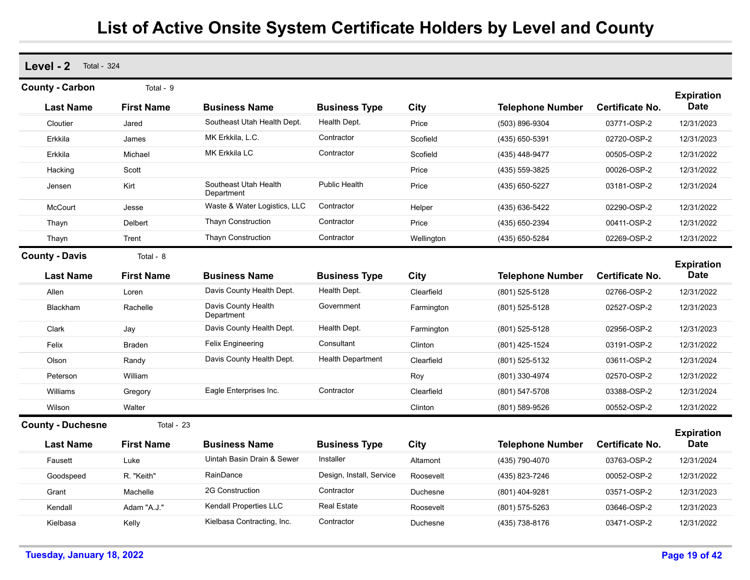| Level - 2<br><b>Total - 324</b> |                   |                                     |                          |            |                         |                        |                           |
|---------------------------------|-------------------|-------------------------------------|--------------------------|------------|-------------------------|------------------------|---------------------------|
| <b>County - Carbon</b>          | Total - 9         |                                     |                          |            |                         |                        | <b>Expiration</b>         |
| <b>Last Name</b>                | <b>First Name</b> | <b>Business Name</b>                | <b>Business Type</b>     | City       | <b>Telephone Number</b> | <b>Certificate No.</b> | <b>Date</b>               |
| Cloutier                        | Jared             | Southeast Utah Health Dept.         | Health Dept.             | Price      | (503) 896-9304          | 03771-OSP-2            | 12/31/2023                |
| Erkkila                         | James             | MK Erkkila, L.C.                    | Contractor               | Scofield   | (435) 650-5391          | 02720-OSP-2            | 12/31/2023                |
| Erkkila                         | Michael           | <b>MK Erkkila LC</b>                | Contractor               | Scofield   | (435) 448-9477          | 00505-OSP-2            | 12/31/2022                |
| Hacking                         | Scott             |                                     |                          | Price      | (435) 559-3825          | 00026-OSP-2            | 12/31/2022                |
| Jensen                          | Kirt              | Southeast Utah Health<br>Department | <b>Public Health</b>     | Price      | (435) 650-5227          | 03181-OSP-2            | 12/31/2024                |
| <b>McCourt</b>                  | Jesse             | Waste & Water Logistics, LLC        | Contractor               | Helper     | (435) 636-5422          | 02290-OSP-2            | 12/31/2022                |
| Thayn                           | <b>Delbert</b>    | <b>Thayn Construction</b>           | Contractor               | Price      | (435) 650-2394          | 00411-OSP-2            | 12/31/2022                |
| Thayn                           | Trent             | <b>Thayn Construction</b>           | Contractor               | Wellington | (435) 650-5284          | 02269-OSP-2            | 12/31/2022                |
| <b>County - Davis</b>           | Total - 8         |                                     |                          |            |                         |                        |                           |
| <b>Last Name</b>                | <b>First Name</b> | <b>Business Name</b>                | <b>Business Type</b>     | City       | <b>Telephone Number</b> | <b>Certificate No.</b> | <b>Expiration</b><br>Date |
| Allen                           | Loren             | Davis County Health Dept.           | Health Dept.             | Clearfield | (801) 525-5128          | 02766-OSP-2            | 12/31/2022                |
| Blackham                        | Rachelle          | Davis County Health<br>Department   | Government               | Farmington | (801) 525-5128          | 02527-OSP-2            | 12/31/2023                |
| Clark                           | Jay               | Davis County Health Dept.           | Health Dept.             | Farmington | (801) 525-5128          | 02956-OSP-2            | 12/31/2023                |
| Felix                           | <b>Braden</b>     | <b>Felix Engineering</b>            | Consultant               | Clinton    | (801) 425-1524          | 03191-OSP-2            | 12/31/2022                |
| Olson                           | Randy             | Davis County Health Dept.           | <b>Health Department</b> | Clearfield | (801) 525-5132          | 03611-OSP-2            | 12/31/2024                |
| Peterson                        | William           |                                     |                          | Roy        | (801) 330-4974          | 02570-OSP-2            | 12/31/2022                |
| Williams                        | Gregory           | Eagle Enterprises Inc.              | Contractor               | Clearfield | (801) 547-5708          | 03388-OSP-2            | 12/31/2024                |
| Wilson                          | Walter            |                                     |                          | Clinton    | (801) 589-9526          | 00552-OSP-2            | 12/31/2022                |
| <b>County - Duchesne</b>        | Total - 23        |                                     |                          |            |                         |                        |                           |
| <b>Last Name</b>                | <b>First Name</b> | <b>Business Name</b>                | <b>Business Type</b>     | City       | <b>Telephone Number</b> | <b>Certificate No.</b> | <b>Expiration</b><br>Date |
| Fausett                         | Luke              | Uintah Basin Drain & Sewer          | Installer                | Altamont   | (435) 790-4070          | 03763-OSP-2            | 12/31/2024                |
| Goodspeed                       | R. "Keith"        | RainDance                           | Design, Install, Service | Roosevelt  | (435) 823-7246          | 00052-OSP-2            | 12/31/2022                |
| Grant                           | Machelle          | 2G Construction                     | Contractor               | Duchesne   | (801) 404-9281          | 03571-OSP-2            | 12/31/2023                |
| Kendall                         | Adam "A.J."       | <b>Kendall Properties LLC</b>       | <b>Real Estate</b>       | Roosevelt  | (801) 575-5263          | 03646-OSP-2            | 12/31/2023                |
| Kielbasa                        | Kelly             | Kielbasa Contracting, Inc.          | Contractor               | Duchesne   | (435) 738-8176          | 03471-OSP-2            | 12/31/2022                |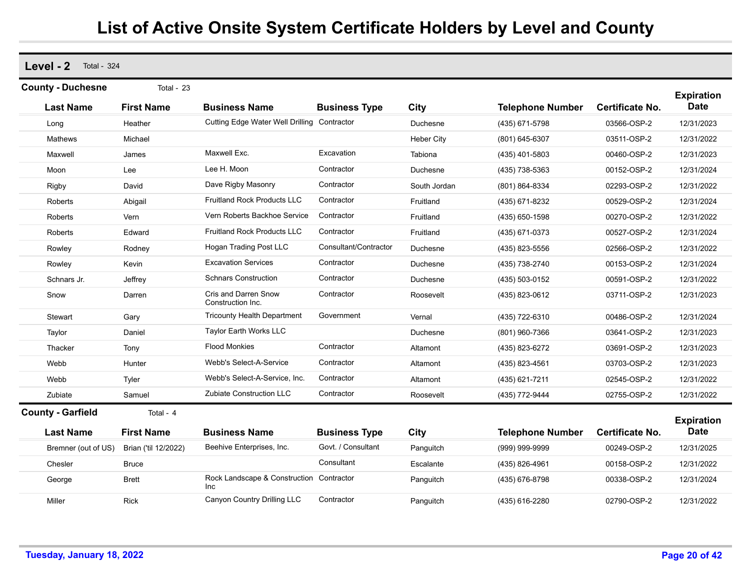**Level - 2** Total - 324

| <b>County - Duchesne</b> | Total - 23           |                                                        |                       |                   |                         |                        |                                  |
|--------------------------|----------------------|--------------------------------------------------------|-----------------------|-------------------|-------------------------|------------------------|----------------------------------|
|                          |                      |                                                        |                       |                   |                         |                        | <b>Expiration</b>                |
| <b>Last Name</b>         | <b>First Name</b>    | <b>Business Name</b>                                   | <b>Business Type</b>  | City              | <b>Telephone Number</b> | <b>Certificate No.</b> | <b>Date</b>                      |
| Long                     | Heather              | Cutting Edge Water Well Drilling Contractor            |                       | Duchesne          | (435) 671-5798          | 03566-OSP-2            | 12/31/2023                       |
| Mathews                  | Michael              |                                                        |                       | <b>Heber City</b> | (801) 645-6307          | 03511-OSP-2            | 12/31/2022                       |
| Maxwell                  | James                | Maxwell Exc.                                           | Excavation            | Tabiona           | (435) 401-5803          | 00460-OSP-2            | 12/31/2023                       |
| Moon                     | Lee                  | Lee H. Moon                                            | Contractor            | Duchesne          | (435) 738-5363          | 00152-OSP-2            | 12/31/2024                       |
| Rigby                    | David                | Dave Rigby Masonry                                     | Contractor            | South Jordan      | (801) 864-8334          | 02293-OSP-2            | 12/31/2022                       |
| Roberts                  | Abigail              | <b>Fruitland Rock Products LLC</b>                     | Contractor            | Fruitland         | (435) 671-8232          | 00529-OSP-2            | 12/31/2024                       |
| Roberts                  | Vern                 | Vern Roberts Backhoe Service                           | Contractor            | Fruitland         | (435) 650-1598          | 00270-OSP-2            | 12/31/2022                       |
| Roberts                  | Edward               | <b>Fruitland Rock Products LLC</b>                     | Contractor            | Fruitland         | (435) 671-0373          | 00527-OSP-2            | 12/31/2024                       |
| Rowley                   | Rodney               | <b>Hogan Trading Post LLC</b>                          | Consultant/Contractor | Duchesne          | (435) 823-5556          | 02566-OSP-2            | 12/31/2022                       |
| Rowley                   | Kevin                | <b>Excavation Services</b>                             | Contractor            | Duchesne          | (435) 738-2740          | 00153-OSP-2            | 12/31/2024                       |
| Schnars Jr.              | Jeffrey              | <b>Schnars Construction</b>                            | Contractor            | Duchesne          | (435) 503-0152          | 00591-OSP-2            | 12/31/2022                       |
| Snow                     | Darren               | Cris and Darren Snow<br>Construction Inc.              | Contractor            | Roosevelt         | (435) 823-0612          | 03711-OSP-2            | 12/31/2023                       |
| Stewart                  | Gary                 | <b>Tricounty Health Department</b>                     | Government            | Vernal            | (435) 722-6310          | 00486-OSP-2            | 12/31/2024                       |
| Taylor                   | Daniel               | Taylor Earth Works LLC                                 |                       | Duchesne          | (801) 960-7366          | 03641-OSP-2            | 12/31/2023                       |
| Thacker                  | Tony                 | <b>Flood Monkies</b>                                   | Contractor            | Altamont          | (435) 823-6272          | 03691-OSP-2            | 12/31/2023                       |
| Webb                     | Hunter               | Webb's Select-A-Service                                | Contractor            | Altamont          | (435) 823-4561          | 03703-OSP-2            | 12/31/2023                       |
| Webb                     | Tyler                | Webb's Select-A-Service, Inc.                          | Contractor            | Altamont          | (435) 621-7211          | 02545-OSP-2            | 12/31/2022                       |
| Zubiate                  | Samuel               | <b>Zubiate Construction LLC</b>                        | Contractor            | Roosevelt         | (435) 772-9444          | 02755-OSP-2            | 12/31/2022                       |
| <b>County - Garfield</b> | Total - 4            |                                                        |                       |                   |                         |                        |                                  |
| <b>Last Name</b>         | <b>First Name</b>    | <b>Business Name</b>                                   | <b>Business Type</b>  | City              | <b>Telephone Number</b> | <b>Certificate No.</b> | <b>Expiration</b><br><b>Date</b> |
| Bremner (out of US)      | Brian ('til 12/2022) | Beehive Enterprises, Inc.                              | Govt. / Consultant    | Panguitch         | (999) 999-9999          | 00249-OSP-2            | 12/31/2025                       |
| Chesler                  | <b>Bruce</b>         |                                                        | Consultant            | Escalante         | (435) 826-4961          | 00158-OSP-2            | 12/31/2022                       |
| George                   | <b>Brett</b>         | Rock Landscape & Construction Contractor<br><b>Inc</b> |                       | Panguitch         | (435) 676-8798          | 00338-OSP-2            | 12/31/2024                       |
| Miller                   | <b>Rick</b>          | Canyon Country Drilling LLC                            | Contractor            | Panguitch         | (435) 616-2280          | 02790-OSP-2            | 12/31/2022                       |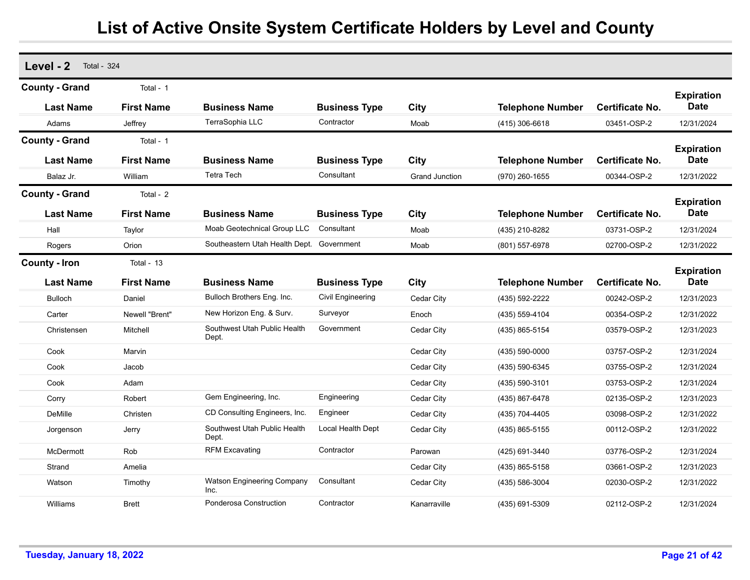| Level - 2<br><b>Total - 324</b> |                   |                                           |                      |                       |                         |                        |                                  |
|---------------------------------|-------------------|-------------------------------------------|----------------------|-----------------------|-------------------------|------------------------|----------------------------------|
| <b>County - Grand</b>           | Total - 1         |                                           |                      |                       |                         |                        | <b>Expiration</b><br><b>Date</b> |
| <b>Last Name</b>                | <b>First Name</b> | <b>Business Name</b>                      | <b>Business Type</b> | City                  | <b>Telephone Number</b> | Certificate No.        |                                  |
| Adams                           | Jeffrey           | TerraSophia LLC                           | Contractor           | Moab                  | (415) 306-6618          | 03451-OSP-2            | 12/31/2024                       |
| <b>County - Grand</b>           | Total - 1         |                                           |                      |                       |                         |                        | <b>Expiration</b>                |
| <b>Last Name</b>                | <b>First Name</b> | <b>Business Name</b>                      | <b>Business Type</b> | City                  | <b>Telephone Number</b> | <b>Certificate No.</b> | <b>Date</b>                      |
| Balaz Jr.                       | William           | <b>Tetra Tech</b>                         | Consultant           | <b>Grand Junction</b> | (970) 260-1655          | 00344-OSP-2            | 12/31/2022                       |
| <b>County - Grand</b>           | Total - 2         |                                           |                      |                       |                         |                        |                                  |
| <b>Last Name</b>                | <b>First Name</b> | <b>Business Name</b>                      | <b>Business Type</b> | City                  | <b>Telephone Number</b> | <b>Certificate No.</b> | <b>Expiration</b><br><b>Date</b> |
| Hall                            | Taylor            | Moab Geotechnical Group LLC               | Consultant           | Moab                  | (435) 210-8282          | 03731-OSP-2            | 12/31/2024                       |
| Rogers                          | Orion             | Southeastern Utah Health Dept.            | Government           | Moab                  | (801) 557-6978          | 02700-OSP-2            | 12/31/2022                       |
| <b>County - Iron</b>            | Total - 13        |                                           |                      |                       |                         |                        |                                  |
| <b>Last Name</b>                | <b>First Name</b> | <b>Business Name</b>                      | <b>Business Type</b> | City                  | <b>Telephone Number</b> | <b>Certificate No.</b> | <b>Expiration</b><br><b>Date</b> |
| <b>Bulloch</b>                  | Daniel            | Bulloch Brothers Eng. Inc.                | Civil Engineering    | Cedar City            | (435) 592-2222          | 00242-OSP-2            | 12/31/2023                       |
| Carter                          | Newell "Brent"    | New Horizon Eng. & Surv.                  | Surveyor             | Enoch                 | (435) 559-4104          | 00354-OSP-2            | 12/31/2022                       |
| Christensen                     | Mitchell          | Southwest Utah Public Health<br>Dept.     | Government           | Cedar City            | (435) 865-5154          | 03579-OSP-2            | 12/31/2023                       |
| Cook                            | Marvin            |                                           |                      | Cedar City            | (435) 590-0000          | 03757-OSP-2            | 12/31/2024                       |
| Cook                            | Jacob             |                                           |                      | Cedar City            | (435) 590-6345          | 03755-OSP-2            | 12/31/2024                       |
| Cook                            | Adam              |                                           |                      | Cedar City            | (435) 590-3101          | 03753-OSP-2            | 12/31/2024                       |
| Corry                           | Robert            | Gem Engineering, Inc.                     | Engineering          | Cedar City            | (435) 867-6478          | 02135-OSP-2            | 12/31/2023                       |
| DeMille                         | Christen          | CD Consulting Engineers, Inc.             | Engineer             | Cedar City            | (435) 704-4405          | 03098-OSP-2            | 12/31/2022                       |
| Jorgenson                       | Jerry             | Southwest Utah Public Health<br>Dept.     | Local Health Dept    | Cedar City            | (435) 865-5155          | 00112-OSP-2            | 12/31/2022                       |
| McDermott                       | Rob               | <b>RFM Excavating</b>                     | Contractor           | Parowan               | (425) 691-3440          | 03776-OSP-2            | 12/31/2024                       |
| Strand                          | Amelia            |                                           |                      | Cedar City            | (435) 865-5158          | 03661-OSP-2            | 12/31/2023                       |
| Watson                          | Timothy           | <b>Watson Engineering Company</b><br>Inc. | Consultant           | Cedar City            | (435) 586-3004          | 02030-OSP-2            | 12/31/2022                       |
| Williams                        | <b>Brett</b>      | Ponderosa Construction                    | Contractor           | Kanarraville          | (435) 691-5309          | 02112-OSP-2            | 12/31/2024                       |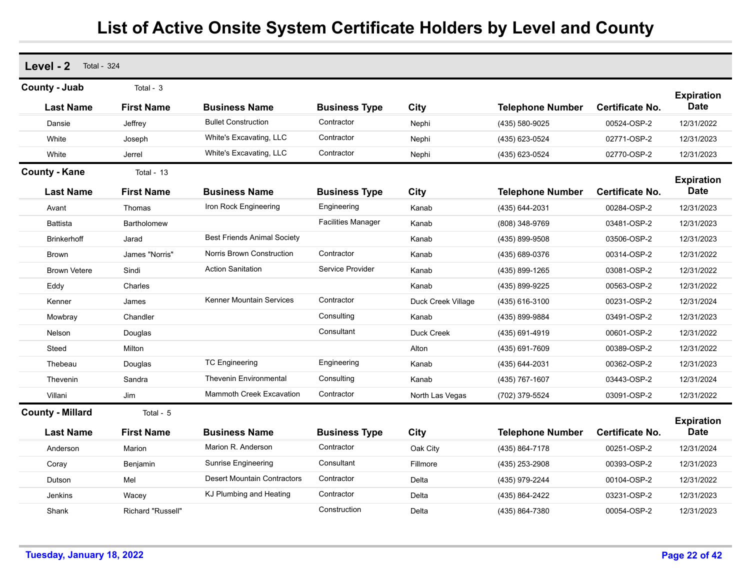| Level - 2<br><b>Total - 324</b> |                   |                                    |                           |                    |                         |                        |                                  |
|---------------------------------|-------------------|------------------------------------|---------------------------|--------------------|-------------------------|------------------------|----------------------------------|
| <b>County - Juab</b>            | Total - $3$       |                                    |                           |                    |                         |                        |                                  |
| <b>Last Name</b>                | <b>First Name</b> | <b>Business Name</b>               | <b>Business Type</b>      | City               | <b>Telephone Number</b> | <b>Certificate No.</b> | <b>Expiration</b><br><b>Date</b> |
| Dansie                          | Jeffrey           | <b>Bullet Construction</b>         | Contractor                | Nephi              | (435) 580-9025          | 00524-OSP-2            | 12/31/2022                       |
| White                           | Joseph            | White's Excavating, LLC            | Contractor                | Nephi              | (435) 623-0524          | 02771-OSP-2            | 12/31/2023                       |
| White                           | Jerrel            | White's Excavating, LLC            | Contractor                | Nephi              | (435) 623-0524          | 02770-OSP-2            | 12/31/2023                       |
| <b>County - Kane</b>            | Total - 13        |                                    |                           |                    |                         |                        |                                  |
| <b>Last Name</b>                | <b>First Name</b> | <b>Business Name</b>               | <b>Business Type</b>      | City               | <b>Telephone Number</b> | Certificate No.        | <b>Expiration</b><br><b>Date</b> |
| Avant                           | Thomas            | Iron Rock Engineering              | Engineering               | Kanab              | (435) 644-2031          | 00284-OSP-2            | 12/31/2023                       |
| <b>Battista</b>                 | Bartholomew       |                                    | <b>Facilities Manager</b> | Kanab              | (808) 348-9769          | 03481-OSP-2            | 12/31/2023                       |
| <b>Brinkerhoff</b>              | Jarad             | <b>Best Friends Animal Society</b> |                           | Kanab              | (435) 899-9508          | 03506-OSP-2            | 12/31/2023                       |
| <b>Brown</b>                    | James "Norris"    | Norris Brown Construction          | Contractor                | Kanab              | (435) 689-0376          | 00314-OSP-2            | 12/31/2022                       |
| <b>Brown Vetere</b>             | Sindi             | <b>Action Sanitation</b>           | Service Provider          | Kanab              | (435) 899-1265          | 03081-OSP-2            | 12/31/2022                       |
| Eddy                            | Charles           |                                    |                           | Kanab              | (435) 899-9225          | 00563-OSP-2            | 12/31/2022                       |
| Kenner                          | James             | Kenner Mountain Services           | Contractor                | Duck Creek Village | (435) 616-3100          | 00231-OSP-2            | 12/31/2024                       |
| Mowbray                         | Chandler          |                                    | Consulting                | Kanab              | (435) 899-9884          | 03491-OSP-2            | 12/31/2023                       |
| Nelson                          | Douglas           |                                    | Consultant                | Duck Creek         | (435) 691-4919          | 00601-OSP-2            | 12/31/2022                       |
| Steed                           | Milton            |                                    |                           | Alton              | (435) 691-7609          | 00389-OSP-2            | 12/31/2022                       |
| Thebeau                         | Douglas           | <b>TC Engineering</b>              | Engineering               | Kanab              | (435) 644-2031          | 00362-OSP-2            | 12/31/2023                       |
| Thevenin                        | Sandra            | <b>Thevenin Environmental</b>      | Consulting                | Kanab              | (435) 767-1607          | 03443-OSP-2            | 12/31/2024                       |
| Villani                         | Jim               | <b>Mammoth Creek Excavation</b>    | Contractor                | North Las Vegas    | (702) 379-5524          | 03091-OSP-2            | 12/31/2022                       |
| <b>County - Millard</b>         | Total - 5         |                                    |                           |                    |                         |                        |                                  |
| <b>Last Name</b>                | <b>First Name</b> | <b>Business Name</b>               | <b>Business Type</b>      | City               | <b>Telephone Number</b> | <b>Certificate No.</b> | <b>Expiration</b><br><b>Date</b> |
| Anderson                        | Marion            | Marion R. Anderson                 | Contractor                | Oak City           | (435) 864-7178          | 00251-OSP-2            | 12/31/2024                       |
| Coray                           | Benjamin          | <b>Sunrise Engineering</b>         | Consultant                | Fillmore           | (435) 253-2908          | 00393-OSP-2            | 12/31/2023                       |
| Dutson                          | Mel               | <b>Desert Mountain Contractors</b> | Contractor                | Delta              | (435) 979-2244          | 00104-OSP-2            | 12/31/2022                       |
| Jenkins                         | Wacey             | KJ Plumbing and Heating            | Contractor                | Delta              | (435) 864-2422          | 03231-OSP-2            | 12/31/2023                       |
| Shank                           | Richard "Russell" |                                    | Construction              | Delta              | (435) 864-7380          | 00054-OSP-2            | 12/31/2023                       |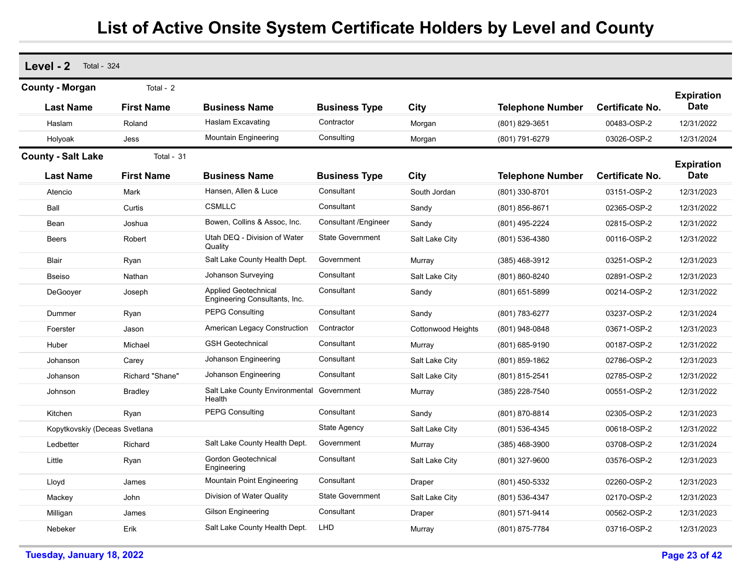| Level - 2<br><b>Total - 324</b> |                   |                                                       |                             |                    |                         |                        |                                  |
|---------------------------------|-------------------|-------------------------------------------------------|-----------------------------|--------------------|-------------------------|------------------------|----------------------------------|
| <b>County - Morgan</b>          | Total - 2         |                                                       |                             |                    |                         |                        | <b>Expiration</b>                |
| <b>Last Name</b>                | <b>First Name</b> | <b>Business Name</b>                                  | <b>Business Type</b>        | City               | <b>Telephone Number</b> | <b>Certificate No.</b> | <b>Date</b>                      |
| Haslam                          | Roland            | <b>Haslam Excavating</b>                              | Contractor                  | Morgan             | (801) 829-3651          | 00483-OSP-2            | 12/31/2022                       |
| Holyoak                         | Jess              | Mountain Engineering                                  | Consulting                  | Morgan             | (801) 791-6279          | 03026-OSP-2            | 12/31/2024                       |
| <b>County - Salt Lake</b>       | Total - 31        |                                                       |                             |                    |                         |                        |                                  |
| <b>Last Name</b>                | <b>First Name</b> | Business Name                                         | <b>Business Type</b>        | City               | <b>Telephone Number</b> | Certificate No.        | <b>Expiration</b><br><b>Date</b> |
| Atencio                         | Mark              | Hansen, Allen & Luce                                  | Consultant                  | South Jordan       | (801) 330-8701          | 03151-OSP-2            | 12/31/2023                       |
| Ball                            | Curtis            | <b>CSMLLC</b>                                         | Consultant                  | Sandy              | (801) 856-8671          | 02365-OSP-2            | 12/31/2022                       |
| Bean                            | Joshua            | Bowen, Collins & Assoc, Inc.                          | <b>Consultant /Engineer</b> | Sandy              | (801) 495-2224          | 02815-OSP-2            | 12/31/2022                       |
| <b>Beers</b>                    | Robert            | Utah DEQ - Division of Water<br>Quality               | <b>State Government</b>     | Salt Lake City     | (801) 536-4380          | 00116-OSP-2            | 12/31/2022                       |
| Blair                           | Ryan              | Salt Lake County Health Dept.                         | Government                  | Murray             | (385) 468-3912          | 03251-OSP-2            | 12/31/2023                       |
| <b>Bseiso</b>                   | Nathan            | Johanson Surveying                                    | Consultant                  | Salt Lake City     | (801) 860-8240          | 02891-OSP-2            | 12/31/2023                       |
| DeGooyer                        | Joseph            | Applied Geotechnical<br>Engineering Consultants, Inc. | Consultant                  | Sandy              | (801) 651-5899          | 00214-OSP-2            | 12/31/2022                       |
| Dummer                          | Ryan              | <b>PEPG Consulting</b>                                | Consultant                  | Sandy              | (801) 783-6277          | 03237-OSP-2            | 12/31/2024                       |
| Foerster                        | Jason             | <b>American Legacy Construction</b>                   | Contractor                  | Cottonwood Heights | (801) 948-0848          | 03671-OSP-2            | 12/31/2023                       |
| Huber                           | Michael           | <b>GSH Geotechnical</b>                               | Consultant                  | Murray             | (801) 685-9190          | 00187-OSP-2            | 12/31/2022                       |
| Johanson                        | Carey             | Johanson Engineering                                  | Consultant                  | Salt Lake City     | (801) 859-1862          | 02786-OSP-2            | 12/31/2023                       |
| Johanson                        | Richard "Shane"   | Johanson Engineering                                  | Consultant                  | Salt Lake City     | (801) 815-2541          | 02785-OSP-2            | 12/31/2022                       |
| Johnson                         | <b>Bradley</b>    | Salt Lake County Environmental Government<br>Health   |                             | Murray             | (385) 228-7540          | 00551-OSP-2            | 12/31/2022                       |
| Kitchen                         | Ryan              | <b>PEPG Consulting</b>                                | Consultant                  | Sandy              | (801) 870-8814          | 02305-OSP-2            | 12/31/2023                       |
| Kopytkovskiy (Deceas Svetlana   |                   |                                                       | State Agency                | Salt Lake City     | (801) 536-4345          | 00618-OSP-2            | 12/31/2022                       |
| Ledbetter                       | Richard           | Salt Lake County Health Dept.                         | Government                  | Murray             | $(385)$ 468-3900        | 03708-OSP-2            | 12/31/2024                       |
| Little                          | Ryan              | Gordon Geotechnical<br>Engineering                    | Consultant                  | Salt Lake City     | (801) 327-9600          | 03576-OSP-2            | 12/31/2023                       |
| Lloyd                           | James             | Mountain Point Engineering                            | Consultant                  | Draper             | (801) 450-5332          | 02260-OSP-2            | 12/31/2023                       |
| Mackey                          | John              | Division of Water Quality                             | <b>State Government</b>     | Salt Lake City     | (801) 536-4347          | 02170-OSP-2            | 12/31/2023                       |
| Milligan                        | James             | <b>Gilson Engineering</b>                             | Consultant                  | Draper             | (801) 571-9414          | 00562-OSP-2            | 12/31/2023                       |
| Nebeker                         | Erik              | Salt Lake County Health Dept.                         | LHD                         | Murray             | (801) 875-7784          | 03716-OSP-2            | 12/31/2023                       |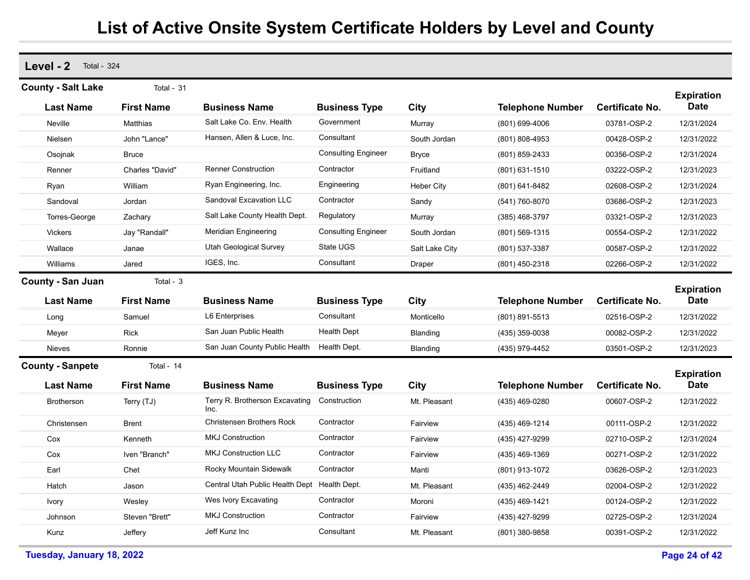**Level - 2** Total - 324 **Last Name First Name Business Name Business Type City Telephone Number County - Salt Lake** Total - 31 **Expiration Certificate No. Date** Neville Matthias Salt Lake Co. Env. Health Government Murray (801) 699-4006 03781-OSP-2 12/31/2024 Nielsen **John "Lance"** Hansen, Allen & Luce, Inc. Consultant South Jordan (801) 808-4953 00428-OSP-2 12/31/2022 Osojnak Bruce Consulting Engineer Bryce (801) 859-2433 00356-OSP-2 12/31/2024 Renner Charles "David" Renner Construction Contractor Fruitland (801) 631-1510 03222-OSP-2 12/31/2023 Ryan William Ryan Engineering, Inc. Engineering Heber City (801) 641-8482 02608-OSP-2 12/31/2024 Sandoval Jordan Sandoval Excavation LLC Contractor Sandy (541) 760-8070 03686-OSP-2 12/31/2023 Torres-George Zachary Salt Lake County Health Dept. Regulatory Murray (385) 468-3797 03321-OSP-2 12/31/2023 Vickers Jay "Randall" Meridian Engineering Consulting Engineer South Jordan (801) 569-1315 00554-OSP-2 12/31/2022 Wallace Janae Utah Geological Survey State UGS Salt Lake City (801) 537-3387 00587-OSP-2 12/31/2022 Williams Jared IGES, Inc. Consultant Draper (801) 450-2318 02266-OSP-2 12/31/2022 **Last Name First Name Business Name Business Type City Telephone Number County - San Juan** Total - 3 **Expiration Certificate No. Date** Long Samuel L6 Enterprises Consultant Monticello (801) 891-5513 02516-OSP-2 12/31/2022 Meyer Rick San Juan Public Health Health Dept Blanding (435) 359-0038 00082-OSP-2 12/31/2022 Nieves **Ronnie San Juan County Public Health Health Dept.** Blanding (435) 979-4452 03501-OSP-2 12/31/2023 **Last Name First Name Business Name Business Type City Telephone Number County - Sanpete** Total - 14 **Expiration Certificate No. Date** Brotherson Terry (TJ) Terry R. Brotherson Excavating Inc.Construction Mt. Pleasant (435) 469-0280 00607-OSP-2 12/31/2022 Christensen Brent Christensen Brothers Rock Contractor Fairview (435) 469-1214 00111-OSP-2 12/31/2022 Cox Kenneth MKJ Construction Contractor Fairview (435) 427-9299 02710-OSP-2 12/31/2024 Cox Iven "Branch" MKJ Construction LLC Contractor Fairview (435) 469-1369 00271-OSP-2 12/31/2022 Earl Chet Rocky Mountain Sidewalk Contractor Manti (801) 913-1072 03626-OSP-2 12/31/2023 Hatch Jason Central Utah Public Health Dept Health Dept. Mt. Pleasant (435) 462-2449 02004-OSP-2 12/31/2022 Ivory Wesley Wes Ivory Excavating Contractor Moroni (435) 469-1421 00124-OSP-2 12/31/2022 Johnson Steven "Brett" MKJ Construction Contractor Fairview (435) 427-9299 02725-OSP-2 12/31/2024 Kunz Jeffery Jeff Kunz Inc Consultant Mt. Pleasant (801) 380-9858 00391-OSP-2 12/31/2022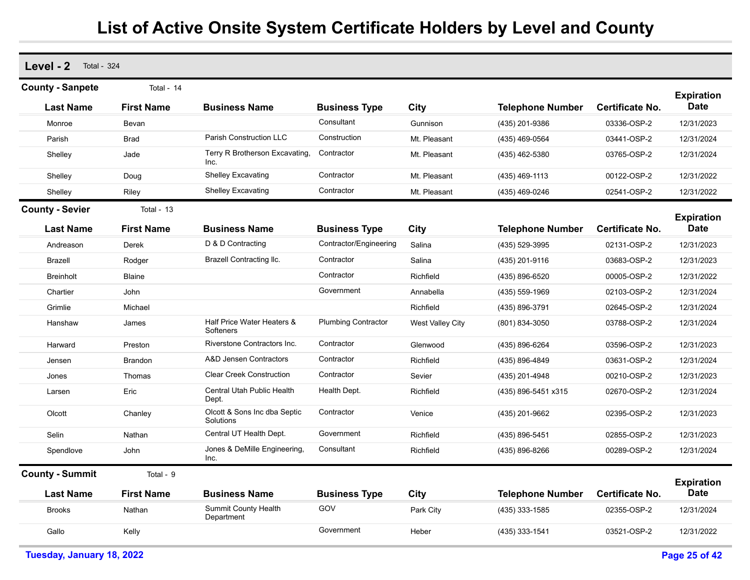| Level - 2<br><b>Total - 324</b> |                   |                                           |                            |                  |                         |                        |                                  |
|---------------------------------|-------------------|-------------------------------------------|----------------------------|------------------|-------------------------|------------------------|----------------------------------|
| <b>County - Sanpete</b>         | Total - 14        |                                           |                            |                  |                         |                        | <b>Expiration</b>                |
| <b>Last Name</b>                | <b>First Name</b> | <b>Business Name</b>                      | <b>Business Type</b>       | City             | <b>Telephone Number</b> | Certificate No.        | <b>Date</b>                      |
| Monroe                          | Bevan             |                                           | Consultant                 | Gunnison         | (435) 201-9386          | 03336-OSP-2            | 12/31/2023                       |
| Parish                          | <b>Brad</b>       | <b>Parish Construction LLC</b>            | Construction               | Mt. Pleasant     | (435) 469-0564          | 03441-OSP-2            | 12/31/2024                       |
| Shelley                         | Jade              | Terry R Brotherson Excavating,<br>Inc.    | Contractor                 | Mt. Pleasant     | (435) 462-5380          | 03765-OSP-2            | 12/31/2024                       |
| Shelley                         | Doug              | <b>Shelley Excavating</b>                 | Contractor                 | Mt. Pleasant     | (435) 469-1113          | 00122-OSP-2            | 12/31/2022                       |
| Shellev                         | Riley             | <b>Shelley Excavating</b>                 | Contractor                 | Mt. Pleasant     | (435) 469-0246          | 02541-OSP-2            | 12/31/2022                       |
| <b>County - Sevier</b>          | Total - 13        |                                           |                            |                  |                         |                        |                                  |
| <b>Last Name</b>                | <b>First Name</b> | <b>Business Name</b>                      | <b>Business Type</b>       | City             | <b>Telephone Number</b> | <b>Certificate No.</b> | <b>Expiration</b><br><b>Date</b> |
| Andreason                       | Derek             | D & D Contracting                         | Contractor/Engineering     | Salina           | (435) 529-3995          | 02131-OSP-2            | 12/31/2023                       |
| <b>Brazell</b>                  | Rodger            | Brazell Contracting Ilc.                  | Contractor                 | Salina           | (435) 201-9116          | 03683-OSP-2            | 12/31/2023                       |
| <b>Breinholt</b>                | Blaine            |                                           | Contractor                 | Richfield        | (435) 896-6520          | 00005-OSP-2            | 12/31/2022                       |
| Chartier                        | John              |                                           | Government                 | Annabella        | (435) 559-1969          | 02103-OSP-2            | 12/31/2024                       |
| Grimlie                         | Michael           |                                           |                            | Richfield        | (435) 896-3791          | 02645-OSP-2            | 12/31/2024                       |
| Hanshaw                         | James             | Half Price Water Heaters &<br>Softeners   | <b>Plumbing Contractor</b> | West Valley City | (801) 834-3050          | 03788-OSP-2            | 12/31/2024                       |
| Harward                         | Preston           | Riverstone Contractors Inc.               | Contractor                 | Glenwood         | (435) 896-6264          | 03596-OSP-2            | 12/31/2023                       |
| Jensen                          | <b>Brandon</b>    | <b>A&amp;D Jensen Contractors</b>         | Contractor                 | Richfield        | (435) 896-4849          | 03631-OSP-2            | 12/31/2024                       |
| Jones                           | Thomas            | <b>Clear Creek Construction</b>           | Contractor                 | Sevier           | (435) 201-4948          | 00210-OSP-2            | 12/31/2023                       |
| Larsen                          | Eric              | Central Utah Public Health<br>Dept.       | Health Dept.               | Richfield        | (435) 896-5451 x315     | 02670-OSP-2            | 12/31/2024                       |
| Olcott                          | Chanley           | Olcott & Sons Inc dba Septic<br>Solutions | Contractor                 | Venice           | (435) 201-9662          | 02395-OSP-2            | 12/31/2023                       |
| Selin                           | Nathan            | Central UT Health Dept.                   | Government                 | Richfield        | (435) 896-5451          | 02855-OSP-2            | 12/31/2023                       |
| Spendlove                       | John              | Jones & DeMille Engineering,<br>Inc.      | Consultant                 | Richfield        | (435) 896-8266          | 00289-OSP-2            | 12/31/2024                       |
| <b>County - Summit</b>          | Total - 9         |                                           |                            |                  |                         |                        | <b>Expiration</b>                |
| <b>Last Name</b>                | <b>First Name</b> | <b>Business Name</b>                      | <b>Business Type</b>       | City             | <b>Telephone Number</b> | <b>Certificate No.</b> | <b>Date</b>                      |
| <b>Brooks</b>                   | Nathan            | Summit County Health<br>Department        | GOV                        | Park City        | (435) 333-1585          | 02355-OSP-2            | 12/31/2024                       |
| Gallo                           | Kelly             |                                           | Government                 | Heber            | (435) 333-1541          | 03521-OSP-2            | 12/31/2022                       |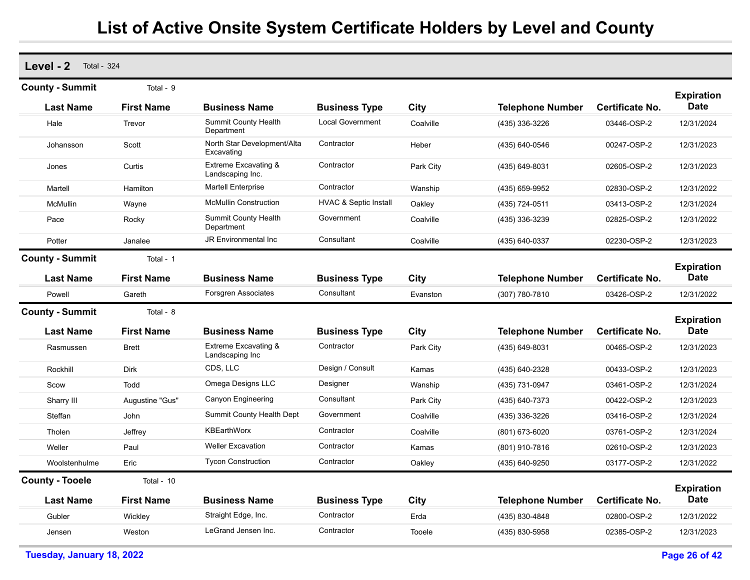| Level - 2<br><b>Total - 324</b> |                   |                                                     |                                  |             |                         |                        |                                  |
|---------------------------------|-------------------|-----------------------------------------------------|----------------------------------|-------------|-------------------------|------------------------|----------------------------------|
| <b>County - Summit</b>          | Total - 9         |                                                     |                                  |             |                         |                        | <b>Expiration</b>                |
| <b>Last Name</b>                | <b>First Name</b> | <b>Business Name</b>                                | <b>Business Type</b>             | City        | <b>Telephone Number</b> | Certificate No.        | <b>Date</b>                      |
| Hale                            | Trevor            | <b>Summit County Health</b><br>Department           | <b>Local Government</b>          | Coalville   | (435) 336-3226          | 03446-OSP-2            | 12/31/2024                       |
| Johansson                       | Scott             | North Star Development/Alta<br>Excavating           | Contractor                       | Heber       | (435) 640-0546          | 00247-OSP-2            | 12/31/2023                       |
| Jones                           | Curtis            | <b>Extreme Excavating &amp;</b><br>Landscaping Inc. | Contractor                       | Park City   | (435) 649-8031          | 02605-OSP-2            | 12/31/2023                       |
| Martell                         | Hamilton          | <b>Martell Enterprise</b>                           | Contractor                       | Wanship     | (435) 659-9952          | 02830-OSP-2            | 12/31/2022                       |
| McMullin                        | Wayne             | <b>McMullin Construction</b>                        | <b>HVAC &amp; Septic Install</b> | Oakley      | (435) 724-0511          | 03413-OSP-2            | 12/31/2024                       |
| Pace                            | Rocky             | <b>Summit County Health</b><br>Department           | Government                       | Coalville   | (435) 336-3239          | 02825-OSP-2            | 12/31/2022                       |
| Potter                          | Janalee           | JR Environmental Inc                                | Consultant                       | Coalville   | (435) 640-0337          | 02230-OSP-2            | 12/31/2023                       |
| <b>County - Summit</b>          | Total - 1         |                                                     |                                  |             |                         |                        |                                  |
| <b>Last Name</b>                | <b>First Name</b> | <b>Business Name</b>                                | <b>Business Type</b>             | City        | <b>Telephone Number</b> | Certificate No.        | <b>Expiration</b><br><b>Date</b> |
| Powell                          | Gareth            | <b>Forsgren Associates</b>                          | Consultant                       | Evanston    | (307) 780-7810          | 03426-OSP-2            | 12/31/2022                       |
| <b>County - Summit</b>          | Total - 8         |                                                     |                                  |             |                         |                        | <b>Expiration</b>                |
| <b>Last Name</b>                | <b>First Name</b> | <b>Business Name</b>                                | <b>Business Type</b>             | City        | <b>Telephone Number</b> | <b>Certificate No.</b> | <b>Date</b>                      |
| Rasmussen                       | <b>Brett</b>      | <b>Extreme Excavating &amp;</b><br>Landscaping Inc  | Contractor                       | Park City   | (435) 649-8031          | 00465-OSP-2            | 12/31/2023                       |
| Rockhill                        | <b>Dirk</b>       | CDS, LLC                                            | Design / Consult                 | Kamas       | (435) 640-2328          | 00433-OSP-2            | 12/31/2023                       |
| Scow                            | Todd              | Omega Designs LLC                                   | Designer                         | Wanship     | (435) 731-0947          | 03461-OSP-2            | 12/31/2024                       |
| Sharry III                      | Augustine "Gus"   | <b>Canyon Engineering</b>                           | Consultant                       | Park City   | (435) 640-7373          | 00422-OSP-2            | 12/31/2023                       |
| Steffan                         | John              | Summit County Health Dept                           | Government                       | Coalville   | (435) 336-3226          | 03416-OSP-2            | 12/31/2024                       |
| Tholen                          | Jeffrey           | <b>KBEarthWorx</b>                                  | Contractor                       | Coalville   | (801) 673-6020          | 03761-OSP-2            | 12/31/2024                       |
| Weller                          | Paul              | <b>Weller Excavation</b>                            | Contractor                       | Kamas       | (801) 910-7816          | 02610-OSP-2            | 12/31/2023                       |
| Woolstenhulme                   | Eric              | <b>Tycon Construction</b>                           | Contractor                       | Oakley      | (435) 640-9250          | 03177-OSP-2            | 12/31/2022                       |
| <b>County - Tooele</b>          | Total - $10$      |                                                     |                                  |             |                         |                        | <b>Expiration</b>                |
| <b>Last Name</b>                | <b>First Name</b> | <b>Business Name</b>                                | <b>Business Type</b>             | <b>City</b> | <b>Telephone Number</b> | Certificate No.        | <b>Date</b>                      |
| Gubler                          | Wickley           | Straight Edge, Inc.                                 | Contractor                       | Erda        | (435) 830-4848          | 02800-OSP-2            | 12/31/2022                       |
| Jensen                          | Weston            | LeGrand Jensen Inc.                                 | Contractor                       | Tooele      | (435) 830-5958          | 02385-OSP-2            | 12/31/2023                       |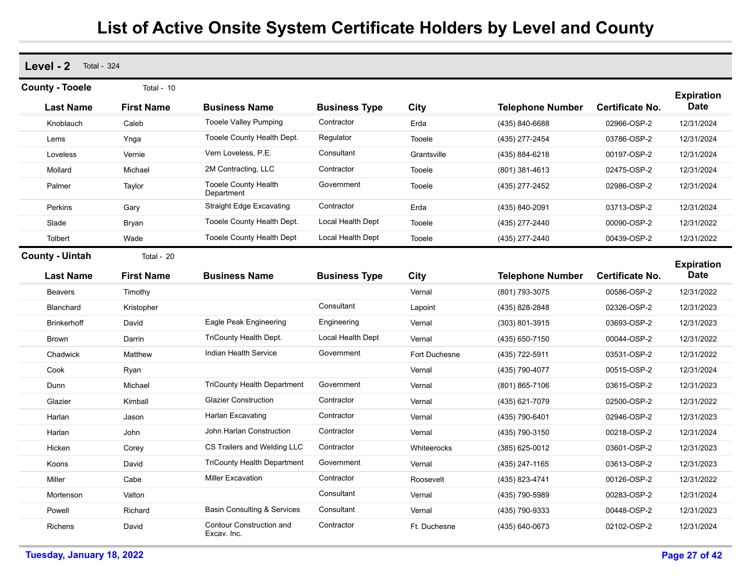| Level - 2<br><b>Total - 324</b> |                   |                                           |                      |               |                         |                 |                                  |
|---------------------------------|-------------------|-------------------------------------------|----------------------|---------------|-------------------------|-----------------|----------------------------------|
| <b>County - Tooele</b>          | Total - 10        |                                           |                      |               |                         |                 | <b>Expiration</b>                |
| <b>Last Name</b>                | <b>First Name</b> | <b>Business Name</b>                      | <b>Business Type</b> | City          | <b>Telephone Number</b> | Certificate No. | <b>Date</b>                      |
| Knoblauch                       | Caleb             | <b>Tooele Valley Pumping</b>              | Contractor           | Erda          | (435) 840-6688          | 02966-OSP-2     | 12/31/2024                       |
| Lems                            | Ynga              | Tooele County Health Dept.                | Regulator            | Tooele        | (435) 277-2454          | 03786-OSP-2     | 12/31/2024                       |
| Loveless                        | Vernie            | Vern Loveless, P.E.                       | Consultant           | Grantsville   | (435) 884-6218          | 00197-OSP-2     | 12/31/2024                       |
| Mollard                         | Michael           | 2M Contracting, LLC                       | Contractor           | Tooele        | (801) 381-4613          | 02475-OSP-2     | 12/31/2024                       |
| Palmer                          | Taylor            | <b>Tooele County Health</b><br>Department | Government           | Tooele        | (435) 277-2452          | 02986-OSP-2     | 12/31/2024                       |
| Perkins                         | Gary              | <b>Straight Edge Excavating</b>           | Contractor           | Erda          | (435) 840-2091          | 03713-OSP-2     | 12/31/2024                       |
| Slade                           | Bryan             | Tooele County Health Dept.                | Local Health Dept    | Tooele        | (435) 277-2440          | 00090-OSP-2     | 12/31/2022                       |
| Tolbert                         | Wade              | <b>Tooele County Health Dept</b>          | Local Health Dept    | Tooele        | (435) 277-2440          | 00439-OSP-2     | 12/31/2022                       |
| <b>County - Uintah</b>          | Total - 20        |                                           |                      |               |                         |                 |                                  |
| <b>Last Name</b>                | <b>First Name</b> | <b>Business Name</b>                      | <b>Business Type</b> | City          | <b>Telephone Number</b> | Certificate No. | <b>Expiration</b><br><b>Date</b> |
| <b>Beavers</b>                  | Timothy           |                                           |                      | Vernal        | (801) 793-3075          | 00586-OSP-2     | 12/31/2022                       |
| Blanchard                       | Kristopher        |                                           | Consultant           | Lapoint       | (435) 828-2848          | 02326-OSP-2     | 12/31/2023                       |
| <b>Brinkerhoff</b>              | David             | Eagle Peak Engineering                    | Engineering          | Vernal        | (303) 801-3915          | 03693-OSP-2     | 12/31/2023                       |
| <b>Brown</b>                    | Darrin            | TriCounty Health Dept.                    | Local Health Dept    | Vernal        | (435) 650-7150          | 00044-OSP-2     | 12/31/2022                       |
| Chadwick                        | Matthew           | Indian Health Service                     | Government           | Fort Duchesne | (435) 722-5911          | 03531-OSP-2     | 12/31/2022                       |
| Cook                            | Ryan              |                                           |                      | Vernal        | (435) 790-4077          | 00515-OSP-2     | 12/31/2024                       |
| Dunn                            | Michael           | <b>TriCounty Health Department</b>        | Government           | Vernal        | (801) 865-7106          | 03615-OSP-2     | 12/31/2023                       |
| Glazier                         | Kimball           | <b>Glazier Construction</b>               | Contractor           | Vernal        | (435) 621-7079          | 02500-OSP-2     | 12/31/2022                       |
| Harlan                          | Jason             | Harlan Excavating                         | Contractor           | Vernal        | (435) 790-6401          | 02946-OSP-2     | 12/31/2023                       |
| Harlan                          | John              | John Harlan Construction                  | Contractor           | Vernal        | (435) 790-3150          | 00218-OSP-2     | 12/31/2024                       |
| Hicken                          | Corey             | CS Trailers and Welding LLC               | Contractor           | Whiteerocks   | (385) 625-0012          | 03601-OSP-2     | 12/31/2023                       |
| Koons                           | David             | <b>TriCounty Health Department</b>        | Government           | Vernal        | (435) 247-1165          | 03613-OSP-2     | 12/31/2023                       |
| Miller                          | Cabe              | <b>Miller Excavation</b>                  | Contractor           | Roosevelt     | (435) 823-4741          | 00126-OSP-2     | 12/31/2022                       |
| Mortenson                       | Valton            |                                           | Consultant           | Vernal        | (435) 790-5989          | 00283-OSP-2     | 12/31/2024                       |
| Powell                          | Richard           | <b>Basin Consulting &amp; Services</b>    | Consultant           | Vernal        | (435) 790-9333          | 00448-OSP-2     | 12/31/2023                       |
| <b>Richens</b>                  | David             | Contour Construction and<br>Excav. Inc.   | Contractor           | Ft. Duchesne  | (435) 640-0673          | 02102-OSP-2     | 12/31/2024                       |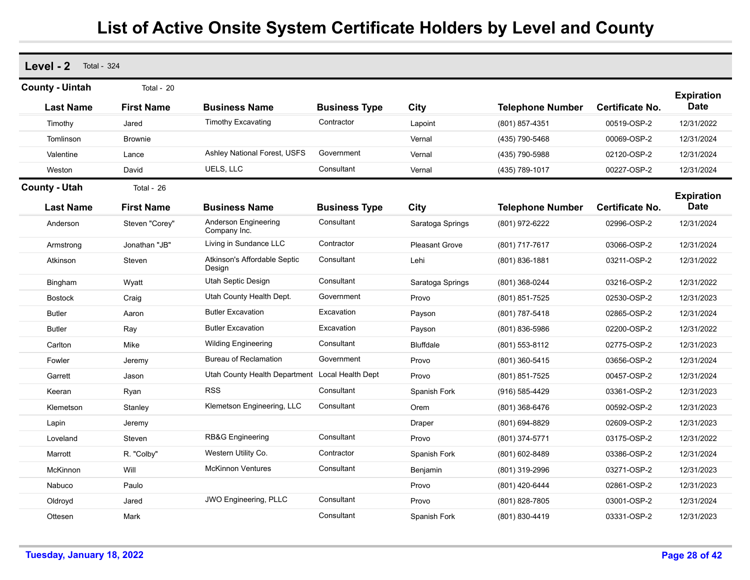| Level - 2<br><b>Total - 324</b>            |                                 |                                                 |                      |                       |                         |                        |                                  |
|--------------------------------------------|---------------------------------|-------------------------------------------------|----------------------|-----------------------|-------------------------|------------------------|----------------------------------|
| <b>County - Uintah</b><br><b>Last Name</b> | Total - 20<br><b>First Name</b> | <b>Business Name</b>                            | <b>Business Type</b> | City                  | <b>Telephone Number</b> | <b>Certificate No.</b> | <b>Expiration</b><br><b>Date</b> |
| Timothy                                    | Jared                           | <b>Timothy Excavating</b>                       | Contractor           | Lapoint               | (801) 857-4351          | 00519-OSP-2            | 12/31/2022                       |
| Tomlinson                                  | <b>Brownie</b>                  |                                                 |                      | Vernal                | (435) 790-5468          | 00069-OSP-2            | 12/31/2024                       |
| Valentine                                  | Lance                           | <b>Ashley National Forest, USFS</b>             | Government           | Vernal                | (435) 790-5988          | 02120-OSP-2            | 12/31/2024                       |
| Weston                                     | David                           | UELS, LLC                                       | Consultant           | Vernal                | (435) 789-1017          | 00227-OSP-2            | 12/31/2024                       |
| <b>County - Utah</b>                       | Total - 26                      |                                                 |                      |                       |                         |                        |                                  |
| <b>Last Name</b>                           | <b>First Name</b>               | <b>Business Name</b>                            | <b>Business Type</b> | City                  | <b>Telephone Number</b> | <b>Certificate No.</b> | <b>Expiration</b><br><b>Date</b> |
| Anderson                                   | Steven "Corey"                  | Anderson Engineering<br>Company Inc.            | Consultant           | Saratoga Springs      | (801) 972-6222          | 02996-OSP-2            | 12/31/2024                       |
| Armstrong                                  | Jonathan "JB"                   | Living in Sundance LLC                          | Contractor           | <b>Pleasant Grove</b> | (801) 717-7617          | 03066-OSP-2            | 12/31/2024                       |
| Atkinson                                   | Steven                          | Atkinson's Affordable Septic<br>Design          | Consultant           | Lehi                  | (801) 836-1881          | 03211-OSP-2            | 12/31/2022                       |
| Bingham                                    | Wyatt                           | Utah Septic Design                              | Consultant           | Saratoga Springs      | (801) 368-0244          | 03216-OSP-2            | 12/31/2022                       |
| <b>Bostock</b>                             | Craig                           | Utah County Health Dept.                        | Government           | Provo                 | (801) 851-7525          | 02530-OSP-2            | 12/31/2023                       |
| <b>Butler</b>                              | Aaron                           | <b>Butler Excavation</b>                        | Excavation           | Payson                | (801) 787-5418          | 02865-OSP-2            | 12/31/2024                       |
| <b>Butler</b>                              | Ray                             | <b>Butler Excavation</b>                        | Excavation           | Payson                | (801) 836-5986          | 02200-OSP-2            | 12/31/2022                       |
| Carlton                                    | Mike                            | <b>Wilding Engineering</b>                      | Consultant           | <b>Bluffdale</b>      | (801) 553-8112          | 02775-OSP-2            | 12/31/2023                       |
| Fowler                                     | Jeremy                          | <b>Bureau of Reclamation</b>                    | Government           | Provo                 | (801) 360-5415          | 03656-OSP-2            | 12/31/2024                       |
| Garrett                                    | Jason                           | Utah County Health Department Local Health Dept |                      | Provo                 | (801) 851-7525          | 00457-OSP-2            | 12/31/2024                       |
| Keeran                                     | Ryan                            | <b>RSS</b>                                      | Consultant           | Spanish Fork          | (916) 585-4429          | 03361-OSP-2            | 12/31/2023                       |
| Klemetson                                  | Stanley                         | Klemetson Engineering, LLC                      | Consultant           | Orem                  | (801) 368-6476          | 00592-OSP-2            | 12/31/2023                       |
| Lapin                                      | Jeremy                          |                                                 |                      | Draper                | (801) 694-8829          | 02609-OSP-2            | 12/31/2023                       |
| Loveland                                   | Steven                          | RB&G Engineering                                | Consultant           | Provo                 | (801) 374-5771          | 03175-OSP-2            | 12/31/2022                       |
| Marrott                                    | R. "Colby"                      | Western Utility Co.                             | Contractor           | Spanish Fork          | (801) 602-8489          | 03386-OSP-2            | 12/31/2024                       |
| McKinnon                                   | Will                            | <b>McKinnon Ventures</b>                        | Consultant           | Benjamin              | (801) 319-2996          | 03271-OSP-2            | 12/31/2023                       |
| Nabuco                                     | Paulo                           |                                                 |                      | Provo                 | (801) 420-6444          | 02861-OSP-2            | 12/31/2023                       |
| Oldroyd                                    | Jared                           | <b>JWO Engineering, PLLC</b>                    | Consultant           | Provo                 | (801) 828-7805          | 03001-OSP-2            | 12/31/2024                       |
| Ottesen                                    | Mark                            |                                                 | Consultant           | Spanish Fork          | (801) 830-4419          | 03331-OSP-2            | 12/31/2023                       |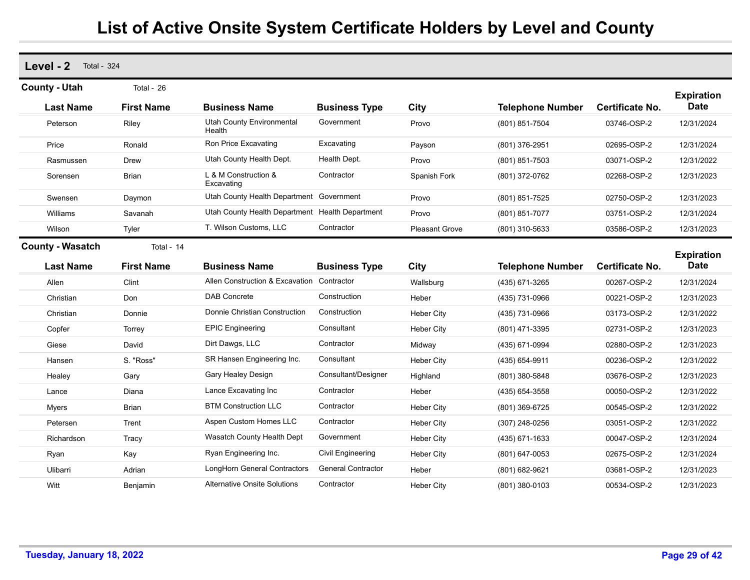| Level - 2<br><b>Total - 324</b>             |                                 |                                                 |                           |                       |                         |                        |                                  |
|---------------------------------------------|---------------------------------|-------------------------------------------------|---------------------------|-----------------------|-------------------------|------------------------|----------------------------------|
| <b>County - Utah</b><br><b>Last Name</b>    | Total - 26<br><b>First Name</b> | <b>Business Name</b>                            | <b>Business Type</b>      | City                  | <b>Telephone Number</b> | <b>Certificate No.</b> | <b>Expiration</b><br><b>Date</b> |
| Peterson                                    | Riley                           | <b>Utah County Environmental</b><br>Health      | Government                | Provo                 | (801) 851-7504          | 03746-OSP-2            | 12/31/2024                       |
| Price                                       | Ronald                          | Ron Price Excavating                            | Excavating                | Payson                | (801) 376-2951          | 02695-OSP-2            | 12/31/2024                       |
| Rasmussen                                   | Drew                            | Utah County Health Dept.                        | Health Dept.              | Provo                 | (801) 851-7503          | 03071-OSP-2            | 12/31/2022                       |
| Sorensen                                    | Brian                           | L & M Construction &<br>Excavating              | Contractor                | Spanish Fork          | (801) 372-0762          | 02268-OSP-2            | 12/31/2023                       |
| Swensen                                     | Daymon                          | Utah County Health Department Government        |                           | Provo                 | (801) 851-7525          | 02750-OSP-2            | 12/31/2023                       |
| Williams                                    | Savanah                         | Utah County Health Department Health Department |                           | Provo                 | (801) 851-7077          | 03751-OSP-2            | 12/31/2024                       |
| Wilson                                      | Tyler                           | T. Wilson Customs, LLC                          | Contractor                | <b>Pleasant Grove</b> | (801) 310-5633          | 03586-OSP-2            | 12/31/2023                       |
| <b>County - Wasatch</b><br><b>Last Name</b> | Total - 14<br><b>First Name</b> | <b>Business Name</b>                            | <b>Business Type</b>      | City                  | <b>Telephone Number</b> | <b>Certificate No.</b> | <b>Expiration</b><br><b>Date</b> |
| Allen                                       | Clint                           | Allen Construction & Excavation                 | Contractor                | Wallsburg             | (435) 671-3265          | 00267-OSP-2            | 12/31/2024                       |
| Christian                                   | Don                             | <b>DAB Concrete</b>                             | Construction              | Heber                 | (435) 731-0966          | 00221-OSP-2            | 12/31/2023                       |
| Christian                                   | Donnie                          | Donnie Christian Construction                   | Construction              | <b>Heber City</b>     | (435) 731-0966          | 03173-OSP-2            | 12/31/2022                       |
| Copfer                                      | Torrey                          | <b>EPIC Engineering</b>                         | Consultant                | <b>Heber City</b>     | (801) 471-3395          | 02731-OSP-2            | 12/31/2023                       |
| Giese                                       | David                           | Dirt Dawgs, LLC                                 | Contractor                | Midway                | (435) 671-0994          | 02880-OSP-2            | 12/31/2023                       |
| Hansen                                      | S. "Ross"                       | SR Hansen Engineering Inc.                      | Consultant                | <b>Heber City</b>     | (435) 654-9911          | 00236-OSP-2            | 12/31/2022                       |
| Healey                                      | Gary                            | Gary Healey Design                              | Consultant/Designer       | Highland              | (801) 380-5848          | 03676-OSP-2            | 12/31/2023                       |
| Lance                                       | Diana                           | Lance Excavating Inc                            | Contractor                | Heber                 | (435) 654-3558          | 00050-OSP-2            | 12/31/2022                       |
| <b>Myers</b>                                | <b>Brian</b>                    | <b>BTM Construction LLC</b>                     | Contractor                | <b>Heber City</b>     | (801) 369-6725          | 00545-OSP-2            | 12/31/2022                       |
| Petersen                                    | Trent                           | Aspen Custom Homes LLC                          | Contractor                | <b>Heber City</b>     | (307) 248-0256          | 03051-OSP-2            | 12/31/2022                       |
| Richardson                                  | Tracy                           | Wasatch County Health Dept                      | Government                | <b>Heber City</b>     | (435) 671-1633          | 00047-OSP-2            | 12/31/2024                       |
| Ryan                                        | Kay                             | Ryan Engineering Inc.                           | Civil Engineering         | <b>Heber City</b>     | (801) 647-0053          | 02675-OSP-2            | 12/31/2024                       |
| Ulibarri                                    | Adrian                          | LongHorn General Contractors                    | <b>General Contractor</b> | Heber                 | (801) 682-9621          | 03681-OSP-2            | 12/31/2023                       |
| Witt                                        | Beniamin                        | <b>Alternative Onsite Solutions</b>             | Contractor                | <b>Heber City</b>     | (801) 380-0103          | 00534-OSP-2            | 12/31/2023                       |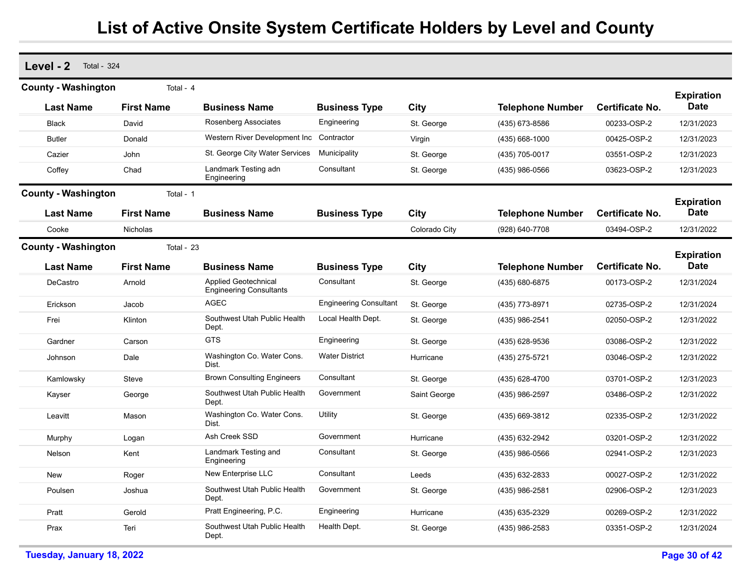| Level - 2                  | <b>Total - 324</b> |                                                               |                               |               |                         |                        |                                  |  |  |  |  |
|----------------------------|--------------------|---------------------------------------------------------------|-------------------------------|---------------|-------------------------|------------------------|----------------------------------|--|--|--|--|
| <b>County - Washington</b> | Total - 4          |                                                               |                               |               |                         |                        |                                  |  |  |  |  |
| <b>Last Name</b>           | <b>First Name</b>  | <b>Business Name</b>                                          | <b>Business Type</b>          | City          | <b>Telephone Number</b> | Certificate No.        | <b>Expiration</b><br>Date        |  |  |  |  |
| <b>Black</b>               | David              | Rosenberg Associates                                          | Engineering                   | St. George    | (435) 673-8586          | 00233-OSP-2            | 12/31/2023                       |  |  |  |  |
| <b>Butler</b>              | Donald             | Western River Development Inc Contractor                      |                               | Virgin        | (435) 668-1000          | 00425-OSP-2            | 12/31/2023                       |  |  |  |  |
| Cazier                     | John               | St. George City Water Services                                | Municipality                  | St. George    | (435) 705-0017          | 03551-OSP-2            | 12/31/2023                       |  |  |  |  |
| Coffey                     | Chad               | Landmark Testing adn<br>Engineering                           | Consultant                    | St. George    | (435) 986-0566          | 03623-OSP-2            | 12/31/2023                       |  |  |  |  |
| <b>County - Washington</b> | Total - 1          |                                                               |                               |               |                         |                        |                                  |  |  |  |  |
| <b>Last Name</b>           | <b>First Name</b>  | <b>Business Name</b>                                          | <b>Business Type</b>          | City          | <b>Telephone Number</b> | <b>Certificate No.</b> | <b>Expiration</b><br><b>Date</b> |  |  |  |  |
| Cooke                      | Nicholas           |                                                               |                               | Colorado City | (928) 640-7708          | 03494-OSP-2            | 12/31/2022                       |  |  |  |  |
| <b>County - Washington</b> | Total - 23         |                                                               |                               |               |                         |                        |                                  |  |  |  |  |
| <b>Last Name</b>           | <b>First Name</b>  | <b>Business Name</b>                                          | <b>Business Type</b>          | City          | <b>Telephone Number</b> | <b>Certificate No.</b> | <b>Expiration</b><br><b>Date</b> |  |  |  |  |
| DeCastro                   | Arnold             | <b>Applied Geotechnical</b><br><b>Engineering Consultants</b> | Consultant                    | St. George    | (435) 680-6875          | 00173-OSP-2            | 12/31/2024                       |  |  |  |  |
| Erickson                   | Jacob              | <b>AGEC</b>                                                   | <b>Engineering Consultant</b> | St. George    | (435) 773-8971          | 02735-OSP-2            | 12/31/2024                       |  |  |  |  |
| Frei                       | Klinton            | Southwest Utah Public Health<br>Dept.                         | Local Health Dept.            | St. George    | (435) 986-2541          | 02050-OSP-2            | 12/31/2022                       |  |  |  |  |
| Gardner                    | Carson             | <b>GTS</b>                                                    | Engineering                   | St. George    | (435) 628-9536          | 03086-OSP-2            | 12/31/2022                       |  |  |  |  |
| Johnson                    | Dale               | Washington Co. Water Cons.<br>Dist.                           | <b>Water District</b>         | Hurricane     | (435) 275-5721          | 03046-OSP-2            | 12/31/2022                       |  |  |  |  |
| Kamlowsky                  | Steve              | <b>Brown Consulting Engineers</b>                             | Consultant                    | St. George    | (435) 628-4700          | 03701-OSP-2            | 12/31/2023                       |  |  |  |  |
| Kayser                     | George             | Southwest Utah Public Health<br>Dept.                         | Government                    | Saint George  | (435) 986-2597          | 03486-OSP-2            | 12/31/2022                       |  |  |  |  |
| Leavitt                    | Mason              | Washington Co. Water Cons.<br>Dist.                           | Utility                       | St. George    | (435) 669-3812          | 02335-OSP-2            | 12/31/2022                       |  |  |  |  |
| Murphy                     | Logan              | Ash Creek SSD                                                 | Government                    | Hurricane     | (435) 632-2942          | 03201-OSP-2            | 12/31/2022                       |  |  |  |  |
| Nelson                     | Kent               | Landmark Testing and<br>Engineering                           | Consultant                    | St. George    | (435) 986-0566          | 02941-OSP-2            | 12/31/2023                       |  |  |  |  |
| <b>New</b>                 | Roger              | New Enterprise LLC                                            | Consultant                    | Leeds         | (435) 632-2833          | 00027-OSP-2            | 12/31/2022                       |  |  |  |  |
| Poulsen                    | Joshua             | Southwest Utah Public Health<br>Dept.                         | Government                    | St. George    | (435) 986-2581          | 02906-OSP-2            | 12/31/2023                       |  |  |  |  |
| Pratt                      | Gerold             | Pratt Engineering, P.C.                                       | Engineering                   | Hurricane     | (435) 635-2329          | 00269-OSP-2            | 12/31/2022                       |  |  |  |  |
| Prax                       | Teri               | Southwest Utah Public Health<br>Dept.                         | Health Dept.                  | St. George    | (435) 986-2583          | 03351-OSP-2            | 12/31/2024                       |  |  |  |  |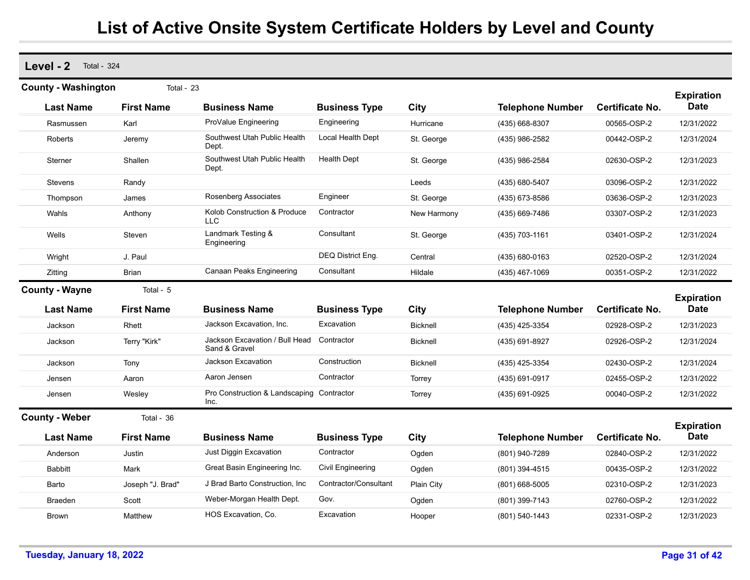**Level - 2** Total - 324 **Last Name First Name Business Name Business Type City Telephone Number County - Washington** Total - 23 **Expiration Certificate No. Date** Rasmussen Karl ProValue Engineering Engineering Hurricane (435) 668-8307 00565-OSP-2 12/31/2022 Roberts **In the Southwest Utah Public Health** Southwest Utah Public Health Dept. Local Health Dept St. George (435) 986-2582 00442-OSP-2 12/31/2024 Sterner Shallen Southwest Utah Public Health Dept. Health Dept St. George (435) 986-2584 02630-OSP-2 12/31/2023 Stevens Randy Leeds (435) 680-5407 03096-OSP-2 12/31/2022 Thompson James Rosenberg Associates Engineer St. George (435) 673-8586 03636-OSP-2 12/31/2023 WahlsAnthony **Kolob Construction & Produce** LLC**Contractor**  New Harmony (435) 669-7486 03307-OSP-2 12/31/2023 Wells Steven Candmark Testing & Engineering **Consultant**  St. George (435) 703-1161 03401-OSP-2 12/31/2024 Wright J. Paul DEQ District Eng. Central (435) 680-0163 02520-OSP-2 12/31/2024 Zitting Brian Canaan Peaks Engineering Consultant Hildale (435) 467-1069 00351-OSP-2 12/31/2022 **Last Name First Name Business Name Business Type City Telephone Number County - Wayne** Total - 5 **Expiration Certificate No. Date** Jackson Rhett Jackson Excavation, Inc. Excavation Bicknell (435) 425-3354 02928-OSP-2 12/31/2023 Jackson Terry "Kirk" Jackson Excavation / Bull Head Sand & Gravel**Contractor**  Bicknell (435) 691-8927 02926-OSP-2 12/31/2024 Jackson Tony Jackson Excavation Construction Bicknell (435) 425-3354 02430-OSP-2 12/31/2024 JensenAaronAaron Jensen Contractor Torrey (435) 691-0917 02455-OSP-2 12/31/2022 Jensen Wesley Pro Construction & Landscaping Inc.**Contractor**  Torrey (435) 691-0925 00040-OSP-2 12/31/2022 **Last Name First Name Business Name Business Type City Telephone Number County - Weber** Total - 36 **Expiration Certificate No. Date** Anderson Justin Just Diggin Excavation Contractor Ogden (801) 940-7289 02840-OSP-2 12/31/2022 Babbitt Mark Mark Great Basin Engineering Inc. Civil Engineering Ogden (801) 394-4515 00435-OSP-2 12/31/2022 Barto Joseph "J. Brad" J Brad Barto Construction, Inc Contractor/Consultant Plain City (801) 668-5005 02310-OSP-2 12/31/2023 Braeden Scott Weber-Morgan Health Dept. Gov. Ogden (801) 399-7143 02760-OSP-2 12/31/2022 Brown Matthew HOS Excavation, Co. Excavation Hooper (801) 540-1443 02331-OSP-2 12/31/2023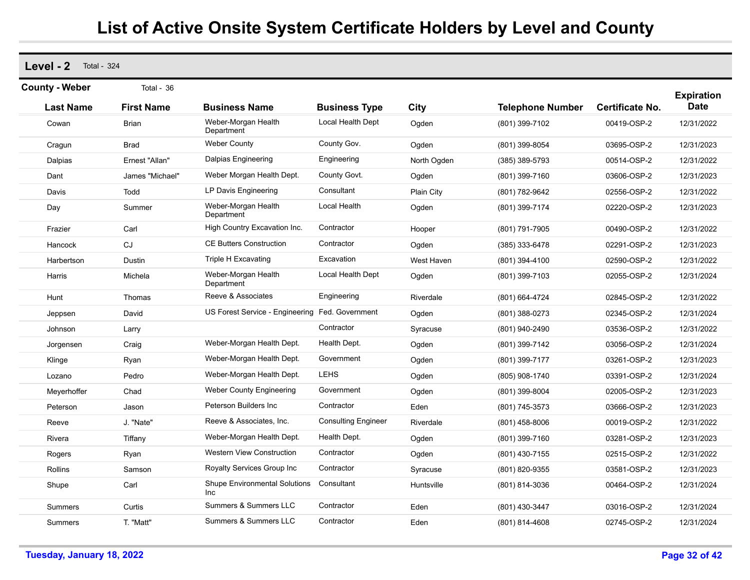**Level - 2** Total - 324 **Last Name First Name Business Name Business Type City Telephone Number County - Weber** Total - 36 **Expiration Certificate No. Date** Cowan Brian Brian Weber-Morgan Health Department Local Health Dept Ogden (801) 399-7102 00419-OSP-2 12/31/2022 Cragun Brad Weber County County Gov. Ogden (801) 399-8054 03695-OSP-2 12/31/2023 Dalpias Ernest "Allan" Dalpias Engineering Engineering North Ogden (385) 389-5793 00514-OSP-2 12/31/2022 Dant James "Michael" Weber Morgan Health Dept. County Govt. Ogden (801) 399-7160 03606-OSP-2 12/31/2023 Davis Todd LP Davis Engineering Consultant Plain City (801) 782-9642 02556-OSP-2 12/31/2022 Day **Summer** Weber-Morgan Health Department Local Health Ogden (801) 399-7174 02220-OSP-2 12/31/2023 Frazier Carl High Country Excavation Inc. Contractor Hooper (801) 791-7905 00490-OSP-2 12/31/2022 Hancock CJ CE Butters Construction Contractor Ogden (385) 333-6478 02291-OSP-2 12/31/2023 Harbertson Dustin Triple H Excavating Excavation West Haven (801) 394-4100 02590-OSP-2 12/31/2022 Harris Michela Weber-Morgan Health Department Local Health Dept Ogden (801) 399-7103 02055-OSP-2 12/31/2024 Hunt Thomas Reeve & Associates Engineering Riverdale (801) 664-4724 02845-OSP-2 12/31/2022 Jeppsen David US Forest Service - Engineering Fed. Government Ogden (801) 388-0273 02345-OSP-2 12/31/2024 Johnson Larry Contractor Syracuse (801) 940-2490 03536-OSP-2 12/31/2022 Jorgensen Craig Weber-Morgan Health Dept. Health Dept. Ogden (801) 399-7142 03056-OSP-2 12/31/2024 Klinge Ryan Weber-Morgan Health Dept. Government Ogden (801) 399-7177 03261-OSP-2 12/31/2023 Lozano Pedro Weber-Morgan Health Dept. LEHS Ogden (805) 908-1740 03391-OSP-2 12/31/2024 Meyerhoffer Chad Meber County Engineering Government Ogden (801) 399-8004 02005-OSP-2 12/31/2023 Peterson Jason Peterson Builders Inc Contractor Eden (801) 745-3573 03666-OSP-2 12/31/2023 Reeve J. "Nate" Reeve & Associates, Inc. Consulting Engineer Riverdale (801) 458-8006 00019-OSP-2 12/31/2022 Rivera Tiffany Weber-Morgan Health Dept. Health Dept. Ogden (801) 399-7160 03281-OSP-2 12/31/2023 Rogers Ryan Western View Construction Contractor Ogden (801) 430-7155 02515-OSP-2 12/31/2022 Rollins Samson Royalty Services Group Inc Contractor Syracuse (801) 820-9355 03581-OSP-2 12/31/2023 Shupe Carl Carl Shupe Environmental Solutions Inc**Consultant**  Huntsville (801) 814-3036 00464-OSP-2 12/31/2024 Summers Curtis Summers & Summers LLC Contractor Eden (801) 430-3447 03016-OSP-2 12/31/2024 Summers T. "Matt" Summers & Summers LLC Contractor Eden (801) 814-4608 02745-OSP-2 12/31/2024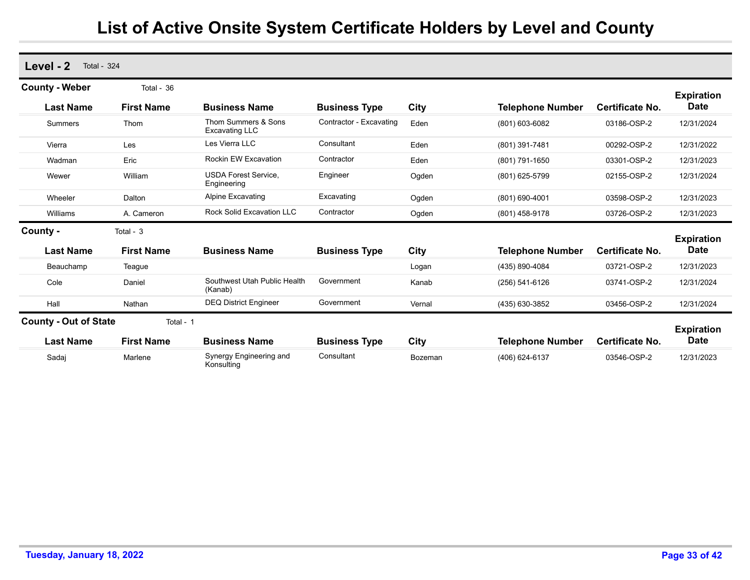| Level - 2<br><b>Total - 324</b> |                   |                                              |                         |         |                         |                        |                                  |
|---------------------------------|-------------------|----------------------------------------------|-------------------------|---------|-------------------------|------------------------|----------------------------------|
| <b>County - Weber</b>           | Total - 36        |                                              |                         |         |                         |                        |                                  |
| <b>Last Name</b>                | <b>First Name</b> | <b>Business Name</b>                         | <b>Business Type</b>    | City    | <b>Telephone Number</b> | <b>Certificate No.</b> | <b>Expiration</b><br><b>Date</b> |
| Summers                         | Thom              | Thom Summers & Sons<br><b>Excavating LLC</b> | Contractor - Excavating | Eden    | (801) 603-6082          | 03186-OSP-2            | 12/31/2024                       |
| Vierra                          | Les               | Les Vierra LLC                               | Consultant              | Eden    | (801) 391-7481          | 00292-OSP-2            | 12/31/2022                       |
| Wadman                          | Eric              | Rockin EW Excavation                         | Contractor              | Eden    | (801) 791-1650          | 03301-OSP-2            | 12/31/2023                       |
| Wewer                           | William           | <b>USDA Forest Service,</b><br>Engineering   | Engineer                | Ogden   | (801) 625-5799          | 02155-OSP-2            | 12/31/2024                       |
| Wheeler                         | Dalton            | <b>Alpine Excavating</b>                     | Excavating              | Ogden   | (801) 690-4001          | 03598-OSP-2            | 12/31/2023                       |
| Williams                        | A. Cameron        | <b>Rock Solid Excavation LLC</b>             | Contractor              | Ogden   | (801) 458-9178          | 03726-OSP-2            | 12/31/2023                       |
| County -                        | Total - 3         |                                              |                         |         |                         |                        |                                  |
| <b>Last Name</b>                | <b>First Name</b> | <b>Business Name</b>                         | <b>Business Type</b>    | City    | <b>Telephone Number</b> | Certificate No.        | <b>Expiration</b><br><b>Date</b> |
| Beauchamp                       | Teague            |                                              |                         | Logan   | (435) 890-4084          | 03721-OSP-2            | 12/31/2023                       |
| Cole                            | Daniel            | Southwest Utah Public Health<br>(Kanab)      | Government              | Kanab   | $(256) 541-6126$        | 03741-OSP-2            | 12/31/2024                       |
| Hall                            | Nathan            | <b>DEQ District Engineer</b>                 | Government              | Vernal  | (435) 630-3852          | 03456-OSP-2            | 12/31/2024                       |
| <b>County - Out of State</b>    | Total - 1         |                                              |                         |         |                         |                        |                                  |
| <b>Last Name</b>                | <b>First Name</b> | <b>Business Name</b>                         | <b>Business Type</b>    | City    | <b>Telephone Number</b> | <b>Certificate No.</b> | <b>Expiration</b><br><b>Date</b> |
| Sadaj                           | Marlene           | Synergy Engineering and<br>Konsulting        | Consultant              | Bozeman | (406) 624-6137          | 03546-OSP-2            | 12/31/2023                       |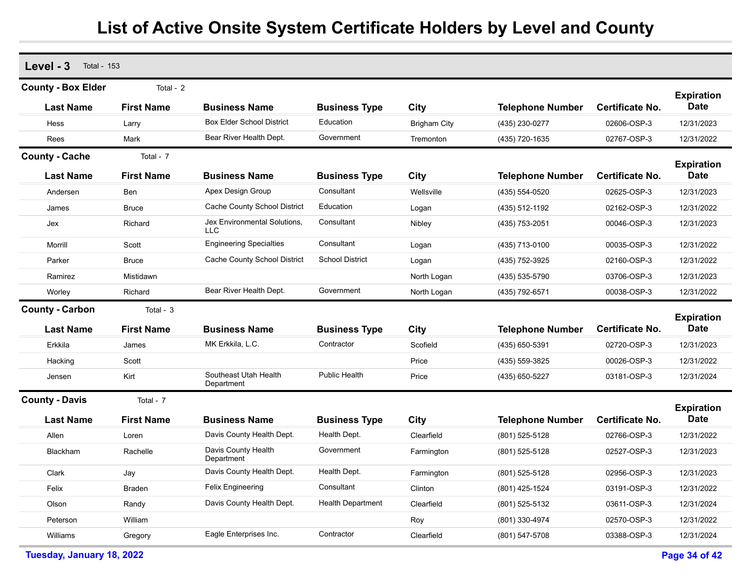| <b>County - Box Elder</b><br>Total - 2<br><b>Expiration</b><br><b>Date</b><br><b>First Name</b><br><b>Last Name</b><br><b>Business Name</b><br>City<br><b>Certificate No.</b><br><b>Business Type</b><br><b>Telephone Number</b><br><b>Box Elder School District</b><br>Education<br>Hess<br><b>Brigham City</b><br>(435) 230-0277<br>02606-OSP-3<br>12/31/2023<br>Larry<br>Bear River Health Dept.<br>Government<br>Rees<br>Mark<br>(435) 720-1635<br>02767-OSP-3<br>12/31/2022<br>Tremonton<br><b>County - Cache</b><br>Total - 7<br><b>Expiration</b><br><b>Date</b><br><b>First Name</b><br><b>Last Name</b><br>City<br><b>Telephone Number</b><br><b>Certificate No.</b><br><b>Business Name</b><br><b>Business Type</b><br>Apex Design Group<br>Consultant<br>Wellsville<br>(435) 554-0520<br>02625-OSP-3<br>12/31/2023<br>Andersen<br>Ben<br>Cache County School District<br>Education<br><b>Bruce</b><br>(435) 512-1192<br>02162-OSP-3<br>12/31/2022<br>James<br>Logan<br>Jex Environmental Solutions,<br>Consultant<br>Richard<br>00046-OSP-3<br>12/31/2023<br>Jex<br>Nibley<br>(435) 753-2051<br>LLC<br>Consultant<br><b>Engineering Specialties</b><br>Scott<br>00035-OSP-3<br>12/31/2022<br>Morrill<br>(435) 713-0100<br>Logan<br>Cache County School District<br><b>School District</b><br>Parker<br><b>Bruce</b><br>(435) 752-3925<br>02160-OSP-3<br>12/31/2022<br>Logan<br>Ramirez<br>Mistidawn<br>North Logan<br>(435) 535-5790<br>03706-OSP-3<br>12/31/2023<br>Bear River Health Dept.<br>Government<br>Richard<br>00038-OSP-3<br>12/31/2022<br>North Logan<br>(435) 792-6571<br>Worley<br><b>County - Carbon</b><br>Total - 3<br><b>Expiration</b><br><b>Date</b><br><b>Last Name</b><br><b>First Name</b><br><b>City</b><br><b>Telephone Number</b><br><b>Certificate No.</b><br><b>Business Name</b><br><b>Business Type</b><br>MK Erkkila, L.C.<br>Contractor<br>Scofield<br>12/31/2023<br>Erkkila<br>(435) 650-5391<br>02720-OSP-3<br>James<br>Scott<br>Price<br>00026-OSP-3<br>12/31/2022<br>Hacking<br>(435) 559-3825<br>Southeast Utah Health<br>Public Health<br>Kirt<br>Price<br>03181-OSP-3<br>12/31/2024<br>Jensen<br>(435) 650-5227<br>Department<br><b>County - Davis</b><br>Total - 7<br><b>Expiration</b><br><b>Date</b><br>Certificate No.<br><b>Last Name</b><br><b>First Name</b><br><b>Business Name</b><br>City<br><b>Telephone Number</b><br><b>Business Type</b><br>Davis County Health Dept.<br>Health Dept.<br>Clearfield<br>Allen<br>(801) 525-5128<br>02766-OSP-3<br>12/31/2022<br>Loren<br>Davis County Health<br>Government<br>(801) 525-5128<br>02527-OSP-3<br>12/31/2023<br>Blackham<br>Rachelle<br>Farmington<br>Department<br>Health Dept.<br>Davis County Health Dept.<br>02956-OSP-3<br>12/31/2023<br>Clark<br>(801) 525-5128<br>Jay<br>Farmington<br><b>Felix Engineering</b><br>Consultant<br>Clinton<br>(801) 425-1524<br>03191-OSP-3<br>12/31/2022<br>Felix<br>Braden<br>Davis County Health Dept.<br><b>Health Department</b><br>Clearfield<br>Olson<br>(801) 525-5132<br>03611-OSP-3<br>12/31/2024<br>Randy<br>William<br>Roy<br>(801) 330-4974<br>02570-OSP-3<br>12/31/2022<br>Peterson<br>Eagle Enterprises Inc.<br>Contractor<br>Clearfield<br>12/31/2024<br>Williams<br>(801) 547-5708<br>03388-OSP-3<br>Gregory | Level - 3<br><b>Total - 153</b> |  |  |  |  |
|--------------------------------------------------------------------------------------------------------------------------------------------------------------------------------------------------------------------------------------------------------------------------------------------------------------------------------------------------------------------------------------------------------------------------------------------------------------------------------------------------------------------------------------------------------------------------------------------------------------------------------------------------------------------------------------------------------------------------------------------------------------------------------------------------------------------------------------------------------------------------------------------------------------------------------------------------------------------------------------------------------------------------------------------------------------------------------------------------------------------------------------------------------------------------------------------------------------------------------------------------------------------------------------------------------------------------------------------------------------------------------------------------------------------------------------------------------------------------------------------------------------------------------------------------------------------------------------------------------------------------------------------------------------------------------------------------------------------------------------------------------------------------------------------------------------------------------------------------------------------------------------------------------------------------------------------------------------------------------------------------------------------------------------------------------------------------------------------------------------------------------------------------------------------------------------------------------------------------------------------------------------------------------------------------------------------------------------------------------------------------------------------------------------------------------------------------------------------------------------------------------------------------------------------------------------------------------------------------------------------------------------------------------------------------------------------------------------------------------------------------------------------------------------------------------------------------------------------------------------------------------------------------------------------------------------------------------------------------------------------------------------------------------------------------------------------------------------------------------------------------------------------------------------------------------------------------------------------------------------------------------------------------------|---------------------------------|--|--|--|--|
|                                                                                                                                                                                                                                                                                                                                                                                                                                                                                                                                                                                                                                                                                                                                                                                                                                                                                                                                                                                                                                                                                                                                                                                                                                                                                                                                                                                                                                                                                                                                                                                                                                                                                                                                                                                                                                                                                                                                                                                                                                                                                                                                                                                                                                                                                                                                                                                                                                                                                                                                                                                                                                                                                                                                                                                                                                                                                                                                                                                                                                                                                                                                                                                                                                                                                |                                 |  |  |  |  |
|                                                                                                                                                                                                                                                                                                                                                                                                                                                                                                                                                                                                                                                                                                                                                                                                                                                                                                                                                                                                                                                                                                                                                                                                                                                                                                                                                                                                                                                                                                                                                                                                                                                                                                                                                                                                                                                                                                                                                                                                                                                                                                                                                                                                                                                                                                                                                                                                                                                                                                                                                                                                                                                                                                                                                                                                                                                                                                                                                                                                                                                                                                                                                                                                                                                                                |                                 |  |  |  |  |
|                                                                                                                                                                                                                                                                                                                                                                                                                                                                                                                                                                                                                                                                                                                                                                                                                                                                                                                                                                                                                                                                                                                                                                                                                                                                                                                                                                                                                                                                                                                                                                                                                                                                                                                                                                                                                                                                                                                                                                                                                                                                                                                                                                                                                                                                                                                                                                                                                                                                                                                                                                                                                                                                                                                                                                                                                                                                                                                                                                                                                                                                                                                                                                                                                                                                                |                                 |  |  |  |  |
|                                                                                                                                                                                                                                                                                                                                                                                                                                                                                                                                                                                                                                                                                                                                                                                                                                                                                                                                                                                                                                                                                                                                                                                                                                                                                                                                                                                                                                                                                                                                                                                                                                                                                                                                                                                                                                                                                                                                                                                                                                                                                                                                                                                                                                                                                                                                                                                                                                                                                                                                                                                                                                                                                                                                                                                                                                                                                                                                                                                                                                                                                                                                                                                                                                                                                |                                 |  |  |  |  |
|                                                                                                                                                                                                                                                                                                                                                                                                                                                                                                                                                                                                                                                                                                                                                                                                                                                                                                                                                                                                                                                                                                                                                                                                                                                                                                                                                                                                                                                                                                                                                                                                                                                                                                                                                                                                                                                                                                                                                                                                                                                                                                                                                                                                                                                                                                                                                                                                                                                                                                                                                                                                                                                                                                                                                                                                                                                                                                                                                                                                                                                                                                                                                                                                                                                                                |                                 |  |  |  |  |
|                                                                                                                                                                                                                                                                                                                                                                                                                                                                                                                                                                                                                                                                                                                                                                                                                                                                                                                                                                                                                                                                                                                                                                                                                                                                                                                                                                                                                                                                                                                                                                                                                                                                                                                                                                                                                                                                                                                                                                                                                                                                                                                                                                                                                                                                                                                                                                                                                                                                                                                                                                                                                                                                                                                                                                                                                                                                                                                                                                                                                                                                                                                                                                                                                                                                                |                                 |  |  |  |  |
|                                                                                                                                                                                                                                                                                                                                                                                                                                                                                                                                                                                                                                                                                                                                                                                                                                                                                                                                                                                                                                                                                                                                                                                                                                                                                                                                                                                                                                                                                                                                                                                                                                                                                                                                                                                                                                                                                                                                                                                                                                                                                                                                                                                                                                                                                                                                                                                                                                                                                                                                                                                                                                                                                                                                                                                                                                                                                                                                                                                                                                                                                                                                                                                                                                                                                |                                 |  |  |  |  |
|                                                                                                                                                                                                                                                                                                                                                                                                                                                                                                                                                                                                                                                                                                                                                                                                                                                                                                                                                                                                                                                                                                                                                                                                                                                                                                                                                                                                                                                                                                                                                                                                                                                                                                                                                                                                                                                                                                                                                                                                                                                                                                                                                                                                                                                                                                                                                                                                                                                                                                                                                                                                                                                                                                                                                                                                                                                                                                                                                                                                                                                                                                                                                                                                                                                                                |                                 |  |  |  |  |
|                                                                                                                                                                                                                                                                                                                                                                                                                                                                                                                                                                                                                                                                                                                                                                                                                                                                                                                                                                                                                                                                                                                                                                                                                                                                                                                                                                                                                                                                                                                                                                                                                                                                                                                                                                                                                                                                                                                                                                                                                                                                                                                                                                                                                                                                                                                                                                                                                                                                                                                                                                                                                                                                                                                                                                                                                                                                                                                                                                                                                                                                                                                                                                                                                                                                                |                                 |  |  |  |  |
|                                                                                                                                                                                                                                                                                                                                                                                                                                                                                                                                                                                                                                                                                                                                                                                                                                                                                                                                                                                                                                                                                                                                                                                                                                                                                                                                                                                                                                                                                                                                                                                                                                                                                                                                                                                                                                                                                                                                                                                                                                                                                                                                                                                                                                                                                                                                                                                                                                                                                                                                                                                                                                                                                                                                                                                                                                                                                                                                                                                                                                                                                                                                                                                                                                                                                |                                 |  |  |  |  |
|                                                                                                                                                                                                                                                                                                                                                                                                                                                                                                                                                                                                                                                                                                                                                                                                                                                                                                                                                                                                                                                                                                                                                                                                                                                                                                                                                                                                                                                                                                                                                                                                                                                                                                                                                                                                                                                                                                                                                                                                                                                                                                                                                                                                                                                                                                                                                                                                                                                                                                                                                                                                                                                                                                                                                                                                                                                                                                                                                                                                                                                                                                                                                                                                                                                                                |                                 |  |  |  |  |
|                                                                                                                                                                                                                                                                                                                                                                                                                                                                                                                                                                                                                                                                                                                                                                                                                                                                                                                                                                                                                                                                                                                                                                                                                                                                                                                                                                                                                                                                                                                                                                                                                                                                                                                                                                                                                                                                                                                                                                                                                                                                                                                                                                                                                                                                                                                                                                                                                                                                                                                                                                                                                                                                                                                                                                                                                                                                                                                                                                                                                                                                                                                                                                                                                                                                                |                                 |  |  |  |  |
|                                                                                                                                                                                                                                                                                                                                                                                                                                                                                                                                                                                                                                                                                                                                                                                                                                                                                                                                                                                                                                                                                                                                                                                                                                                                                                                                                                                                                                                                                                                                                                                                                                                                                                                                                                                                                                                                                                                                                                                                                                                                                                                                                                                                                                                                                                                                                                                                                                                                                                                                                                                                                                                                                                                                                                                                                                                                                                                                                                                                                                                                                                                                                                                                                                                                                |                                 |  |  |  |  |
|                                                                                                                                                                                                                                                                                                                                                                                                                                                                                                                                                                                                                                                                                                                                                                                                                                                                                                                                                                                                                                                                                                                                                                                                                                                                                                                                                                                                                                                                                                                                                                                                                                                                                                                                                                                                                                                                                                                                                                                                                                                                                                                                                                                                                                                                                                                                                                                                                                                                                                                                                                                                                                                                                                                                                                                                                                                                                                                                                                                                                                                                                                                                                                                                                                                                                |                                 |  |  |  |  |
|                                                                                                                                                                                                                                                                                                                                                                                                                                                                                                                                                                                                                                                                                                                                                                                                                                                                                                                                                                                                                                                                                                                                                                                                                                                                                                                                                                                                                                                                                                                                                                                                                                                                                                                                                                                                                                                                                                                                                                                                                                                                                                                                                                                                                                                                                                                                                                                                                                                                                                                                                                                                                                                                                                                                                                                                                                                                                                                                                                                                                                                                                                                                                                                                                                                                                |                                 |  |  |  |  |
|                                                                                                                                                                                                                                                                                                                                                                                                                                                                                                                                                                                                                                                                                                                                                                                                                                                                                                                                                                                                                                                                                                                                                                                                                                                                                                                                                                                                                                                                                                                                                                                                                                                                                                                                                                                                                                                                                                                                                                                                                                                                                                                                                                                                                                                                                                                                                                                                                                                                                                                                                                                                                                                                                                                                                                                                                                                                                                                                                                                                                                                                                                                                                                                                                                                                                |                                 |  |  |  |  |
|                                                                                                                                                                                                                                                                                                                                                                                                                                                                                                                                                                                                                                                                                                                                                                                                                                                                                                                                                                                                                                                                                                                                                                                                                                                                                                                                                                                                                                                                                                                                                                                                                                                                                                                                                                                                                                                                                                                                                                                                                                                                                                                                                                                                                                                                                                                                                                                                                                                                                                                                                                                                                                                                                                                                                                                                                                                                                                                                                                                                                                                                                                                                                                                                                                                                                |                                 |  |  |  |  |
|                                                                                                                                                                                                                                                                                                                                                                                                                                                                                                                                                                                                                                                                                                                                                                                                                                                                                                                                                                                                                                                                                                                                                                                                                                                                                                                                                                                                                                                                                                                                                                                                                                                                                                                                                                                                                                                                                                                                                                                                                                                                                                                                                                                                                                                                                                                                                                                                                                                                                                                                                                                                                                                                                                                                                                                                                                                                                                                                                                                                                                                                                                                                                                                                                                                                                |                                 |  |  |  |  |
|                                                                                                                                                                                                                                                                                                                                                                                                                                                                                                                                                                                                                                                                                                                                                                                                                                                                                                                                                                                                                                                                                                                                                                                                                                                                                                                                                                                                                                                                                                                                                                                                                                                                                                                                                                                                                                                                                                                                                                                                                                                                                                                                                                                                                                                                                                                                                                                                                                                                                                                                                                                                                                                                                                                                                                                                                                                                                                                                                                                                                                                                                                                                                                                                                                                                                |                                 |  |  |  |  |
|                                                                                                                                                                                                                                                                                                                                                                                                                                                                                                                                                                                                                                                                                                                                                                                                                                                                                                                                                                                                                                                                                                                                                                                                                                                                                                                                                                                                                                                                                                                                                                                                                                                                                                                                                                                                                                                                                                                                                                                                                                                                                                                                                                                                                                                                                                                                                                                                                                                                                                                                                                                                                                                                                                                                                                                                                                                                                                                                                                                                                                                                                                                                                                                                                                                                                |                                 |  |  |  |  |
|                                                                                                                                                                                                                                                                                                                                                                                                                                                                                                                                                                                                                                                                                                                                                                                                                                                                                                                                                                                                                                                                                                                                                                                                                                                                                                                                                                                                                                                                                                                                                                                                                                                                                                                                                                                                                                                                                                                                                                                                                                                                                                                                                                                                                                                                                                                                                                                                                                                                                                                                                                                                                                                                                                                                                                                                                                                                                                                                                                                                                                                                                                                                                                                                                                                                                |                                 |  |  |  |  |
|                                                                                                                                                                                                                                                                                                                                                                                                                                                                                                                                                                                                                                                                                                                                                                                                                                                                                                                                                                                                                                                                                                                                                                                                                                                                                                                                                                                                                                                                                                                                                                                                                                                                                                                                                                                                                                                                                                                                                                                                                                                                                                                                                                                                                                                                                                                                                                                                                                                                                                                                                                                                                                                                                                                                                                                                                                                                                                                                                                                                                                                                                                                                                                                                                                                                                |                                 |  |  |  |  |
|                                                                                                                                                                                                                                                                                                                                                                                                                                                                                                                                                                                                                                                                                                                                                                                                                                                                                                                                                                                                                                                                                                                                                                                                                                                                                                                                                                                                                                                                                                                                                                                                                                                                                                                                                                                                                                                                                                                                                                                                                                                                                                                                                                                                                                                                                                                                                                                                                                                                                                                                                                                                                                                                                                                                                                                                                                                                                                                                                                                                                                                                                                                                                                                                                                                                                |                                 |  |  |  |  |
|                                                                                                                                                                                                                                                                                                                                                                                                                                                                                                                                                                                                                                                                                                                                                                                                                                                                                                                                                                                                                                                                                                                                                                                                                                                                                                                                                                                                                                                                                                                                                                                                                                                                                                                                                                                                                                                                                                                                                                                                                                                                                                                                                                                                                                                                                                                                                                                                                                                                                                                                                                                                                                                                                                                                                                                                                                                                                                                                                                                                                                                                                                                                                                                                                                                                                |                                 |  |  |  |  |
|                                                                                                                                                                                                                                                                                                                                                                                                                                                                                                                                                                                                                                                                                                                                                                                                                                                                                                                                                                                                                                                                                                                                                                                                                                                                                                                                                                                                                                                                                                                                                                                                                                                                                                                                                                                                                                                                                                                                                                                                                                                                                                                                                                                                                                                                                                                                                                                                                                                                                                                                                                                                                                                                                                                                                                                                                                                                                                                                                                                                                                                                                                                                                                                                                                                                                |                                 |  |  |  |  |
|                                                                                                                                                                                                                                                                                                                                                                                                                                                                                                                                                                                                                                                                                                                                                                                                                                                                                                                                                                                                                                                                                                                                                                                                                                                                                                                                                                                                                                                                                                                                                                                                                                                                                                                                                                                                                                                                                                                                                                                                                                                                                                                                                                                                                                                                                                                                                                                                                                                                                                                                                                                                                                                                                                                                                                                                                                                                                                                                                                                                                                                                                                                                                                                                                                                                                |                                 |  |  |  |  |
|                                                                                                                                                                                                                                                                                                                                                                                                                                                                                                                                                                                                                                                                                                                                                                                                                                                                                                                                                                                                                                                                                                                                                                                                                                                                                                                                                                                                                                                                                                                                                                                                                                                                                                                                                                                                                                                                                                                                                                                                                                                                                                                                                                                                                                                                                                                                                                                                                                                                                                                                                                                                                                                                                                                                                                                                                                                                                                                                                                                                                                                                                                                                                                                                                                                                                |                                 |  |  |  |  |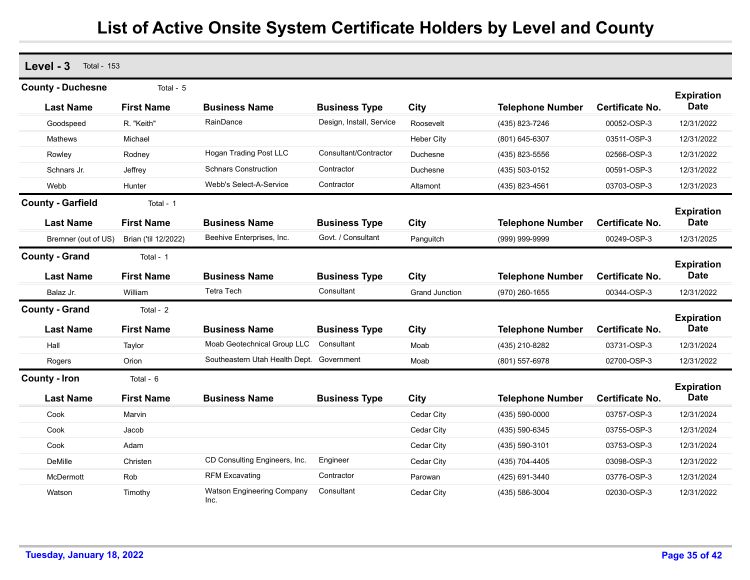| Level - 3<br><b>Total - 153</b> |                      |                                           |                          |                       |                         |                        |                                  |
|---------------------------------|----------------------|-------------------------------------------|--------------------------|-----------------------|-------------------------|------------------------|----------------------------------|
| <b>County - Duchesne</b>        | Total - 5            |                                           |                          |                       |                         |                        |                                  |
| <b>Last Name</b>                | <b>First Name</b>    | <b>Business Name</b>                      | <b>Business Type</b>     | <b>City</b>           | <b>Telephone Number</b> | <b>Certificate No.</b> | <b>Expiration</b><br><b>Date</b> |
| Goodspeed                       | R. "Keith"           | RainDance                                 | Design, Install, Service | Roosevelt             | (435) 823-7246          | 00052-OSP-3            | 12/31/2022                       |
| <b>Mathews</b>                  | Michael              |                                           |                          | <b>Heber City</b>     | (801) 645-6307          | 03511-OSP-3            | 12/31/2022                       |
| Rowley                          | Rodney               | <b>Hogan Trading Post LLC</b>             | Consultant/Contractor    | Duchesne              | (435) 823-5556          | 02566-OSP-3            | 12/31/2022                       |
| Schnars Jr.                     | Jeffrey              | <b>Schnars Construction</b>               | Contractor               | Duchesne              | (435) 503-0152          | 00591-OSP-3            | 12/31/2022                       |
| Webb                            | Hunter               | Webb's Select-A-Service                   | Contractor               | Altamont              | (435) 823-4561          | 03703-OSP-3            | 12/31/2023                       |
| <b>County - Garfield</b>        | Total - 1            |                                           |                          |                       |                         |                        |                                  |
| <b>Last Name</b>                | <b>First Name</b>    | <b>Business Name</b>                      | <b>Business Type</b>     | <b>City</b>           | <b>Telephone Number</b> | <b>Certificate No.</b> | <b>Expiration</b><br><b>Date</b> |
| Bremner (out of US)             | Brian ('til 12/2022) | Beehive Enterprises, Inc.                 | Govt. / Consultant       | Panguitch             | (999) 999-9999          | 00249-OSP-3            | 12/31/2025                       |
| <b>County - Grand</b>           | Total - 1            |                                           |                          |                       |                         |                        |                                  |
| <b>Last Name</b>                | <b>First Name</b>    | <b>Business Name</b>                      | <b>Business Type</b>     | City                  | <b>Telephone Number</b> | <b>Certificate No.</b> | <b>Expiration</b><br><b>Date</b> |
| Balaz Jr.                       | William              | <b>Tetra Tech</b>                         | Consultant               | <b>Grand Junction</b> | (970) 260-1655          | 00344-OSP-3            | 12/31/2022                       |
| <b>County - Grand</b>           | Total - 2            |                                           |                          |                       |                         |                        |                                  |
| <b>Last Name</b>                | <b>First Name</b>    | <b>Business Name</b>                      | <b>Business Type</b>     | <b>City</b>           | <b>Telephone Number</b> | <b>Certificate No.</b> | <b>Expiration</b><br><b>Date</b> |
| Hall                            | Taylor               | Moab Geotechnical Group LLC               | Consultant               | Moab                  | (435) 210-8282          | 03731-OSP-3            | 12/31/2024                       |
| Rogers                          | Orion                | Southeastern Utah Health Dept. Government |                          | Moab                  | (801) 557-6978          | 02700-OSP-3            | 12/31/2022                       |
| <b>County - Iron</b>            | Total - 6            |                                           |                          |                       |                         |                        |                                  |
| <b>Last Name</b>                | <b>First Name</b>    | <b>Business Name</b>                      | <b>Business Type</b>     | <b>City</b>           | <b>Telephone Number</b> | Certificate No.        | <b>Expiration</b><br><b>Date</b> |
| Cook                            | Marvin               |                                           |                          | Cedar City            | (435) 590-0000          | 03757-OSP-3            | 12/31/2024                       |
| Cook                            | Jacob                |                                           |                          | Cedar City            | (435) 590-6345          | 03755-OSP-3            | 12/31/2024                       |
| Cook                            | Adam                 |                                           |                          | Cedar City            | (435) 590-3101          | 03753-OSP-3            | 12/31/2024                       |
| <b>DeMille</b>                  | Christen             | CD Consulting Engineers, Inc.             | Engineer                 | Cedar City            | (435) 704-4405          | 03098-OSP-3            | 12/31/2022                       |
| McDermott                       | Rob                  | <b>RFM Excavating</b>                     | Contractor               | Parowan               | (425) 691-3440          | 03776-OSP-3            | 12/31/2024                       |
| Watson                          | Timothy              | <b>Watson Engineering Company</b><br>Inc. | Consultant               | Cedar City            | (435) 586-3004          | 02030-OSP-3            | 12/31/2022                       |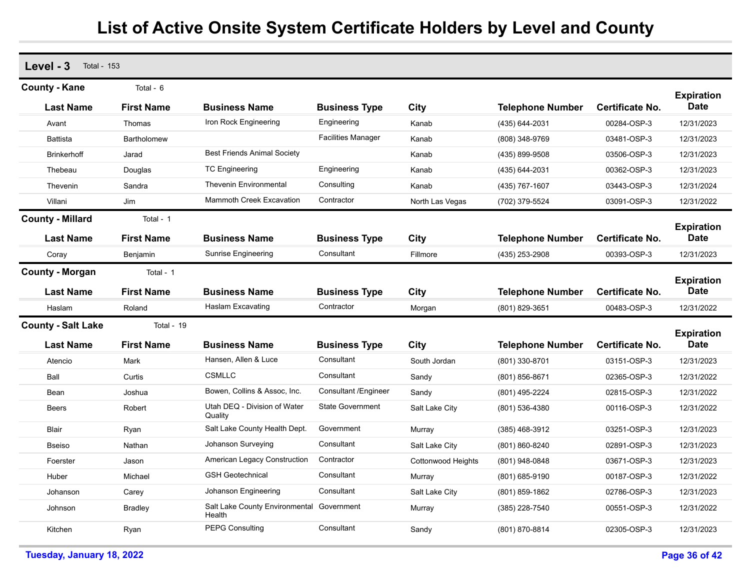| Level - 3<br><b>Total - 153</b> |                    |                                                     |                           |                    |                         |                        |                                  |
|---------------------------------|--------------------|-----------------------------------------------------|---------------------------|--------------------|-------------------------|------------------------|----------------------------------|
| <b>County - Kane</b>            | Total - 6          |                                                     |                           |                    |                         |                        | <b>Expiration</b>                |
| <b>Last Name</b>                | <b>First Name</b>  | <b>Business Name</b>                                | <b>Business Type</b>      | City               | <b>Telephone Number</b> | Certificate No.        | <b>Date</b>                      |
| Avant                           | Thomas             | Iron Rock Engineering                               | Engineering               | Kanab              | (435) 644-2031          | 00284-OSP-3            | 12/31/2023                       |
| <b>Battista</b>                 | <b>Bartholomew</b> |                                                     | <b>Facilities Manager</b> | Kanab              | (808) 348-9769          | 03481-OSP-3            | 12/31/2023                       |
| <b>Brinkerhoff</b>              | Jarad              | <b>Best Friends Animal Society</b>                  |                           | Kanab              | (435) 899-9508          | 03506-OSP-3            | 12/31/2023                       |
| Thebeau                         | Douglas            | <b>TC Engineering</b>                               | Engineering               | Kanab              | (435) 644-2031          | 00362-OSP-3            | 12/31/2023                       |
| Thevenin                        | Sandra             | <b>Thevenin Environmental</b>                       | Consulting                | Kanab              | (435) 767-1607          | 03443-OSP-3            | 12/31/2024                       |
| Villani                         | Jim                | <b>Mammoth Creek Excavation</b>                     | Contractor                | North Las Vegas    | (702) 379-5524          | 03091-OSP-3            | 12/31/2022                       |
| <b>County - Millard</b>         | Total - 1          |                                                     |                           |                    |                         |                        |                                  |
| Last Name                       | <b>First Name</b>  | <b>Business Name</b>                                | <b>Business Type</b>      | City               | <b>Telephone Number</b> | <b>Certificate No.</b> | <b>Expiration</b><br><b>Date</b> |
| Coray                           | Benjamin           | <b>Sunrise Engineering</b>                          | Consultant                | Fillmore           | (435) 253-2908          | 00393-OSP-3            | 12/31/2023                       |
| <b>County - Morgan</b>          | Total - 1          |                                                     |                           |                    |                         |                        | <b>Expiration</b>                |
| <b>Last Name</b>                | <b>First Name</b>  | <b>Business Name</b>                                | <b>Business Type</b>      | City               | <b>Telephone Number</b> | <b>Certificate No.</b> | <b>Date</b>                      |
| Haslam                          | Roland             | Haslam Excavating                                   | Contractor                | Morgan             | (801) 829-3651          | 00483-OSP-3            | 12/31/2022                       |
| <b>County - Salt Lake</b>       | Total - 19         |                                                     |                           |                    |                         |                        | <b>Expiration</b>                |
| <b>Last Name</b>                | <b>First Name</b>  | <b>Business Name</b>                                | <b>Business Type</b>      | City               | <b>Telephone Number</b> | <b>Certificate No.</b> | <b>Date</b>                      |
| Atencio                         | Mark               | Hansen, Allen & Luce                                | Consultant                | South Jordan       | (801) 330-8701          | 03151-OSP-3            | 12/31/2023                       |
| Ball                            | Curtis             | <b>CSMLLC</b>                                       | Consultant                | Sandy              | (801) 856-8671          | 02365-OSP-3            | 12/31/2022                       |
| Bean                            | Joshua             | Bowen, Collins & Assoc, Inc.                        | Consultant / Engineer     | Sandy              | (801) 495-2224          | 02815-OSP-3            | 12/31/2022                       |
| <b>Beers</b>                    | Robert             | Utah DEQ - Division of Water<br>Quality             | <b>State Government</b>   | Salt Lake City     | (801) 536-4380          | 00116-OSP-3            | 12/31/2022                       |
| Blair                           | Ryan               | Salt Lake County Health Dept.                       | Government                | Murray             | $(385)$ 468-3912        | 03251-OSP-3            | 12/31/2023                       |
| <b>Bseiso</b>                   | Nathan             | Johanson Surveying                                  | Consultant                | Salt Lake City     | (801) 860-8240          | 02891-OSP-3            | 12/31/2023                       |
| Foerster                        | Jason              | <b>American Legacy Construction</b>                 | Contractor                | Cottonwood Heights | (801) 948-0848          | 03671-OSP-3            | 12/31/2023                       |
| Huber                           | Michael            | <b>GSH Geotechnical</b>                             | Consultant                | Murray             | (801) 685-9190          | 00187-OSP-3            | 12/31/2022                       |
| Johanson                        | Carey              | Johanson Engineering                                | Consultant                | Salt Lake City     | (801) 859-1862          | 02786-OSP-3            | 12/31/2023                       |
| Johnson                         | <b>Bradley</b>     | Salt Lake County Environmental Government<br>Health |                           | Murray             | (385) 228-7540          | 00551-OSP-3            | 12/31/2022                       |
| Kitchen                         | Ryan               | <b>PEPG Consulting</b>                              | Consultant                | Sandy              | (801) 870-8814          | 02305-OSP-3            | 12/31/2023                       |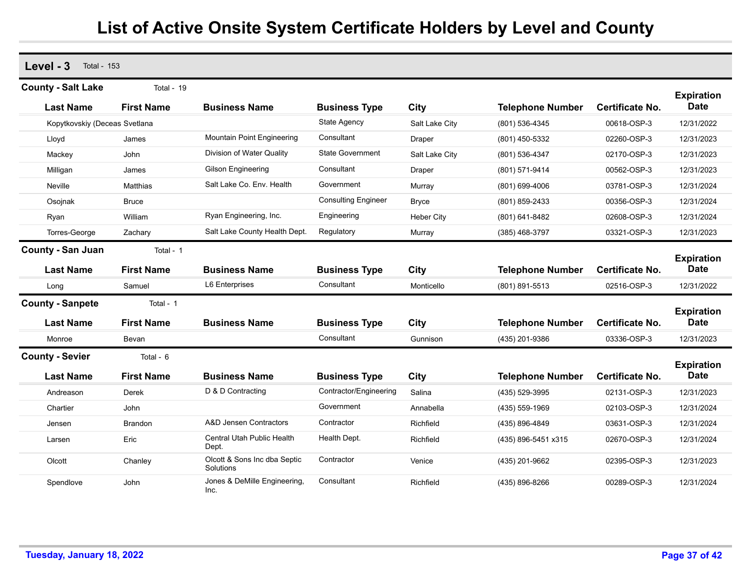**Level - 3** Total - 153 **Last Name First Name Business Name Business Type City Telephone Number County - Salt Lake** Total - 19 **Expiration Certificate No. Date** Kopytkovskiy (Deceas Svetlana State Agency State Agency Salt Lake City (801) 536-4345 00618-OSP-3 12/31/2022 Lloyd James Mountain Point Engineering Consultant Draper (801) 450-5332 02260-OSP-3 12/31/2023 Mackey John Division of Water Quality State Government Salt Lake City (801) 536-4347 02170-OSP-3 12/31/2023 Milligan James Gilson Engineering Consultant Draper (801) 571-9414 00562-OSP-3 12/31/2023 Neville Matthias Salt Lake Co. Env. Health Government Murray (801) 699-4006 03781-OSP-3 12/31/2024 Osojnak Bruce Consulting Engineer Bryce (801) 859-2433 00356-OSP-3 12/31/2024 Ryan William Ryan Engineering, Inc. Engineering Heber City (801) 641-8482 02608-OSP-3 12/31/2024 Torres-George Zachary Salt Lake County Health Dept. Regulatory Murray (385) 468-3797 03321-OSP-3 12/31/2023 **Last Name First Name Business Name Business Type City Telephone Number County - San Juan** Total - 1 **Expiration Certificate No. Date** Long Samuel L6 Enterprises Consultant Monticello (801) 891-5513 02516-OSP-3 12/31/2022 **Last Name First Name Business Name Business Type City Telephone Number County - Sanpete** Total - 1 **Expiration Certificate No. Date** Monroe Bevan Consultant Gunnison (435) 201-9386 03336-OSP-3 12/31/2023 **Last Name First Name Business Name Business Type City Telephone Number County - Sevier** Total - 6 **Expiration Certificate No. Date** Andreason Derek D & D Contracting Contractor/Engineering Salina (435) 529-3995 02131-OSP-3 12/31/2023 Chartier John Government Annabella (435) 559-1969 02103-OSP-3 12/31/2024 Jensen Brandon A&D Jensen Contractors Contractor Richfield (435) 896-4849 03631-OSP-3 12/31/2024 Larsen **Eric** Eric Central Utah Public Health Dept. Health Dept. Richfield (435) 896-5451 x315 02670-OSP-3 12/31/2024 Olcott Chanley Olcott & Sons Inc dba Septic **Solutions Contractor**  Venice (435) 201-9662 02395-OSP-3 12/31/2023 Spendlove John John Jones & DeMille Engineering, Inc.**Consultant** Richfield (435) 896-8266 00289-OSP-3 12/31/2024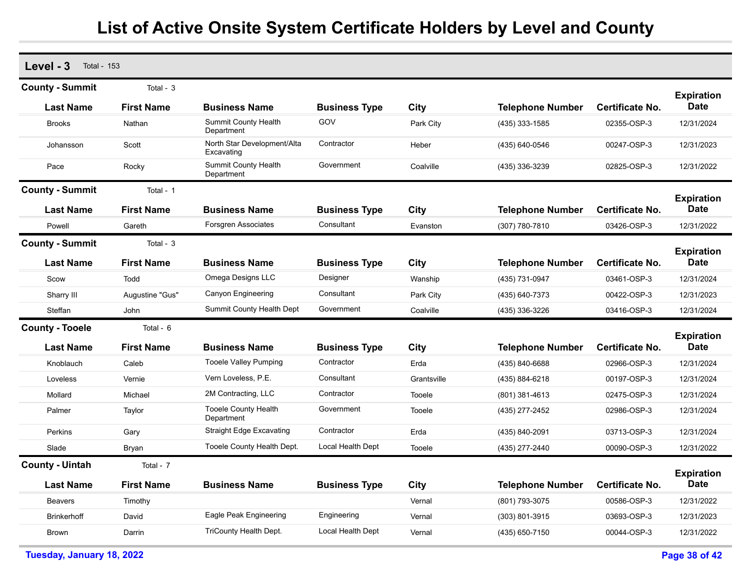| Level - 3<br><b>Total - 153</b> |                   |                                           |                      |             |                         |                        |                                  |
|---------------------------------|-------------------|-------------------------------------------|----------------------|-------------|-------------------------|------------------------|----------------------------------|
| <b>County - Summit</b>          | Total - $3$       |                                           |                      |             |                         |                        |                                  |
| <b>Last Name</b>                | <b>First Name</b> | <b>Business Name</b>                      | <b>Business Type</b> | City        | <b>Telephone Number</b> | Certificate No.        | <b>Expiration</b><br><b>Date</b> |
| <b>Brooks</b>                   | Nathan            | <b>Summit County Health</b><br>Department | GOV                  | Park City   | (435) 333-1585          | 02355-OSP-3            | 12/31/2024                       |
| Johansson                       | Scott             | North Star Development/Alta<br>Excavating | Contractor           | Heber       | (435) 640-0546          | 00247-OSP-3            | 12/31/2023                       |
| Pace                            | Rocky             | Summit County Health<br>Department        | Government           | Coalville   | (435) 336-3239          | 02825-OSP-3            | 12/31/2022                       |
| <b>County - Summit</b>          | Total - 1         |                                           |                      |             |                         |                        | <b>Expiration</b>                |
| <b>Last Name</b>                | <b>First Name</b> | <b>Business Name</b>                      | <b>Business Type</b> | City        | <b>Telephone Number</b> | Certificate No.        | Date                             |
| Powell                          | Gareth            | Forsgren Associates                       | Consultant           | Evanston    | (307) 780-7810          | 03426-OSP-3            | 12/31/2022                       |
| <b>County - Summit</b>          | Total - 3         |                                           |                      |             |                         |                        | <b>Expiration</b>                |
| <b>Last Name</b>                | <b>First Name</b> | <b>Business Name</b>                      | <b>Business Type</b> | <b>City</b> | <b>Telephone Number</b> | Certificate No.        | <b>Date</b>                      |
| Scow                            | Todd              | Omega Designs LLC                         | Designer             | Wanship     | (435) 731-0947          | 03461-OSP-3            | 12/31/2024                       |
| Sharry III                      | Augustine "Gus"   | Canyon Engineering                        | Consultant           | Park City   | (435) 640-7373          | 00422-OSP-3            | 12/31/2023                       |
| Steffan                         | John              | Summit County Health Dept                 | Government           | Coalville   | (435) 336-3226          | 03416-OSP-3            | 12/31/2024                       |
| <b>County - Tooele</b>          | Total - 6         |                                           |                      |             |                         |                        | <b>Expiration</b>                |
| Last Name                       | <b>First Name</b> | <b>Business Name</b>                      | <b>Business Type</b> | City        | <b>Telephone Number</b> | Certificate No.        | <b>Date</b>                      |
| Knoblauch                       | Caleb             | <b>Tooele Valley Pumping</b>              | Contractor           | Erda        | (435) 840-6688          | 02966-OSP-3            | 12/31/2024                       |
| Loveless                        | Vernie            | Vern Loveless, P.E.                       | Consultant           | Grantsville | (435) 884-6218          | 00197-OSP-3            | 12/31/2024                       |
| Mollard                         | Michael           | 2M Contracting, LLC                       | Contractor           | Tooele      | $(801)$ 381-4613        | 02475-OSP-3            | 12/31/2024                       |
| Palmer                          | Taylor            | <b>Tooele County Health</b><br>Department | Government           | Tooele      | (435) 277-2452          | 02986-OSP-3            | 12/31/2024                       |
| Perkins                         | Gary              | <b>Straight Edge Excavating</b>           | Contractor           | Erda        | (435) 840-2091          | 03713-OSP-3            | 12/31/2024                       |
| Slade                           | Bryan             | Tooele County Health Dept.                | Local Health Dept    | Tooele      | (435) 277-2440          | 00090-OSP-3            | 12/31/2022                       |
| <b>County - Uintah</b>          | Total - 7         |                                           |                      |             |                         |                        |                                  |
| <b>Last Name</b>                | <b>First Name</b> | <b>Business Name</b>                      | <b>Business Type</b> | City        | <b>Telephone Number</b> | <b>Certificate No.</b> | <b>Expiration</b><br><b>Date</b> |
| <b>Beavers</b>                  | Timothy           |                                           |                      | Vernal      | (801) 793-3075          | 00586-OSP-3            | 12/31/2022                       |
| <b>Brinkerhoff</b>              | David             | Eagle Peak Engineering                    | Engineering          | Vernal      | $(303)$ 801-3915        | 03693-OSP-3            | 12/31/2023                       |
| <b>Brown</b>                    | Darrin            | TriCounty Health Dept.                    | Local Health Dept    | Vernal      | (435) 650-7150          | 00044-OSP-3            | 12/31/2022                       |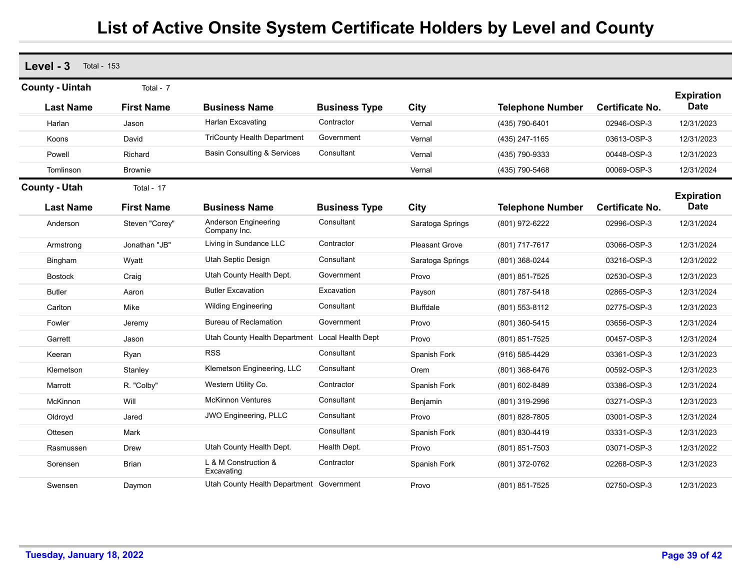| Level - 3              | <b>Total - 153</b> |                                          |                      |                       |                         |                        |                                  |  |  |  |  |
|------------------------|--------------------|------------------------------------------|----------------------|-----------------------|-------------------------|------------------------|----------------------------------|--|--|--|--|
| <b>County - Uintah</b> | Total - 7          |                                          |                      |                       |                         |                        | <b>Expiration</b>                |  |  |  |  |
| <b>Last Name</b>       | <b>First Name</b>  | <b>Business Name</b>                     | <b>Business Type</b> | City                  | <b>Telephone Number</b> | <b>Certificate No.</b> | <b>Date</b>                      |  |  |  |  |
| Harlan                 | Jason              | Harlan Excavating                        | Contractor           | Vernal                | (435) 790-6401          | 02946-OSP-3            | 12/31/2023                       |  |  |  |  |
| Koons                  | David              | <b>TriCounty Health Department</b>       | Government           | Vernal                | (435) 247-1165          | 03613-OSP-3            | 12/31/2023                       |  |  |  |  |
| Powell                 | Richard            | <b>Basin Consulting &amp; Services</b>   | Consultant           | Vernal                | (435) 790-9333          | 00448-OSP-3            | 12/31/2023                       |  |  |  |  |
| Tomlinson              | <b>Brownie</b>     |                                          |                      | Vernal                | (435) 790-5468          | 00069-OSP-3            | 12/31/2024                       |  |  |  |  |
| <b>County - Utah</b>   | Total - 17         |                                          |                      |                       |                         |                        |                                  |  |  |  |  |
| <b>Last Name</b>       | <b>First Name</b>  | <b>Business Name</b>                     | <b>Business Type</b> | City                  | <b>Telephone Number</b> | <b>Certificate No.</b> | <b>Expiration</b><br><b>Date</b> |  |  |  |  |
| Anderson               | Steven "Corey"     | Anderson Engineering<br>Company Inc.     | Consultant           | Saratoga Springs      | (801) 972-6222          | 02996-OSP-3            | 12/31/2024                       |  |  |  |  |
| Armstrong              | Jonathan "JB"      | Living in Sundance LLC                   | Contractor           | <b>Pleasant Grove</b> | (801) 717-7617          | 03066-OSP-3            | 12/31/2024                       |  |  |  |  |
| <b>Bingham</b>         | Wyatt              | Utah Septic Design                       | Consultant           | Saratoga Springs      | (801) 368-0244          | 03216-OSP-3            | 12/31/2022                       |  |  |  |  |
| <b>Bostock</b>         | Craig              | Utah County Health Dept.                 | Government           | Provo                 | (801) 851-7525          | 02530-OSP-3            | 12/31/2023                       |  |  |  |  |
| <b>Butler</b>          | Aaron              | <b>Butler Excavation</b>                 | Excavation           | Payson                | (801) 787-5418          | 02865-OSP-3            | 12/31/2024                       |  |  |  |  |
| Carlton                | Mike               | <b>Wilding Engineering</b>               | Consultant           | <b>Bluffdale</b>      | (801) 553-8112          | 02775-OSP-3            | 12/31/2023                       |  |  |  |  |
| Fowler                 | Jeremy             | <b>Bureau of Reclamation</b>             | Government           | Provo                 | (801) 360-5415          | 03656-OSP-3            | 12/31/2024                       |  |  |  |  |
| Garrett                | Jason              | Utah County Health Department            | Local Health Dept    | Provo                 | (801) 851-7525          | 00457-OSP-3            | 12/31/2024                       |  |  |  |  |
| Keeran                 | Ryan               | <b>RSS</b>                               | Consultant           | Spanish Fork          | (916) 585-4429          | 03361-OSP-3            | 12/31/2023                       |  |  |  |  |
| Klemetson              | Stanley            | Klemetson Engineering, LLC               | Consultant           | Orem                  | (801) 368-6476          | 00592-OSP-3            | 12/31/2023                       |  |  |  |  |
| Marrott                | R. "Colby"         | Western Utility Co.                      | Contractor           | Spanish Fork          | (801) 602-8489          | 03386-OSP-3            | 12/31/2024                       |  |  |  |  |
| McKinnon               | Will               | <b>McKinnon Ventures</b>                 | Consultant           | Benjamin              | (801) 319-2996          | 03271-OSP-3            | 12/31/2023                       |  |  |  |  |
| Oldroyd                | Jared              | JWO Engineering, PLLC                    | Consultant           | Provo                 | (801) 828-7805          | 03001-OSP-3            | 12/31/2024                       |  |  |  |  |
| Ottesen                | Mark               |                                          | Consultant           | Spanish Fork          | (801) 830-4419          | 03331-OSP-3            | 12/31/2023                       |  |  |  |  |
| Rasmussen              | Drew               | Utah County Health Dept.                 | Health Dept.         | Provo                 | (801) 851-7503          | 03071-OSP-3            | 12/31/2022                       |  |  |  |  |
| Sorensen               | <b>Brian</b>       | L & M Construction &<br>Excavating       | Contractor           | Spanish Fork          | (801) 372-0762          | 02268-OSP-3            | 12/31/2023                       |  |  |  |  |
| Swensen                | Daymon             | Utah County Health Department Government |                      | Provo                 | (801) 851-7525          | 02750-OSP-3            | 12/31/2023                       |  |  |  |  |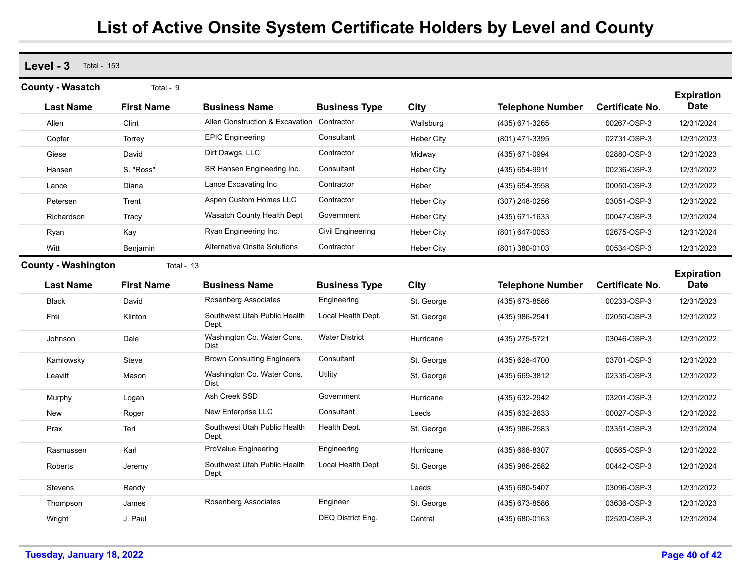| $Level - 3$ Total - 153    |                   |                                       |                          |                   |                         |                        |                                  |
|----------------------------|-------------------|---------------------------------------|--------------------------|-------------------|-------------------------|------------------------|----------------------------------|
| <b>County - Wasatch</b>    | Total - 9         |                                       |                          |                   |                         |                        | <b>Expiration</b>                |
| <b>Last Name</b>           | <b>First Name</b> | <b>Business Name</b>                  | <b>Business Type</b>     | City              | <b>Telephone Number</b> | Certificate No.        | <b>Date</b>                      |
| Allen                      | Clint             | Allen Construction & Excavation       | Contractor               | Wallsburg         | (435) 671-3265          | 00267-OSP-3            | 12/31/2024                       |
| Copfer                     | Torrey            | <b>EPIC Engineering</b>               | Consultant               | <b>Heber City</b> | (801) 471-3395          | 02731-OSP-3            | 12/31/2023                       |
| Giese                      | David             | Dirt Dawgs, LLC                       | Contractor               | Midway            | (435) 671-0994          | 02880-OSP-3            | 12/31/2023                       |
| Hansen                     | S. "Ross"         | SR Hansen Engineering Inc.            | Consultant               | <b>Heber City</b> | (435) 654-9911          | 00236-OSP-3            | 12/31/2022                       |
| Lance                      | Diana             | Lance Excavating Inc                  | Contractor               | Heber             | (435) 654-3558          | 00050-OSP-3            | 12/31/2022                       |
| Petersen                   | Trent             | Aspen Custom Homes LLC                | Contractor               | <b>Heber City</b> | (307) 248-0256          | 03051-OSP-3            | 12/31/2022                       |
| Richardson                 | Tracy             | Wasatch County Health Dept            | Government               | <b>Heber City</b> | (435) 671-1633          | 00047-OSP-3            | 12/31/2024                       |
| Ryan                       | Kay               | Ryan Engineering Inc.                 | <b>Civil Engineering</b> | Heber City        | (801) 647-0053          | 02675-OSP-3            | 12/31/2024                       |
| Witt                       | Benjamin          | <b>Alternative Onsite Solutions</b>   | Contractor               | <b>Heber City</b> | (801) 380-0103          | 00534-OSP-3            | 12/31/2023                       |
| <b>County - Washington</b> | Total - 13        |                                       |                          |                   |                         |                        |                                  |
| <b>Last Name</b>           | <b>First Name</b> | <b>Business Name</b>                  | <b>Business Type</b>     | City              | <b>Telephone Number</b> | <b>Certificate No.</b> | <b>Expiration</b><br><b>Date</b> |
| <b>Black</b>               | David             | Rosenberg Associates                  | Engineering              | St. George        | (435) 673-8586          | 00233-OSP-3            | 12/31/2023                       |
| Frei                       | Klinton           | Southwest Utah Public Health<br>Dept. | Local Health Dept.       | St. George        | (435) 986-2541          | 02050-OSP-3            | 12/31/2022                       |
| Johnson                    | Dale              | Washington Co. Water Cons.<br>Dist.   | <b>Water District</b>    | Hurricane         | (435) 275-5721          | 03046-OSP-3            | 12/31/2022                       |
| Kamlowsky                  | Steve             | <b>Brown Consulting Engineers</b>     | Consultant               | St. George        | (435) 628-4700          | 03701-OSP-3            | 12/31/2023                       |
| Leavitt                    | Mason             | Washington Co. Water Cons.<br>Dist.   | Utility                  | St. George        | (435) 669-3812          | 02335-OSP-3            | 12/31/2022                       |
| Murphy                     | Logan             | Ash Creek SSD                         | Government               | Hurricane         | (435) 632-2942          | 03201-OSP-3            | 12/31/2022                       |
| New                        | Roger             | New Enterprise LLC                    | Consultant               | Leeds             | (435) 632-2833          | 00027-OSP-3            | 12/31/2022                       |
| Prax                       | Teri              | Southwest Utah Public Health<br>Dept. | Health Dept.             | St. George        | (435) 986-2583          | 03351-OSP-3            | 12/31/2024                       |
| Rasmussen                  | Karl              | ProValue Engineering                  | Engineering              | Hurricane         | (435) 668-8307          | 00565-OSP-3            | 12/31/2022                       |
| Roberts                    | Jeremy            | Southwest Utah Public Health<br>Dept. | Local Health Dept        | St. George        | (435) 986-2582          | 00442-OSP-3            | 12/31/2024                       |
| <b>Stevens</b>             | Randy             |                                       |                          | Leeds             | (435) 680-5407          | 03096-OSP-3            | 12/31/2022                       |
| Thompson                   | James             | Rosenberg Associates                  | Engineer                 | St. George        | (435) 673-8586          | 03636-OSP-3            | 12/31/2023                       |
| Wright                     | J. Paul           |                                       | DEQ District Eng.        | Central           | (435) 680-0163          | 02520-OSP-3            | 12/31/2024                       |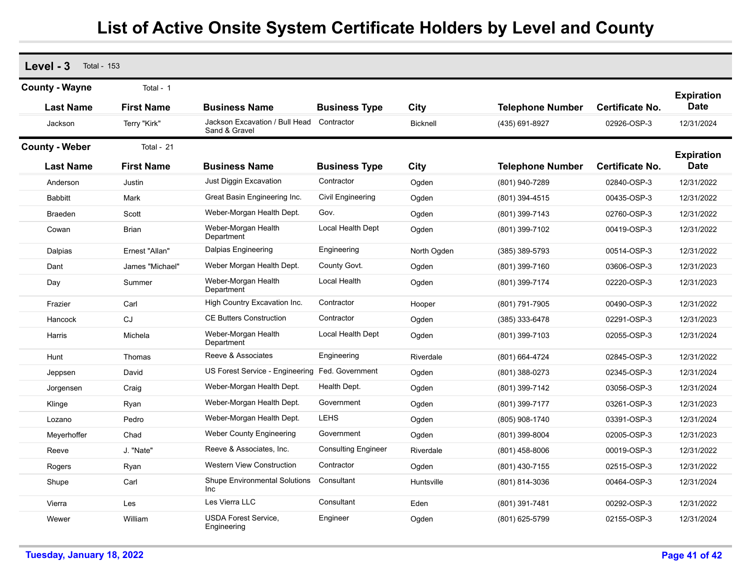| Level - 3             | <b>Total - 153</b> |                                                 |                            |                 |                         |                        |                   |  |  |  |  |
|-----------------------|--------------------|-------------------------------------------------|----------------------------|-----------------|-------------------------|------------------------|-------------------|--|--|--|--|
| <b>County - Wayne</b> | Total - 1          |                                                 |                            |                 |                         |                        | <b>Expiration</b> |  |  |  |  |
| <b>Last Name</b>      | <b>First Name</b>  | <b>Business Name</b>                            | <b>Business Type</b>       | City            | <b>Telephone Number</b> | <b>Certificate No.</b> | <b>Date</b>       |  |  |  |  |
| Jackson               | Terry "Kirk"       | Jackson Excavation / Bull Head<br>Sand & Gravel | Contractor                 | <b>Bicknell</b> | (435) 691-8927          | 02926-OSP-3            | 12/31/2024        |  |  |  |  |
| <b>County - Weber</b> | Total - 21         |                                                 |                            |                 |                         |                        | <b>Expiration</b> |  |  |  |  |
| <b>Last Name</b>      | <b>First Name</b>  | <b>Business Name</b>                            | <b>Business Type</b>       | City            | <b>Telephone Number</b> | <b>Certificate No.</b> | <b>Date</b>       |  |  |  |  |
| Anderson              | Justin             | Just Diggin Excavation                          | Contractor                 | Ogden           | (801) 940-7289          | 02840-OSP-3            | 12/31/2022        |  |  |  |  |
| <b>Babbitt</b>        | Mark               | Great Basin Engineering Inc.                    | Civil Engineering          | Ogden           | (801) 394-4515          | 00435-OSP-3            | 12/31/2022        |  |  |  |  |
| <b>Braeden</b>        | Scott              | Weber-Morgan Health Dept.                       | Gov.                       | Ogden           | (801) 399-7143          | 02760-OSP-3            | 12/31/2022        |  |  |  |  |
| Cowan                 | <b>Brian</b>       | Weber-Morgan Health<br>Department               | Local Health Dept          | Ogden           | (801) 399-7102          | 00419-OSP-3            | 12/31/2022        |  |  |  |  |
| Dalpias               | Ernest "Allan"     | Dalpias Engineering                             | Engineering                | North Ogden     | $(385)$ 389-5793        | 00514-OSP-3            | 12/31/2022        |  |  |  |  |
| Dant                  | James "Michael"    | Weber Morgan Health Dept.                       | County Govt.               | Ogden           | (801) 399-7160          | 03606-OSP-3            | 12/31/2023        |  |  |  |  |
| Day                   | Summer             | Weber-Morgan Health<br>Department               | Local Health               | Ogden           | (801) 399-7174          | 02220-OSP-3            | 12/31/2023        |  |  |  |  |
| Frazier               | Carl               | High Country Excavation Inc.                    | Contractor                 | Hooper          | (801) 791-7905          | 00490-OSP-3            | 12/31/2022        |  |  |  |  |
| Hancock               | CJ                 | <b>CE Butters Construction</b>                  | Contractor                 | Ogden           | (385) 333-6478          | 02291-OSP-3            | 12/31/2023        |  |  |  |  |
| Harris                | Michela            | Weber-Morgan Health<br>Department               | Local Health Dept          | Ogden           | (801) 399-7103          | 02055-OSP-3            | 12/31/2024        |  |  |  |  |
| Hunt                  | Thomas             | Reeve & Associates                              | Engineering                | Riverdale       | (801) 664-4724          | 02845-OSP-3            | 12/31/2022        |  |  |  |  |
| Jeppsen               | David              | US Forest Service - Engineering                 | Fed. Government            | Ogden           | (801) 388-0273          | 02345-OSP-3            | 12/31/2024        |  |  |  |  |
| Jorgensen             | Craig              | Weber-Morgan Health Dept.                       | Health Dept.               | Ogden           | (801) 399-7142          | 03056-OSP-3            | 12/31/2024        |  |  |  |  |
| Klinge                | Ryan               | Weber-Morgan Health Dept.                       | Government                 | Ogden           | (801) 399-7177          | 03261-OSP-3            | 12/31/2023        |  |  |  |  |
| Lozano                | Pedro              | Weber-Morgan Health Dept.                       | <b>LEHS</b>                | Ogden           | (805) 908-1740          | 03391-OSP-3            | 12/31/2024        |  |  |  |  |
| Meyerhoffer           | Chad               | <b>Weber County Engineering</b>                 | Government                 | Ogden           | (801) 399-8004          | 02005-OSP-3            | 12/31/2023        |  |  |  |  |
| Reeve                 | J. "Nate"          | Reeve & Associates, Inc.                        | <b>Consulting Engineer</b> | Riverdale       | $(801)$ 458-8006        | 00019-OSP-3            | 12/31/2022        |  |  |  |  |
| Rogers                | Ryan               | <b>Western View Construction</b>                | Contractor                 | Ogden           | (801) 430-7155          | 02515-OSP-3            | 12/31/2022        |  |  |  |  |
| Shupe                 | Carl               | <b>Shupe Environmental Solutions</b><br>Inc     | Consultant                 | Huntsville      | (801) 814-3036          | 00464-OSP-3            | 12/31/2024        |  |  |  |  |
| Vierra                | Les                | Les Vierra LLC                                  | Consultant                 | Eden            | (801) 391-7481          | 00292-OSP-3            | 12/31/2022        |  |  |  |  |
| Wewer                 | William            | <b>USDA Forest Service.</b><br>Engineering      | Engineer                   | Ogden           | (801) 625-5799          | 02155-OSP-3            | 12/31/2024        |  |  |  |  |